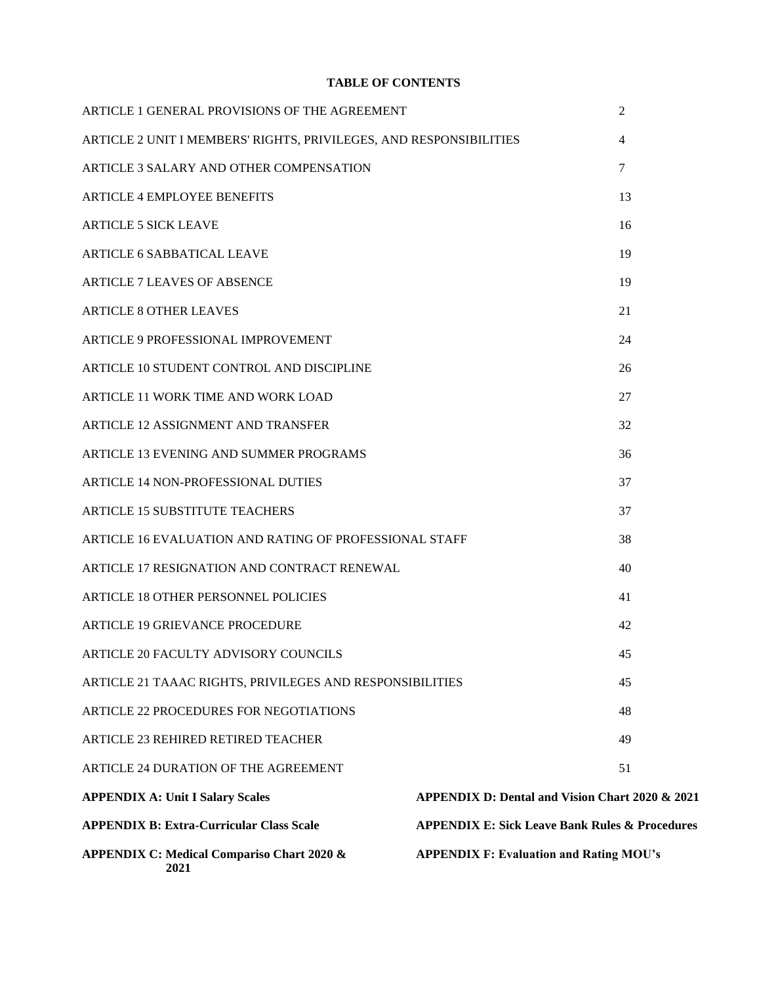## **TABLE OF CONTENTS**

| <b>APPENDIX C: Medical Compariso Chart 2020 &amp;</b><br>2021      | <b>APPENDIX F: Evaluation and Rating MOU's</b>             |  |
|--------------------------------------------------------------------|------------------------------------------------------------|--|
| <b>APPENDIX B: Extra-Curricular Class Scale</b>                    | <b>APPENDIX E: Sick Leave Bank Rules &amp; Procedures</b>  |  |
| <b>APPENDIX A: Unit I Salary Scales</b>                            | <b>APPENDIX D: Dental and Vision Chart 2020 &amp; 2021</b> |  |
| ARTICLE 24 DURATION OF THE AGREEMENT                               | 51                                                         |  |
| ARTICLE 23 REHIRED RETIRED TEACHER                                 | 49                                                         |  |
| ARTICLE 22 PROCEDURES FOR NEGOTIATIONS                             | 48                                                         |  |
| ARTICLE 21 TAAAC RIGHTS, PRIVILEGES AND RESPONSIBILITIES           | 45                                                         |  |
| ARTICLE 20 FACULTY ADVISORY COUNCILS                               | 45                                                         |  |
| <b>ARTICLE 19 GRIEVANCE PROCEDURE</b>                              | 42                                                         |  |
| ARTICLE 18 OTHER PERSONNEL POLICIES                                | 41                                                         |  |
| ARTICLE 17 RESIGNATION AND CONTRACT RENEWAL                        | 40                                                         |  |
| ARTICLE 16 EVALUATION AND RATING OF PROFESSIONAL STAFF             | 38                                                         |  |
| <b>ARTICLE 15 SUBSTITUTE TEACHERS</b>                              | 37                                                         |  |
| ARTICLE 14 NON-PROFESSIONAL DUTIES                                 | 37                                                         |  |
| ARTICLE 13 EVENING AND SUMMER PROGRAMS                             | 36                                                         |  |
| ARTICLE 12 ASSIGNMENT AND TRANSFER                                 | 32                                                         |  |
| ARTICLE 11 WORK TIME AND WORK LOAD                                 | 27                                                         |  |
| ARTICLE 10 STUDENT CONTROL AND DISCIPLINE                          | 26                                                         |  |
| ARTICLE 9 PROFESSIONAL IMPROVEMENT                                 | 24                                                         |  |
| <b>ARTICLE 8 OTHER LEAVES</b>                                      | 21                                                         |  |
| <b>ARTICLE 7 LEAVES OF ABSENCE</b>                                 | 19                                                         |  |
| ARTICLE 6 SABBATICAL LEAVE                                         | 19                                                         |  |
| <b>ARTICLE 5 SICK LEAVE</b>                                        | 16                                                         |  |
| <b>ARTICLE 4 EMPLOYEE BENEFITS</b>                                 | 13                                                         |  |
| ARTICLE 3 SALARY AND OTHER COMPENSATION                            | $\tau$                                                     |  |
| ARTICLE 2 UNIT I MEMBERS' RIGHTS, PRIVILEGES, AND RESPONSIBILITIES | 4                                                          |  |
| ARTICLE 1 GENERAL PROVISIONS OF THE AGREEMENT                      | 2                                                          |  |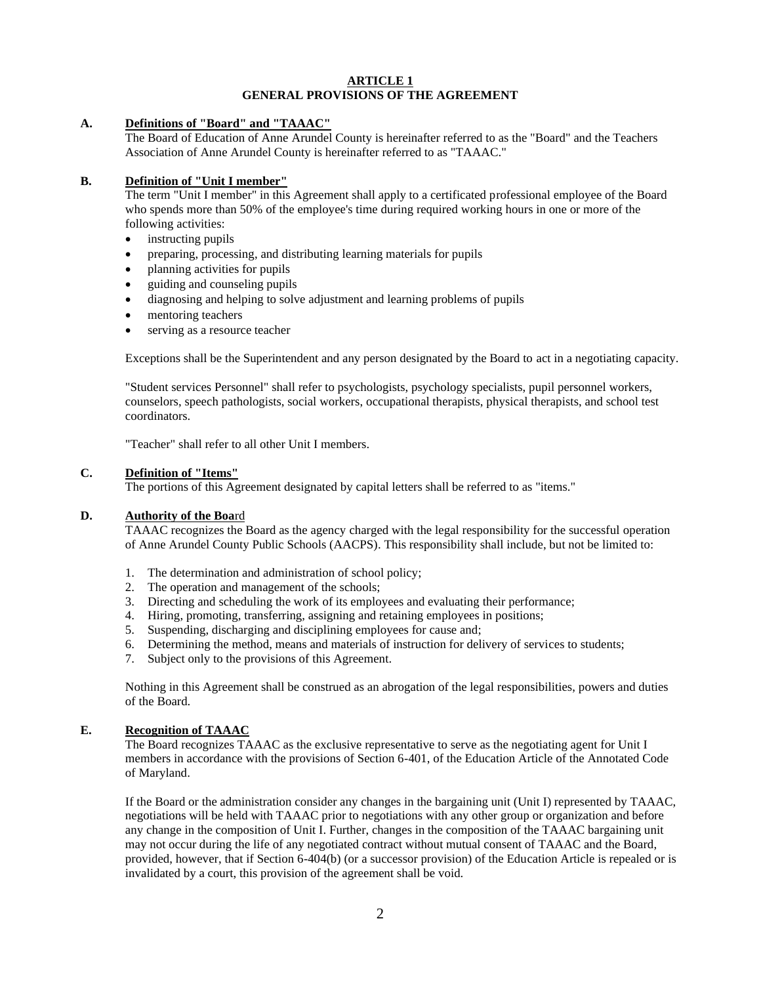#### **ARTICLE 1 GENERAL PROVISIONS OF THE AGREEMENT**

## **A. Definitions of "Board" and "TAAAC"**

The Board of Education of Anne Arundel County is hereinafter referred to as the "Board" and the Teachers Association of Anne Arundel County is hereinafter referred to as "TAAAC."

#### **B. Definition of "Unit I member"**

The term "Unit I member" in this Agreement shall apply to a certificated professional employee of the Board who spends more than 50% of the employee's time during required working hours in one or more of the following activities:

- instructing pupils
- preparing, processing, and distributing learning materials for pupils
- planning activities for pupils
- guiding and counseling pupils
- diagnosing and helping to solve adjustment and learning problems of pupils
- mentoring teachers
- serving as a resource teacher

Exceptions shall be the Superintendent and any person designated by the Board to act in a negotiating capacity.

"Student services Personnel" shall refer to psychologists, psychology specialists, pupil personnel workers, counselors, speech pathologists, social workers, occupational therapists, physical therapists, and school test coordinators.

"Teacher" shall refer to all other Unit I members.

#### **C. Definition of "Items"**

The portions of this Agreement designated by capital letters shall be referred to as "items."

## **D. Authority of the Boa**rd

TAAAC recognizes the Board as the agency charged with the legal responsibility for the successful operation of Anne Arundel County Public Schools (AACPS). This responsibility shall include, but not be limited to:

- 1. The determination and administration of school policy;
- 2. The operation and management of the schools;
- 3. Directing and scheduling the work of its employees and evaluating their performance;
- 4. Hiring, promoting, transferring, assigning and retaining employees in positions;
- 5. Suspending, discharging and disciplining employees for cause and;
- 6. Determining the method, means and materials of instruction for delivery of services to students;
- 7. Subject only to the provisions of this Agreement.

Nothing in this Agreement shall be construed as an abrogation of the legal responsibilities, powers and duties of the Board.

#### **E. Recognition of TAAAC**

The Board recognizes TAAAC as the exclusive representative to serve as the negotiating agent for Unit I members in accordance with the provisions of Section 6-401, of the Education Article of the Annotated Code of Maryland.

If the Board or the administration consider any changes in the bargaining unit (Unit I) represented by TAAAC, negotiations will be held with TAAAC prior to negotiations with any other group or organization and before any change in the composition of Unit I. Further, changes in the composition of the TAAAC bargaining unit may not occur during the life of any negotiated contract without mutual consent of TAAAC and the Board, provided, however, that if Section 6-404(b) (or a successor provision) of the Education Article is repealed or is invalidated by a court, this provision of the agreement shall be void.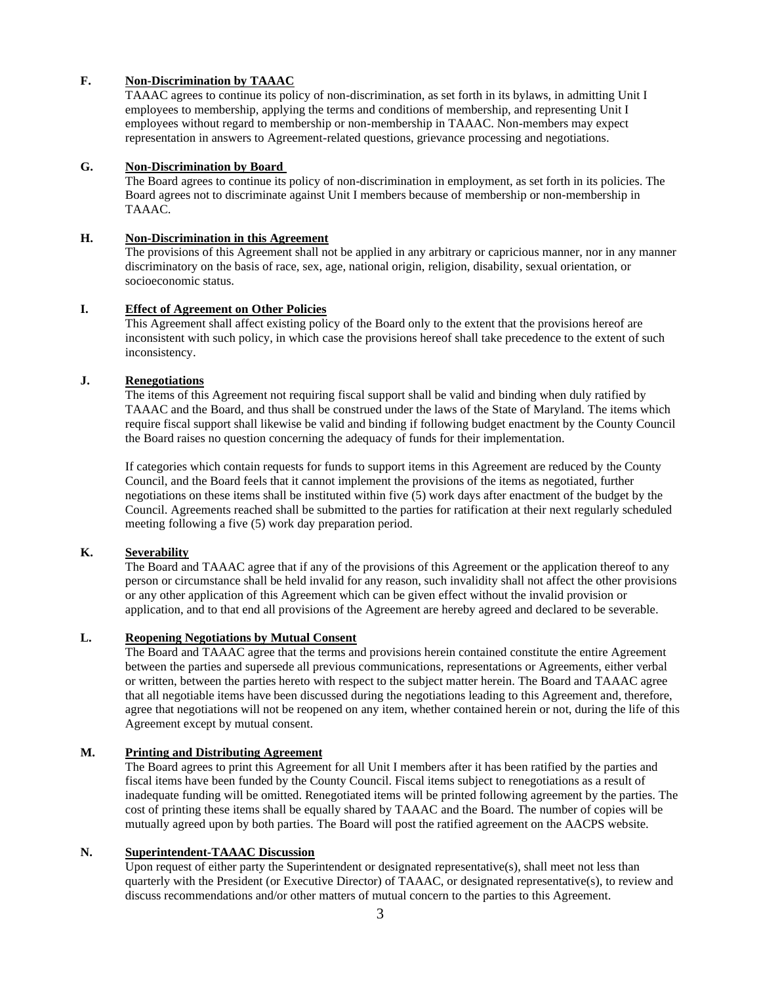## **F. Non-Discrimination by TAAAC**

TAAAC agrees to continue its policy of non-discrimination, as set forth in its bylaws, in admitting Unit I employees to membership, applying the terms and conditions of membership, and representing Unit I employees without regard to membership or non-membership in TAAAC. Non-members may expect representation in answers to Agreement-related questions, grievance processing and negotiations.

### **G. Non-Discrimination by Board**

The Board agrees to continue its policy of non-discrimination in employment, as set forth in its policies. The Board agrees not to discriminate against Unit I members because of membership or non-membership in TAAAC.

#### **H. Non-Discrimination in this Agreement**

The provisions of this Agreement shall not be applied in any arbitrary or capricious manner, nor in any manner discriminatory on the basis of race, sex, age, national origin, religion, disability, sexual orientation, or socioeconomic status.

#### **I. Effect of Agreement on Other Policies**

This Agreement shall affect existing policy of the Board only to the extent that the provisions hereof are inconsistent with such policy, in which case the provisions hereof shall take precedence to the extent of such inconsistency.

#### **J. Renegotiations**

The items of this Agreement not requiring fiscal support shall be valid and binding when duly ratified by TAAAC and the Board, and thus shall be construed under the laws of the State of Maryland. The items which require fiscal support shall likewise be valid and binding if following budget enactment by the County Council the Board raises no question concerning the adequacy of funds for their implementation.

If categories which contain requests for funds to support items in this Agreement are reduced by the County Council, and the Board feels that it cannot implement the provisions of the items as negotiated, further negotiations on these items shall be instituted within five (5) work days after enactment of the budget by the Council. Agreements reached shall be submitted to the parties for ratification at their next regularly scheduled meeting following a five (5) work day preparation period.

## **K. Severability**

The Board and TAAAC agree that if any of the provisions of this Agreement or the application thereof to any person or circumstance shall be held invalid for any reason, such invalidity shall not affect the other provisions or any other application of this Agreement which can be given effect without the invalid provision or application, and to that end all provisions of the Agreement are hereby agreed and declared to be severable.

## **L. Reopening Negotiations by Mutual Consent**

The Board and TAAAC agree that the terms and provisions herein contained constitute the entire Agreement between the parties and supersede all previous communications, representations or Agreements, either verbal or written, between the parties hereto with respect to the subject matter herein. The Board and TAAAC agree that all negotiable items have been discussed during the negotiations leading to this Agreement and, therefore, agree that negotiations will not be reopened on any item, whether contained herein or not, during the life of this Agreement except by mutual consent.

## **M. Printing and Distributing Agreement**

The Board agrees to print this Agreement for all Unit I members after it has been ratified by the parties and fiscal items have been funded by the County Council. Fiscal items subject to renegotiations as a result of inadequate funding will be omitted. Renegotiated items will be printed following agreement by the parties. The cost of printing these items shall be equally shared by TAAAC and the Board. The number of copies will be mutually agreed upon by both parties. The Board will post the ratified agreement on the AACPS website.

#### **N. Superintendent-TAAAC Discussion**

Upon request of either party the Superintendent or designated representative(s), shall meet not less than quarterly with the President (or Executive Director) of TAAAC, or designated representative(s), to review and discuss recommendations and/or other matters of mutual concern to the parties to this Agreement.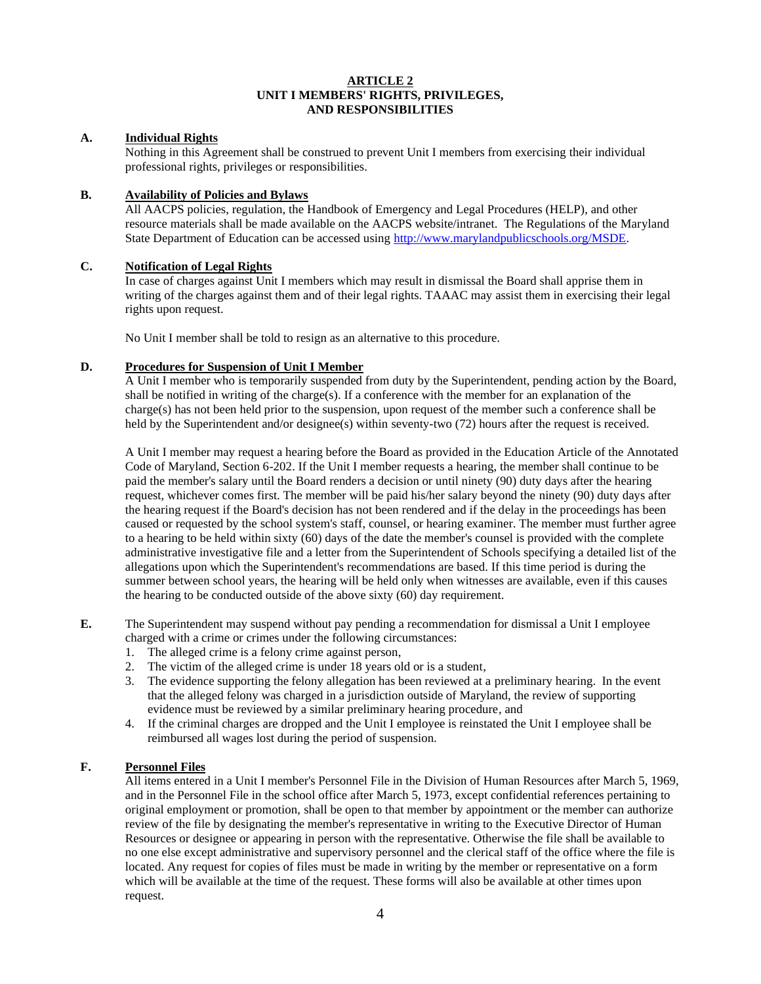#### **ARTICLE 2 UNIT I MEMBERS' RIGHTS, PRIVILEGES, AND RESPONSIBILITIES**

## **A. Individual Rights**

Nothing in this Agreement shall be construed to prevent Unit I members from exercising their individual professional rights, privileges or responsibilities.

## **B. Availability of Policies and Bylaws**

All AACPS policies, regulation, the Handbook of Emergency and Legal Procedures (HELP), and other resource materials shall be made available on the AACPS website/intranet. The Regulations of the Maryland State Department of Education can be accessed using [http://www.marylandpublicschools.org/MSDE.](http://www.marylandpublicschools.org/MSDE)

## **C. Notification of Legal Rights**

In case of charges against Unit I members which may result in dismissal the Board shall apprise them in writing of the charges against them and of their legal rights. TAAAC may assist them in exercising their legal rights upon request.

No Unit I member shall be told to resign as an alternative to this procedure.

## **D. Procedures for Suspension of Unit I Member**

A Unit I member who is temporarily suspended from duty by the Superintendent, pending action by the Board, shall be notified in writing of the charge(s). If a conference with the member for an explanation of the charge(s) has not been held prior to the suspension, upon request of the member such a conference shall be held by the Superintendent and/or designee(s) within seventy-two (72) hours after the request is received.

A Unit I member may request a hearing before the Board as provided in the Education Article of the Annotated Code of Maryland, Section 6-202. If the Unit I member requests a hearing, the member shall continue to be paid the member's salary until the Board renders a decision or until ninety (90) duty days after the hearing request, whichever comes first. The member will be paid his/her salary beyond the ninety (90) duty days after the hearing request if the Board's decision has not been rendered and if the delay in the proceedings has been caused or requested by the school system's staff, counsel, or hearing examiner. The member must further agree to a hearing to be held within sixty (60) days of the date the member's counsel is provided with the complete administrative investigative file and a letter from the Superintendent of Schools specifying a detailed list of the allegations upon which the Superintendent's recommendations are based. If this time period is during the summer between school years, the hearing will be held only when witnesses are available, even if this causes the hearing to be conducted outside of the above sixty (60) day requirement.

#### **E.** The Superintendent may suspend without pay pending a recommendation for dismissal a Unit I employee charged with a crime or crimes under the following circumstances:

- 1. The alleged crime is a felony crime against person,
- 2. The victim of the alleged crime is under 18 years old or is a student,
- 3. The evidence supporting the felony allegation has been reviewed at a preliminary hearing. In the event that the alleged felony was charged in a jurisdiction outside of Maryland, the review of supporting evidence must be reviewed by a similar preliminary hearing procedure, and
- 4. If the criminal charges are dropped and the Unit I employee is reinstated the Unit I employee shall be reimbursed all wages lost during the period of suspension.

## **F. Personnel Files**

All items entered in a Unit I member's Personnel File in the Division of Human Resources after March 5, 1969, and in the Personnel File in the school office after March 5, 1973, except confidential references pertaining to original employment or promotion, shall be open to that member by appointment or the member can authorize review of the file by designating the member's representative in writing to the Executive Director of Human Resources or designee or appearing in person with the representative. Otherwise the file shall be available to no one else except administrative and supervisory personnel and the clerical staff of the office where the file is located. Any request for copies of files must be made in writing by the member or representative on a form which will be available at the time of the request. These forms will also be available at other times upon request.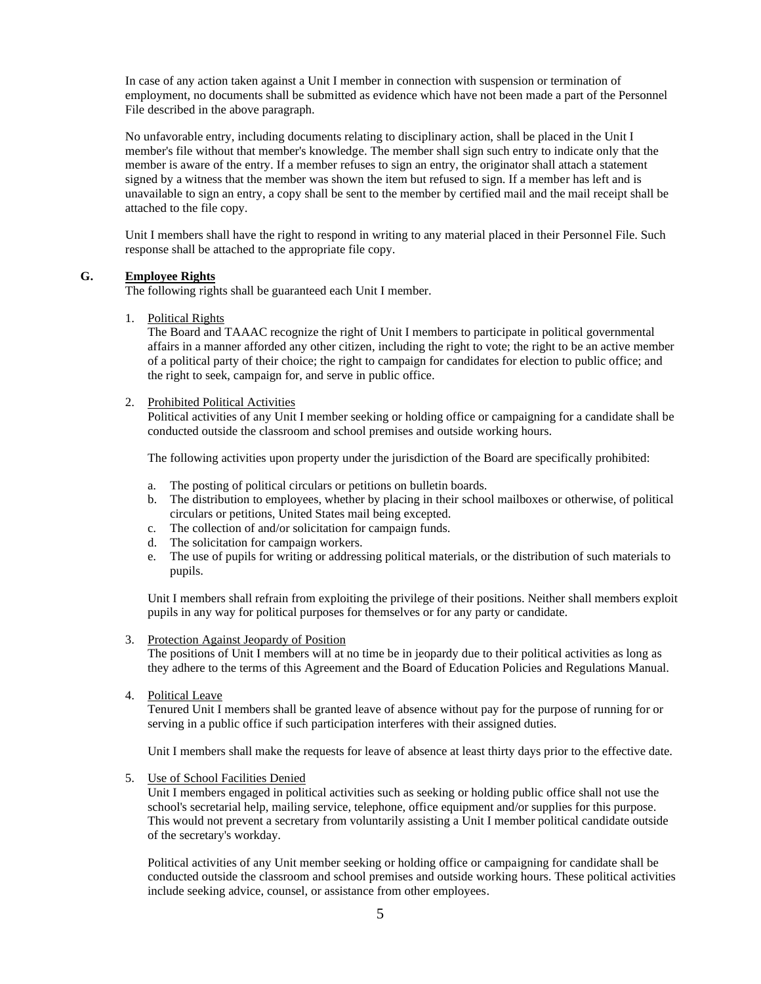In case of any action taken against a Unit I member in connection with suspension or termination of employment, no documents shall be submitted as evidence which have not been made a part of the Personnel File described in the above paragraph.

No unfavorable entry, including documents relating to disciplinary action, shall be placed in the Unit I member's file without that member's knowledge. The member shall sign such entry to indicate only that the member is aware of the entry. If a member refuses to sign an entry, the originator shall attach a statement signed by a witness that the member was shown the item but refused to sign. If a member has left and is unavailable to sign an entry, a copy shall be sent to the member by certified mail and the mail receipt shall be attached to the file copy.

Unit I members shall have the right to respond in writing to any material placed in their Personnel File. Such response shall be attached to the appropriate file copy.

#### **G. Employee Rights**

The following rights shall be guaranteed each Unit I member.

1. Political Rights

The Board and TAAAC recognize the right of Unit I members to participate in political governmental affairs in a manner afforded any other citizen, including the right to vote; the right to be an active member of a political party of their choice; the right to campaign for candidates for election to public office; and the right to seek, campaign for, and serve in public office.

#### 2. Prohibited Political Activities

Political activities of any Unit I member seeking or holding office or campaigning for a candidate shall be conducted outside the classroom and school premises and outside working hours.

The following activities upon property under the jurisdiction of the Board are specifically prohibited:

- a. The posting of political circulars or petitions on bulletin boards.
- b. The distribution to employees, whether by placing in their school mailboxes or otherwise, of political circulars or petitions, United States mail being excepted.
- c. The collection of and/or solicitation for campaign funds.
- d. The solicitation for campaign workers.
- e. The use of pupils for writing or addressing political materials, or the distribution of such materials to pupils.

Unit I members shall refrain from exploiting the privilege of their positions. Neither shall members exploit pupils in any way for political purposes for themselves or for any party or candidate.

3. Protection Against Jeopardy of Position

The positions of Unit I members will at no time be in jeopardy due to their political activities as long as they adhere to the terms of this Agreement and the Board of Education Policies and Regulations Manual.

4. Political Leave

Tenured Unit I members shall be granted leave of absence without pay for the purpose of running for or serving in a public office if such participation interferes with their assigned duties.

Unit I members shall make the requests for leave of absence at least thirty days prior to the effective date.

5. Use of School Facilities Denied

Unit I members engaged in political activities such as seeking or holding public office shall not use the school's secretarial help, mailing service, telephone, office equipment and/or supplies for this purpose. This would not prevent a secretary from voluntarily assisting a Unit I member political candidate outside of the secretary's workday.

Political activities of any Unit member seeking or holding office or campaigning for candidate shall be conducted outside the classroom and school premises and outside working hours. These political activities include seeking advice, counsel, or assistance from other employees.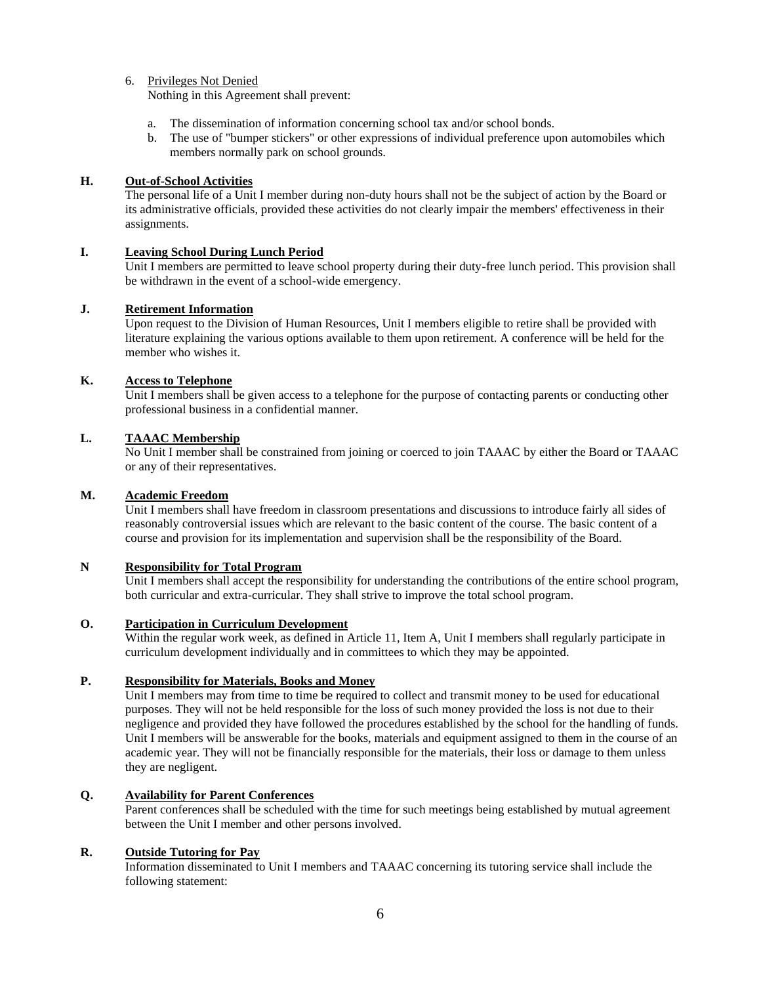## 6. Privileges Not Denied

Nothing in this Agreement shall prevent:

- a. The dissemination of information concerning school tax and/or school bonds.
- b. The use of "bumper stickers" or other expressions of individual preference upon automobiles which members normally park on school grounds.

## **H. Out-of-School Activities**

The personal life of a Unit I member during non-duty hours shall not be the subject of action by the Board or its administrative officials, provided these activities do not clearly impair the members' effectiveness in their assignments.

## **I. Leaving School During Lunch Period**

Unit I members are permitted to leave school property during their duty-free lunch period. This provision shall be withdrawn in the event of a school-wide emergency.

## **J. Retirement Information**

Upon request to the Division of Human Resources, Unit I members eligible to retire shall be provided with literature explaining the various options available to them upon retirement. A conference will be held for the member who wishes it.

## **K. Access to Telephone**

Unit I members shall be given access to a telephone for the purpose of contacting parents or conducting other professional business in a confidential manner.

## **L. TAAAC Membership**

No Unit I member shall be constrained from joining or coerced to join TAAAC by either the Board or TAAAC or any of their representatives.

## **M. Academic Freedom**

Unit I members shall have freedom in classroom presentations and discussions to introduce fairly all sides of reasonably controversial issues which are relevant to the basic content of the course. The basic content of a course and provision for its implementation and supervision shall be the responsibility of the Board.

## **N Responsibility for Total Program**

Unit I members shall accept the responsibility for understanding the contributions of the entire school program, both curricular and extra-curricular. They shall strive to improve the total school program.

## **O. Participation in Curriculum Development**

Within the regular work week, as defined in Article 11, Item A, Unit I members shall regularly participate in curriculum development individually and in committees to which they may be appointed.

## **P. Responsibility for Materials, Books and Money**

Unit I members may from time to time be required to collect and transmit money to be used for educational purposes. They will not be held responsible for the loss of such money provided the loss is not due to their negligence and provided they have followed the procedures established by the school for the handling of funds. Unit I members will be answerable for the books, materials and equipment assigned to them in the course of an academic year. They will not be financially responsible for the materials, their loss or damage to them unless they are negligent.

## **Q. Availability for Parent Conferences**

Parent conferences shall be scheduled with the time for such meetings being established by mutual agreement between the Unit I member and other persons involved.

## **R. Outside Tutoring for Pay**

Information disseminated to Unit I members and TAAAC concerning its tutoring service shall include the following statement: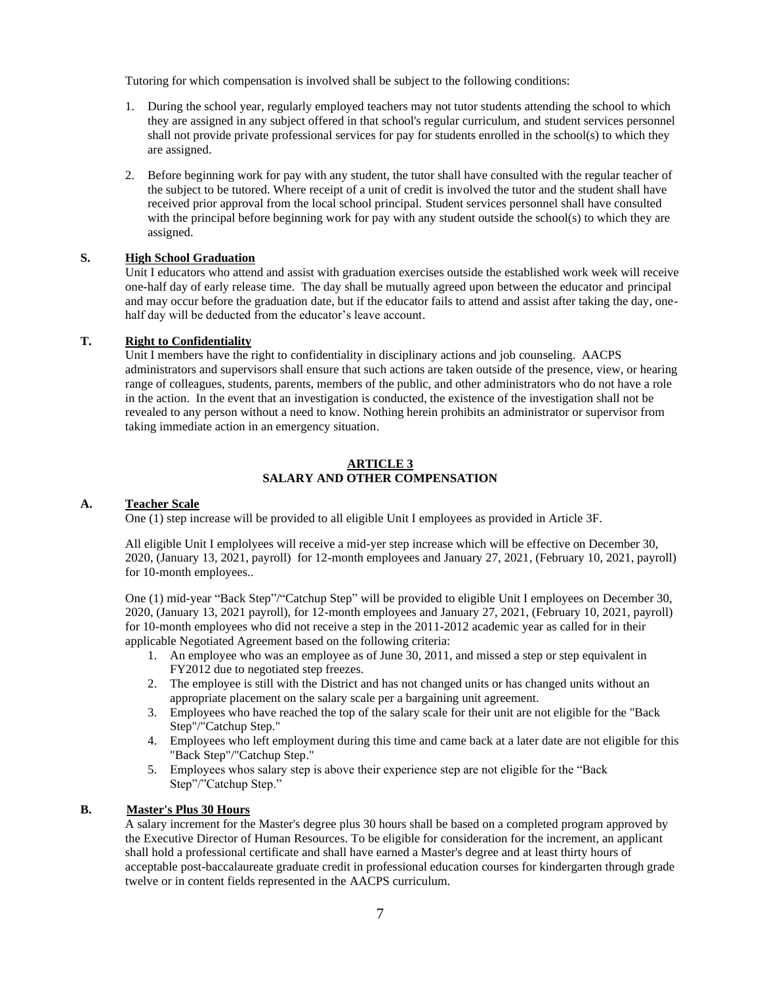Tutoring for which compensation is involved shall be subject to the following conditions:

- 1. During the school year, regularly employed teachers may not tutor students attending the school to which they are assigned in any subject offered in that school's regular curriculum, and student services personnel shall not provide private professional services for pay for students enrolled in the school(s) to which they are assigned.
- 2. Before beginning work for pay with any student, the tutor shall have consulted with the regular teacher of the subject to be tutored. Where receipt of a unit of credit is involved the tutor and the student shall have received prior approval from the local school principal. Student services personnel shall have consulted with the principal before beginning work for pay with any student outside the school(s) to which they are assigned.

#### **S. High School Graduation**

Unit I educators who attend and assist with graduation exercises outside the established work week will receive one-half day of early release time. The day shall be mutually agreed upon between the educator and principal and may occur before the graduation date, but if the educator fails to attend and assist after taking the day, onehalf day will be deducted from the educator's leave account.

#### **T. Right to Confidentiality**

Unit I members have the right to confidentiality in disciplinary actions and job counseling. AACPS administrators and supervisors shall ensure that such actions are taken outside of the presence, view, or hearing range of colleagues, students, parents, members of the public, and other administrators who do not have a role in the action. In the event that an investigation is conducted, the existence of the investigation shall not be revealed to any person without a need to know. Nothing herein prohibits an administrator or supervisor from taking immediate action in an emergency situation.

### **ARTICLE 3 SALARY AND OTHER COMPENSATION**

#### **A. Teacher Scale**

One (1) step increase will be provided to all eligible Unit I employees as provided in Article 3F.

All eligible Unit I emplolyees will receive a mid-yer step increase which will be effective on December 30, 2020, (January 13, 2021, payroll) for 12-month employees and January 27, 2021, (February 10, 2021, payroll) for 10-month employees..

One (1) mid-year "Back Step"/"Catchup Step" will be provided to eligible Unit I employees on December 30, 2020, (January 13, 2021 payroll), for 12-month employees and January 27, 2021, (February 10, 2021, payroll) for 10-month employees who did not receive a step in the 2011-2012 academic year as called for in their applicable Negotiated Agreement based on the following criteria:

- 1. An employee who was an employee as of June 30, 2011, and missed a step or step equivalent in FY2012 due to negotiated step freezes.
- 2. The employee is still with the District and has not changed units or has changed units without an appropriate placement on the salary scale per a bargaining unit agreement.
- 3. Employees who have reached the top of the salary scale for their unit are not eligible for the "Back Step"/"Catchup Step."
- 4. Employees who left employment during this time and came back at a later date are not eligible for this "Back Step"/"Catchup Step."
- 5. Employees whos salary step is above their experience step are not eligible for the "Back Step"/"Catchup Step."

#### **B. Master's Plus 30 Hours**

A salary increment for the Master's degree plus 30 hours shall be based on a completed program approved by the Executive Director of Human Resources. To be eligible for consideration for the increment, an applicant shall hold a professional certificate and shall have earned a Master's degree and at least thirty hours of acceptable post-baccalaureate graduate credit in professional education courses for kindergarten through grade twelve or in content fields represented in the AACPS curriculum.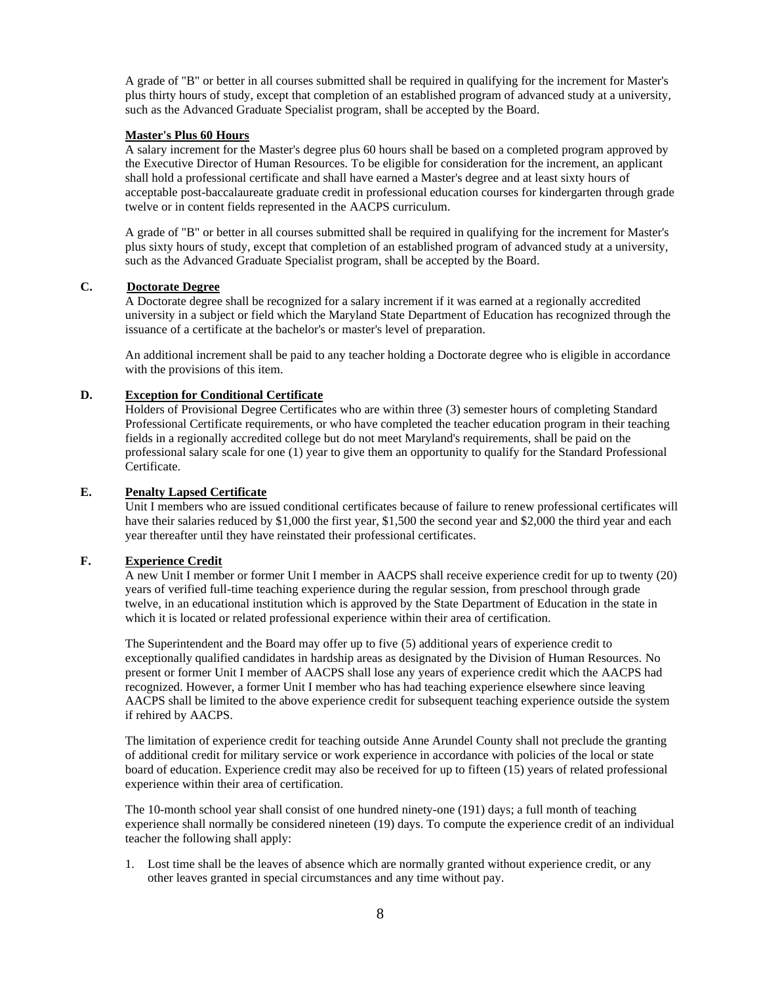A grade of "B" or better in all courses submitted shall be required in qualifying for the increment for Master's plus thirty hours of study, except that completion of an established program of advanced study at a university, such as the Advanced Graduate Specialist program, shall be accepted by the Board.

#### **Master's Plus 60 Hours**

A salary increment for the Master's degree plus 60 hours shall be based on a completed program approved by the Executive Director of Human Resources. To be eligible for consideration for the increment, an applicant shall hold a professional certificate and shall have earned a Master's degree and at least sixty hours of acceptable post-baccalaureate graduate credit in professional education courses for kindergarten through grade twelve or in content fields represented in the AACPS curriculum.

A grade of "B" or better in all courses submitted shall be required in qualifying for the increment for Master's plus sixty hours of study, except that completion of an established program of advanced study at a university, such as the Advanced Graduate Specialist program, shall be accepted by the Board.

#### **C. Doctorate Degree**

A Doctorate degree shall be recognized for a salary increment if it was earned at a regionally accredited university in a subject or field which the Maryland State Department of Education has recognized through the issuance of a certificate at the bachelor's or master's level of preparation.

An additional increment shall be paid to any teacher holding a Doctorate degree who is eligible in accordance with the provisions of this item.

#### **D. Exception for Conditional Certificate**

Holders of Provisional Degree Certificates who are within three (3) semester hours of completing Standard Professional Certificate requirements, or who have completed the teacher education program in their teaching fields in a regionally accredited college but do not meet Maryland's requirements, shall be paid on the professional salary scale for one (1) year to give them an opportunity to qualify for the Standard Professional Certificate.

#### **E. Penalty Lapsed Certificate**

Unit I members who are issued conditional certificates because of failure to renew professional certificates will have their salaries reduced by \$1,000 the first year, \$1,500 the second year and \$2,000 the third year and each year thereafter until they have reinstated their professional certificates.

#### **F. Experience Credit**

A new Unit I member or former Unit I member in AACPS shall receive experience credit for up to twenty (20) years of verified full-time teaching experience during the regular session, from preschool through grade twelve, in an educational institution which is approved by the State Department of Education in the state in which it is located or related professional experience within their area of certification.

The Superintendent and the Board may offer up to five (5) additional years of experience credit to exceptionally qualified candidates in hardship areas as designated by the Division of Human Resources. No present or former Unit I member of AACPS shall lose any years of experience credit which the AACPS had recognized. However, a former Unit I member who has had teaching experience elsewhere since leaving AACPS shall be limited to the above experience credit for subsequent teaching experience outside the system if rehired by AACPS.

The limitation of experience credit for teaching outside Anne Arundel County shall not preclude the granting of additional credit for military service or work experience in accordance with policies of the local or state board of education. Experience credit may also be received for up to fifteen (15) years of related professional experience within their area of certification.

The 10-month school year shall consist of one hundred ninety-one (191) days; a full month of teaching experience shall normally be considered nineteen (19) days. To compute the experience credit of an individual teacher the following shall apply:

1. Lost time shall be the leaves of absence which are normally granted without experience credit, or any other leaves granted in special circumstances and any time without pay.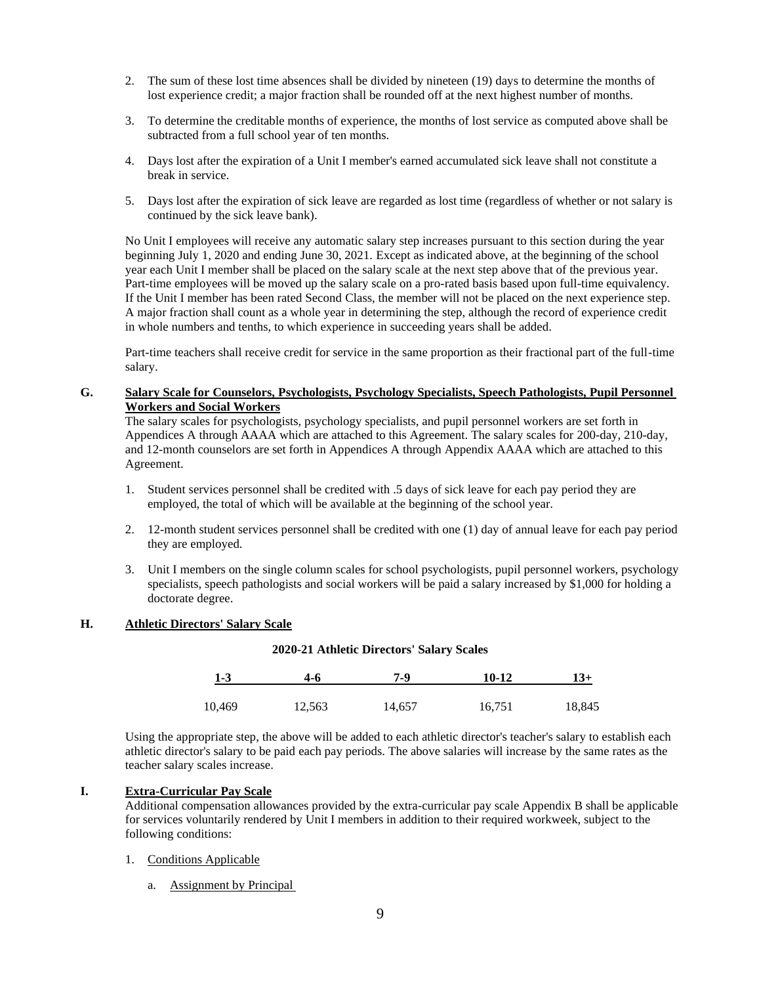- 2. The sum of these lost time absences shall be divided by nineteen (19) days to determine the months of lost experience credit; a major fraction shall be rounded off at the next highest number of months.
- 3. To determine the creditable months of experience, the months of lost service as computed above shall be subtracted from a full school year of ten months.
- 4. Days lost after the expiration of a Unit I member's earned accumulated sick leave shall not constitute a break in service.
- 5. Days lost after the expiration of sick leave are regarded as lost time (regardless of whether or not salary is continued by the sick leave bank).

No Unit I employees will receive any automatic salary step increases pursuant to this section during the year beginning July 1, 2020 and ending June 30, 2021. Except as indicated above, at the beginning of the school year each Unit I member shall be placed on the salary scale at the next step above that of the previous year. Part-time employees will be moved up the salary scale on a pro-rated basis based upon full-time equivalency. If the Unit I member has been rated Second Class, the member will not be placed on the next experience step. A major fraction shall count as a whole year in determining the step, although the record of experience credit in whole numbers and tenths, to which experience in succeeding years shall be added.

Part-time teachers shall receive credit for service in the same proportion as their fractional part of the full-time salary.

#### **G. Salary Scale for Counselors, Psychologists, Psychology Specialists, Speech Pathologists, Pupil Personnel Workers and Social Workers**

The salary scales for psychologists, psychology specialists, and pupil personnel workers are set forth in Appendices A through AAAA which are attached to this Agreement. The salary scales for 200-day, 210-day, and 12-month counselors are set forth in Appendices A through Appendix AAAA which are attached to this Agreement.

- 1. Student services personnel shall be credited with .5 days of sick leave for each pay period they are employed, the total of which will be available at the beginning of the school year.
- 2. 12-month student services personnel shall be credited with one (1) day of annual leave for each pay period they are employed.
- 3. Unit I members on the single column scales for school psychologists, pupil personnel workers, psychology specialists, speech pathologists and social workers will be paid a salary increased by \$1,000 for holding a doctorate degree.

## **H. Athletic Directors' Salary Scale**

# **1-3 4-6 7-9 10-12 13+** 10,469 12,563 14,657 16,751 18,845

**2020-21 Athletic Directors' Salary Scales**

Using the appropriate step, the above will be added to each athletic director's teacher's salary to establish each athletic director's salary to be paid each pay periods. The above salaries will increase by the same rates as the teacher salary scales increase.

#### **I. Extra-Curricular Pay Scale**

Additional compensation allowances provided by the extra-curricular pay scale Appendix B shall be applicable for services voluntarily rendered by Unit I members in addition to their required workweek, subject to the following conditions:

- 1. Conditions Applicable
	- a. Assignment by Principal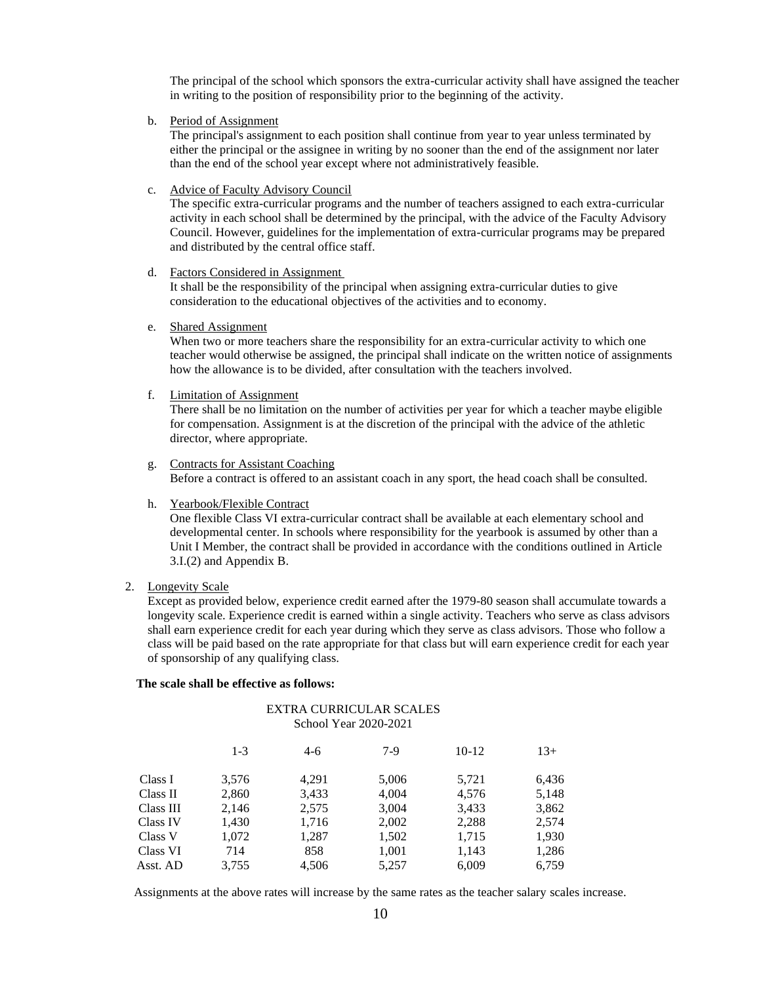The principal of the school which sponsors the extra-curricular activity shall have assigned the teacher in writing to the position of responsibility prior to the beginning of the activity.

b. Period of Assignment

The principal's assignment to each position shall continue from year to year unless terminated by either the principal or the assignee in writing by no sooner than the end of the assignment nor later than the end of the school year except where not administratively feasible.

c. Advice of Faculty Advisory Council

The specific extra-curricular programs and the number of teachers assigned to each extra-curricular activity in each school shall be determined by the principal, with the advice of the Faculty Advisory Council. However, guidelines for the implementation of extra-curricular programs may be prepared and distributed by the central office staff.

d. Factors Considered in Assignment

It shall be the responsibility of the principal when assigning extra-curricular duties to give consideration to the educational objectives of the activities and to economy.

e. Shared Assignment

When two or more teachers share the responsibility for an extra-curricular activity to which one teacher would otherwise be assigned, the principal shall indicate on the written notice of assignments how the allowance is to be divided, after consultation with the teachers involved.

f. Limitation of Assignment

There shall be no limitation on the number of activities per year for which a teacher maybe eligible for compensation. Assignment is at the discretion of the principal with the advice of the athletic director, where appropriate.

g. Contracts for Assistant Coaching

Before a contract is offered to an assistant coach in any sport, the head coach shall be consulted.

h. Yearbook/Flexible Contract

One flexible Class VI extra-curricular contract shall be available at each elementary school and developmental center. In schools where responsibility for the yearbook is assumed by other than a Unit I Member, the contract shall be provided in accordance with the conditions outlined in Article 3.I.(2) and Appendix B.

#### 2. Longevity Scale

Except as provided below, experience credit earned after the 1979-80 season shall accumulate towards a longevity scale. Experience credit is earned within a single activity. Teachers who serve as class advisors shall earn experience credit for each year during which they serve as class advisors. Those who follow a class will be paid based on the rate appropriate for that class but will earn experience credit for each year of sponsorship of any qualifying class.

#### **The scale shall be effective as follows:**

#### EXTRA CURRICULAR SCALES School Year 2020-2021

|           | $1 - 3$ | $4-6$ | $7-9$ | $10-12$ | $13+$ |
|-----------|---------|-------|-------|---------|-------|
| Class I   | 3,576   | 4.291 | 5,006 | 5,721   | 6,436 |
| Class II  | 2,860   | 3,433 | 4,004 | 4,576   | 5,148 |
| Class III | 2,146   | 2,575 | 3,004 | 3,433   | 3,862 |
| Class IV  | 1,430   | 1,716 | 2,002 | 2,288   | 2,574 |
| Class V   | 1.072   | 1,287 | 1,502 | 1,715   | 1,930 |
| Class VI  | 714     | 858   | 1,001 | 1,143   | 1,286 |
| Asst. AD  | 3,755   | 4.506 | 5,257 | 6,009   | 6.759 |

Assignments at the above rates will increase by the same rates as the teacher salary scales increase.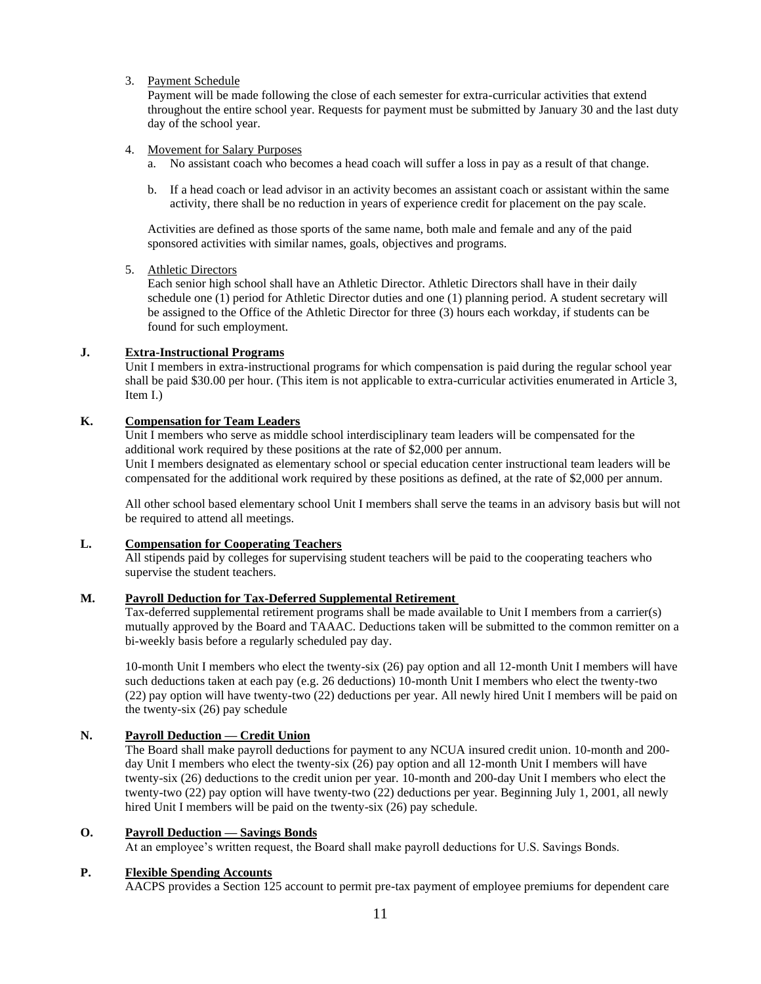3. Payment Schedule

Payment will be made following the close of each semester for extra-curricular activities that extend throughout the entire school year. Requests for payment must be submitted by January 30 and the last duty day of the school year.

#### 4. Movement for Salary Purposes

- a. No assistant coach who becomes a head coach will suffer a loss in pay as a result of that change.
- b. If a head coach or lead advisor in an activity becomes an assistant coach or assistant within the same activity, there shall be no reduction in years of experience credit for placement on the pay scale.

Activities are defined as those sports of the same name, both male and female and any of the paid sponsored activities with similar names, goals, objectives and programs.

5. Athletic Directors

Each senior high school shall have an Athletic Director. Athletic Directors shall have in their daily schedule one (1) period for Athletic Director duties and one (1) planning period. A student secretary will be assigned to the Office of the Athletic Director for three (3) hours each workday, if students can be found for such employment.

## **J. Extra-Instructional Programs**

Unit I members in extra-instructional programs for which compensation is paid during the regular school year shall be paid \$30.00 per hour. (This item is not applicable to extra-curricular activities enumerated in Article 3, Item I.)

## **K. Compensation for Team Leaders**

Unit I members who serve as middle school interdisciplinary team leaders will be compensated for the additional work required by these positions at the rate of \$2,000 per annum. Unit I members designated as elementary school or special education center instructional team leaders will be compensated for the additional work required by these positions as defined, at the rate of \$2,000 per annum.

All other school based elementary school Unit I members shall serve the teams in an advisory basis but will not be required to attend all meetings.

## **L. Compensation for Cooperating Teachers**

All stipends paid by colleges for supervising student teachers will be paid to the cooperating teachers who supervise the student teachers.

## **M. Payroll Deduction for Tax-Deferred Supplemental Retirement**

Tax-deferred supplemental retirement programs shall be made available to Unit I members from a carrier(s) mutually approved by the Board and TAAAC. Deductions taken will be submitted to the common remitter on a bi-weekly basis before a regularly scheduled pay day.

10-month Unit I members who elect the twenty-six (26) pay option and all 12-month Unit I members will have such deductions taken at each pay (e.g. 26 deductions) 10-month Unit I members who elect the twenty-two (22) pay option will have twenty-two (22) deductions per year. All newly hired Unit I members will be paid on the twenty-six (26) pay schedule

## **N. Payroll Deduction — Credit Union**

The Board shall make payroll deductions for payment to any NCUA insured credit union. 10-month and 200 day Unit I members who elect the twenty-six (26) pay option and all 12-month Unit I members will have twenty-six (26) deductions to the credit union per year. 10-month and 200-day Unit I members who elect the twenty-two (22) pay option will have twenty-two (22) deductions per year. Beginning July 1, 2001, all newly hired Unit I members will be paid on the twenty-six (26) pay schedule.

#### **O. Payroll Deduction — Savings Bonds**

At an employee's written request, the Board shall make payroll deductions for U.S. Savings Bonds.

#### **P. Flexible Spending Accounts**

AACPS provides a Section 125 account to permit pre-tax payment of employee premiums for dependent care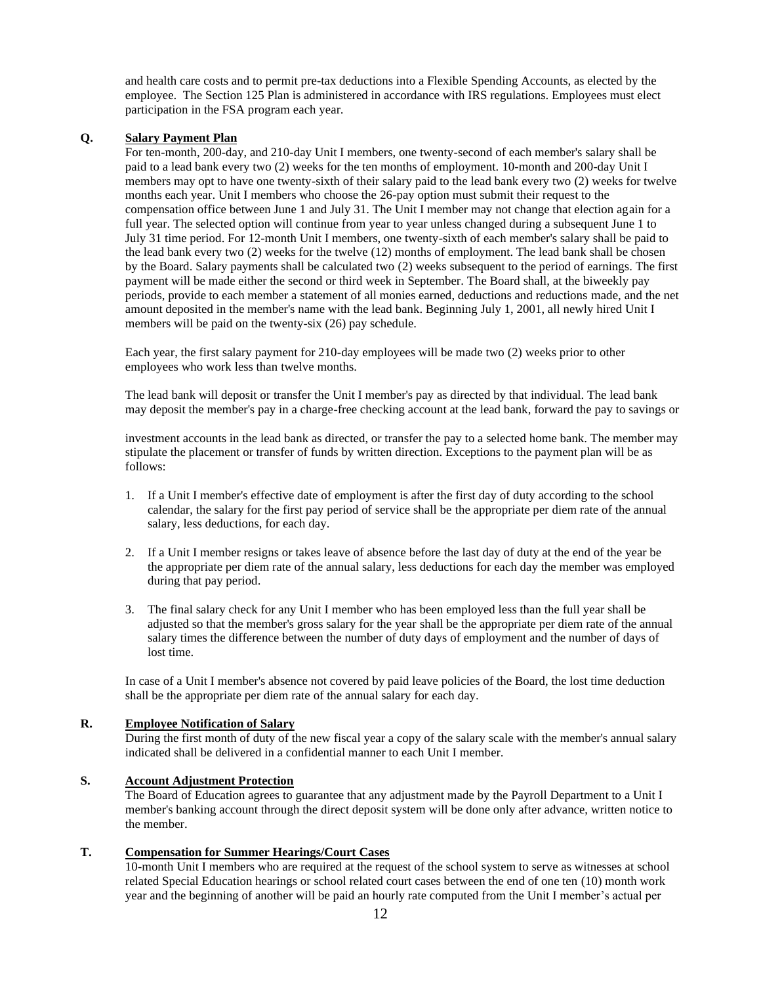and health care costs and to permit pre-tax deductions into a Flexible Spending Accounts, as elected by the employee. The Section 125 Plan is administered in accordance with IRS regulations. Employees must elect participation in the FSA program each year.

#### **Q. Salary Payment Plan**

For ten-month, 200-day, and 210-day Unit I members, one twenty-second of each member's salary shall be paid to a lead bank every two (2) weeks for the ten months of employment. 10-month and 200-day Unit I members may opt to have one twenty-sixth of their salary paid to the lead bank every two (2) weeks for twelve months each year. Unit I members who choose the 26-pay option must submit their request to the compensation office between June 1 and July 31. The Unit I member may not change that election again for a full year. The selected option will continue from year to year unless changed during a subsequent June 1 to July 31 time period. For 12-month Unit I members, one twenty-sixth of each member's salary shall be paid to the lead bank every two (2) weeks for the twelve (12) months of employment. The lead bank shall be chosen by the Board. Salary payments shall be calculated two (2) weeks subsequent to the period of earnings. The first payment will be made either the second or third week in September. The Board shall, at the biweekly pay periods, provide to each member a statement of all monies earned, deductions and reductions made, and the net amount deposited in the member's name with the lead bank. Beginning July 1, 2001, all newly hired Unit I members will be paid on the twenty-six (26) pay schedule.

Each year, the first salary payment for 210-day employees will be made two (2) weeks prior to other employees who work less than twelve months.

The lead bank will deposit or transfer the Unit I member's pay as directed by that individual. The lead bank may deposit the member's pay in a charge-free checking account at the lead bank, forward the pay to savings or

investment accounts in the lead bank as directed, or transfer the pay to a selected home bank. The member may stipulate the placement or transfer of funds by written direction. Exceptions to the payment plan will be as follows:

- 1. If a Unit I member's effective date of employment is after the first day of duty according to the school calendar, the salary for the first pay period of service shall be the appropriate per diem rate of the annual salary, less deductions, for each day.
- 2. If a Unit I member resigns or takes leave of absence before the last day of duty at the end of the year be the appropriate per diem rate of the annual salary, less deductions for each day the member was employed during that pay period.
- 3. The final salary check for any Unit I member who has been employed less than the full year shall be adjusted so that the member's gross salary for the year shall be the appropriate per diem rate of the annual salary times the difference between the number of duty days of employment and the number of days of lost time.

In case of a Unit I member's absence not covered by paid leave policies of the Board, the lost time deduction shall be the appropriate per diem rate of the annual salary for each day.

### **R. Employee Notification of Salary**

During the first month of duty of the new fiscal year a copy of the salary scale with the member's annual salary indicated shall be delivered in a confidential manner to each Unit I member.

#### **S. Account Adjustment Protection**

The Board of Education agrees to guarantee that any adjustment made by the Payroll Department to a Unit I member's banking account through the direct deposit system will be done only after advance, written notice to the member.

#### **T. Compensation for Summer Hearings/Court Cases**

10-month Unit I members who are required at the request of the school system to serve as witnesses at school related Special Education hearings or school related court cases between the end of one ten (10) month work year and the beginning of another will be paid an hourly rate computed from the Unit I member's actual per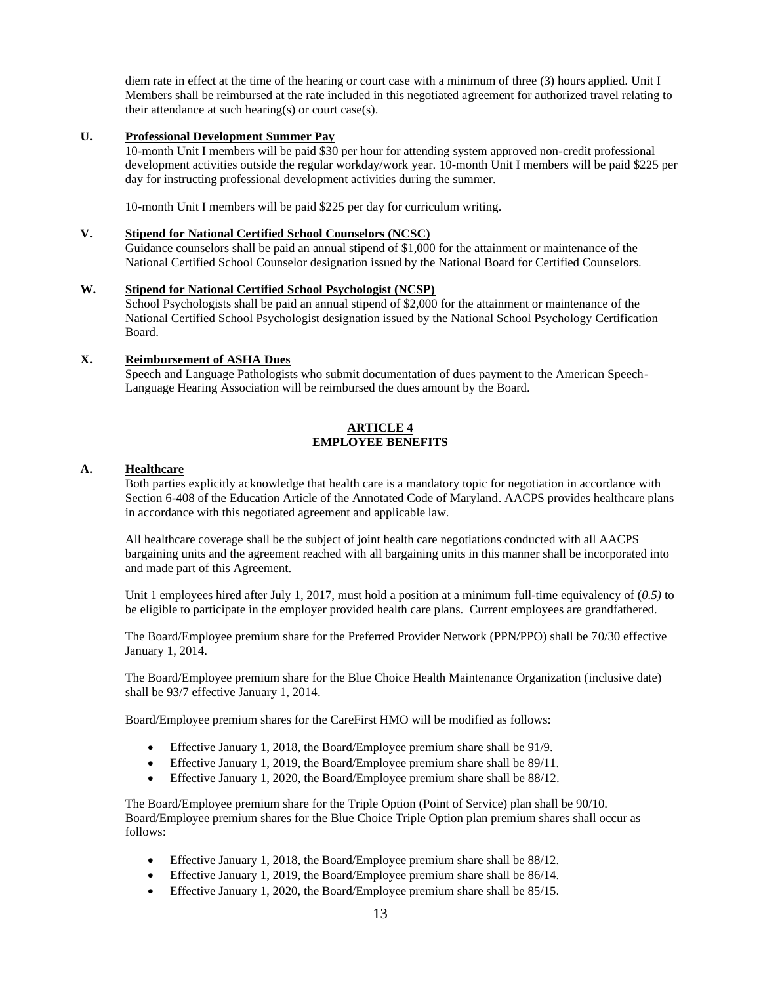diem rate in effect at the time of the hearing or court case with a minimum of three (3) hours applied. Unit I Members shall be reimbursed at the rate included in this negotiated agreement for authorized travel relating to their attendance at such hearing(s) or court case(s).

## **U. Professional Development Summer Pay**

10-month Unit I members will be paid \$30 per hour for attending system approved non-credit professional development activities outside the regular workday/work year. 10-month Unit I members will be paid \$225 per day for instructing professional development activities during the summer.

10-month Unit I members will be paid \$225 per day for curriculum writing.

## **V. Stipend for National Certified School Counselors (NCSC)**

Guidance counselors shall be paid an annual stipend of \$1,000 for the attainment or maintenance of the National Certified School Counselor designation issued by the National Board for Certified Counselors.

## **W. Stipend for National Certified School Psychologist (NCSP)**

School Psychologists shall be paid an annual stipend of \$2,000 for the attainment or maintenance of the National Certified School Psychologist designation issued by the National School Psychology Certification Board.

#### **X. Reimbursement of ASHA Dues**

Speech and Language Pathologists who submit documentation of dues payment to the American Speech-Language Hearing Association will be reimbursed the dues amount by the Board.

#### **ARTICLE 4 EMPLOYEE BENEFITS**

#### **A. Healthcare**

Both parties explicitly acknowledge that health care is a mandatory topic for negotiation in accordance with Section 6-408 of the Education Article of the Annotated Code of Maryland. AACPS provides healthcare plans in accordance with this negotiated agreement and applicable law.

All healthcare coverage shall be the subject of joint health care negotiations conducted with all AACPS bargaining units and the agreement reached with all bargaining units in this manner shall be incorporated into and made part of this Agreement.

Unit 1 employees hired after July 1, 2017, must hold a position at a minimum full-time equivalency of (*0.5)* to be eligible to participate in the employer provided health care plans. Current employees are grandfathered.

The Board/Employee premium share for the Preferred Provider Network (PPN/PPO) shall be 70/30 effective January 1, 2014.

The Board/Employee premium share for the Blue Choice Health Maintenance Organization (inclusive date) shall be 93/7 effective January 1, 2014.

Board/Employee premium shares for the CareFirst HMO will be modified as follows:

- Effective January 1, 2018, the Board/Employee premium share shall be 91/9.
- Effective January 1, 2019, the Board/Employee premium share shall be 89/11.
- Effective January 1, 2020, the Board/Employee premium share shall be 88/12.

The Board/Employee premium share for the Triple Option (Point of Service) plan shall be 90/10. Board/Employee premium shares for the Blue Choice Triple Option plan premium shares shall occur as follows:

- Effective January 1, 2018, the Board/Employee premium share shall be 88/12.
- Effective January 1, 2019, the Board/Employee premium share shall be 86/14.
- Effective January 1, 2020, the Board/Employee premium share shall be 85/15.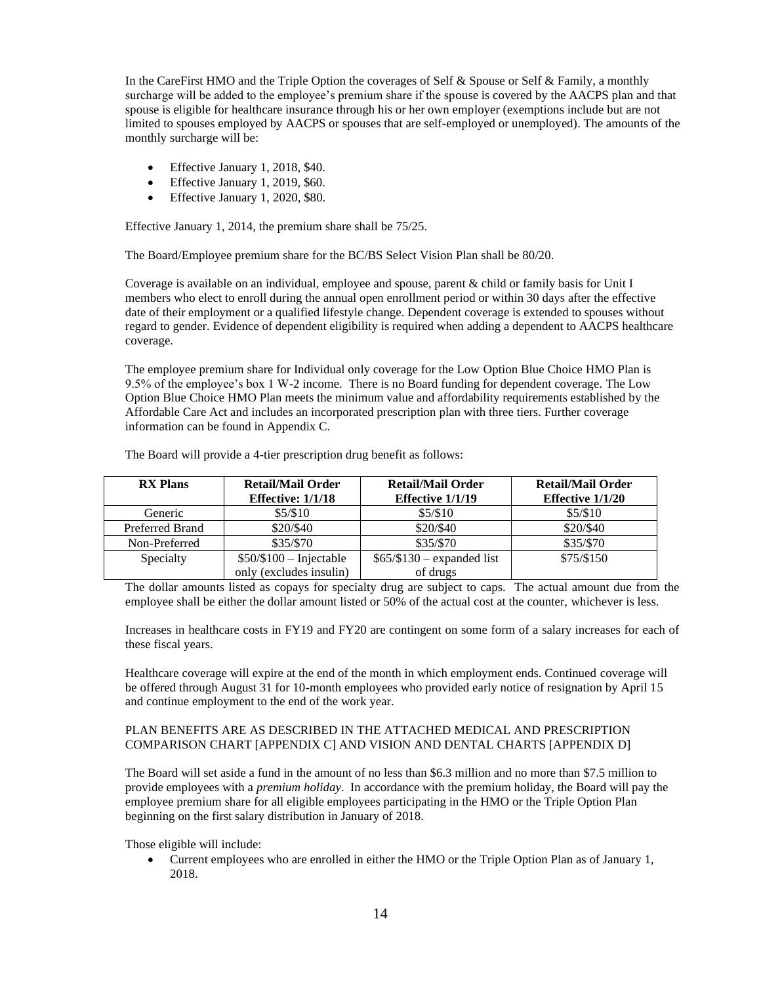In the CareFirst HMO and the Triple Option the coverages of Self & Spouse or Self & Family, a monthly surcharge will be added to the employee's premium share if the spouse is covered by the AACPS plan and that spouse is eligible for healthcare insurance through his or her own employer (exemptions include but are not limited to spouses employed by AACPS or spouses that are self-employed or unemployed). The amounts of the monthly surcharge will be:

- Effective January 1, 2018, \$40.
- Effective January 1, 2019, \$60.
- Effective January 1, 2020, \$80.

Effective January 1, 2014, the premium share shall be 75/25.

The Board/Employee premium share for the BC/BS Select Vision Plan shall be 80/20.

Coverage is available on an individual, employee and spouse, parent & child or family basis for Unit I members who elect to enroll during the annual open enrollment period or within 30 days after the effective date of their employment or a qualified lifestyle change. Dependent coverage is extended to spouses without regard to gender. Evidence of dependent eligibility is required when adding a dependent to AACPS healthcare coverage.

The employee premium share for Individual only coverage for the Low Option Blue Choice HMO Plan is 9.5% of the employee's box 1 W-2 income. There is no Board funding for dependent coverage. The Low Option Blue Choice HMO Plan meets the minimum value and affordability requirements established by the Affordable Care Act and includes an incorporated prescription plan with three tiers. Further coverage information can be found in Appendix C.

| <b>RX</b> Plans | <b>Retail/Mail Order</b> | <b>Retail/Mail Order</b>    | <b>Retail/Mail Order</b> |
|-----------------|--------------------------|-----------------------------|--------------------------|
|                 | Effective: 1/1/18        | Effective 1/1/19            | <b>Effective 1/1/20</b>  |
| <b>Generic</b>  | \$5/\$10                 | \$5/\$10                    | \$5/\$10                 |
| Preferred Brand | \$20/\$40                | \$20/\$40                   | \$20/\$40                |
| Non-Preferred   | \$35/\$70                | \$35/\$70                   | \$35/\$70                |
| Specialty       | $$50/\$100$ - Injectable | $$65/\$130$ – expanded list | \$75/\$150               |
|                 | only (excludes insulin)  | of drugs                    |                          |

The Board will provide a 4-tier prescription drug benefit as follows:

The dollar amounts listed as copays for specialty drug are subject to caps. The actual amount due from the employee shall be either the dollar amount listed or 50% of the actual cost at the counter, whichever is less.

Increases in healthcare costs in FY19 and FY20 are contingent on some form of a salary increases for each of these fiscal years.

Healthcare coverage will expire at the end of the month in which employment ends. Continued coverage will be offered through August 31 for 10-month employees who provided early notice of resignation by April 15 and continue employment to the end of the work year.

#### PLAN BENEFITS ARE AS DESCRIBED IN THE ATTACHED MEDICAL AND PRESCRIPTION COMPARISON CHART [APPENDIX C] AND VISION AND DENTAL CHARTS [APPENDIX D]

The Board will set aside a fund in the amount of no less than \$6.3 million and no more than \$7.5 million to provide employees with a *premium holiday*. In accordance with the premium holiday, the Board will pay the employee premium share for all eligible employees participating in the HMO or the Triple Option Plan beginning on the first salary distribution in January of 2018.

Those eligible will include:

• Current employees who are enrolled in either the HMO or the Triple Option Plan as of January 1, 2018.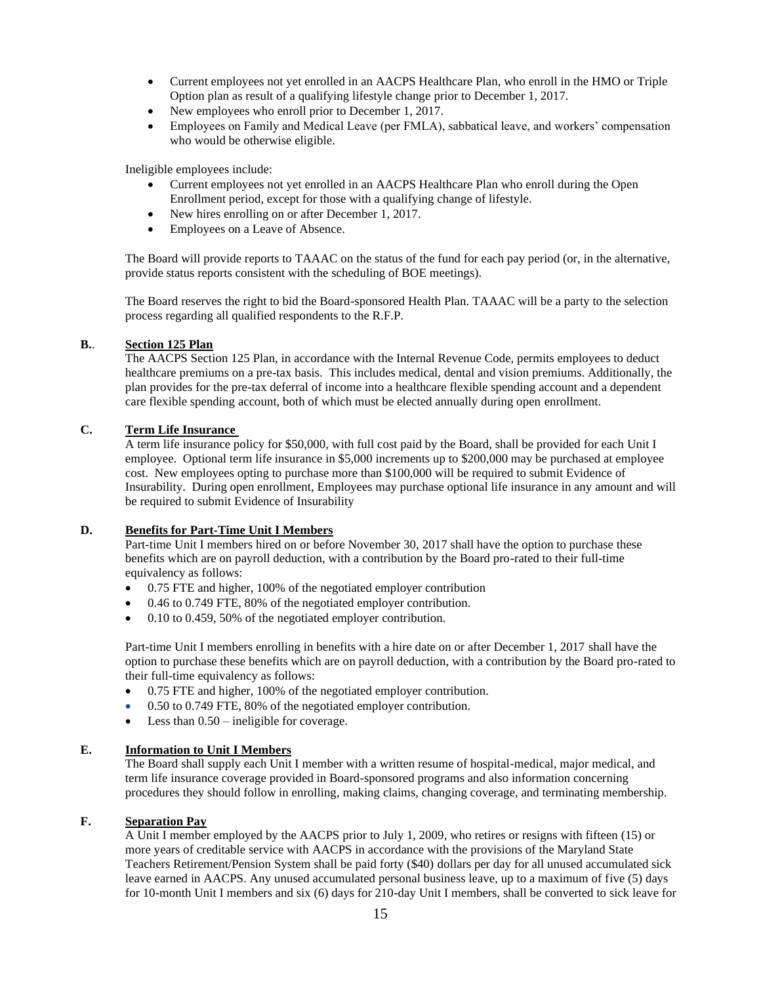- Current employees not yet enrolled in an AACPS Healthcare Plan, who enroll in the HMO or Triple Option plan as result of a qualifying lifestyle change prior to December 1, 2017.
- New employees who enroll prior to December 1, 2017.
- Employees on Family and Medical Leave (per FMLA), sabbatical leave, and workers' compensation who would be otherwise eligible.

Ineligible employees include:

- Current employees not yet enrolled in an AACPS Healthcare Plan who enroll during the Open Enrollment period, except for those with a qualifying change of lifestyle.
- New hires enrolling on or after December 1, 2017.
- Employees on a Leave of Absence.

The Board will provide reports to TAAAC on the status of the fund for each pay period (or, in the alternative, provide status reports consistent with the scheduling of BOE meetings).

The Board reserves the right to bid the Board-sponsored Health Plan. TAAAC will be a party to the selection process regarding all qualified respondents to the R.F.P.

## **B.**. **Section 125 Plan**

The AACPS Section 125 Plan, in accordance with the Internal Revenue Code, permits employees to deduct healthcare premiums on a pre-tax basis. This includes medical, dental and vision premiums. Additionally, the plan provides for the pre-tax deferral of income into a healthcare flexible spending account and a dependent care flexible spending account, both of which must be elected annually during open enrollment.

## **C. Term Life Insurance**

A term life insurance policy for \$50,000, with full cost paid by the Board, shall be provided for each Unit I employee. Optional term life insurance in \$5,000 increments up to \$200,000 may be purchased at employee cost. New employees opting to purchase more than \$100,000 will be required to submit Evidence of Insurability. During open enrollment, Employees may purchase optional life insurance in any amount and will be required to submit Evidence of Insurability

## **D. Benefits for Part-Time Unit I Members**

Part-time Unit I members hired on or before November 30, 2017 shall have the option to purchase these benefits which are on payroll deduction, with a contribution by the Board pro-rated to their full-time equivalency as follows:

- 0.75 FTE and higher, 100% of the negotiated employer contribution
- 0.46 to 0.749 FTE, 80% of the negotiated employer contribution.
- 0.10 to 0.459, 50% of the negotiated employer contribution.

Part-time Unit I members enrolling in benefits with a hire date on or after December 1, 2017 shall have the option to purchase these benefits which are on payroll deduction, with a contribution by the Board pro-rated to their full-time equivalency as follows:

- 0.75 FTE and higher, 100% of the negotiated employer contribution.
- 0.50 to 0.749 FTE, 80% of the negotiated employer contribution.
- Less than  $0.50$  ineligible for coverage.

## **E. Information to Unit I Members**

The Board shall supply each Unit I member with a written resume of hospital-medical, major medical, and term life insurance coverage provided in Board-sponsored programs and also information concerning procedures they should follow in enrolling, making claims, changing coverage, and terminating membership.

## **F. Separation Pay**

A Unit I member employed by the AACPS prior to July 1, 2009, who retires or resigns with fifteen (15) or more years of creditable service with AACPS in accordance with the provisions of the Maryland State Teachers Retirement/Pension System shall be paid forty (\$40) dollars per day for all unused accumulated sick leave earned in AACPS. Any unused accumulated personal business leave, up to a maximum of five (5) days for 10-month Unit I members and six (6) days for 210-day Unit I members, shall be converted to sick leave for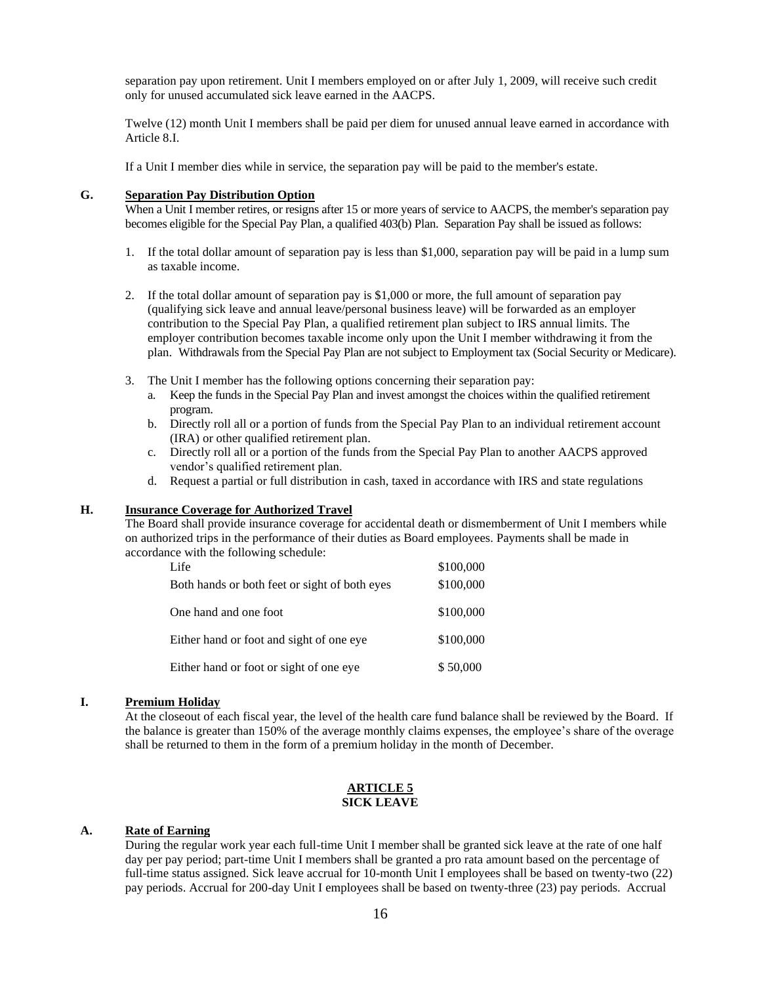separation pay upon retirement. Unit I members employed on or after July 1, 2009, will receive such credit only for unused accumulated sick leave earned in the AACPS.

Twelve (12) month Unit I members shall be paid per diem for unused annual leave earned in accordance with Article 8.I.

If a Unit I member dies while in service, the separation pay will be paid to the member's estate.

#### **G. Separation Pay Distribution Option**

When a Unit I member retires, or resigns after 15 or more years of service to AACPS, the member's separation pay becomes eligible for the Special Pay Plan, a qualified 403(b) Plan. Separation Pay shall be issued as follows:

- 1. If the total dollar amount of separation pay is less than \$1,000, separation pay will be paid in a lump sum as taxable income.
- 2. If the total dollar amount of separation pay is \$1,000 or more, the full amount of separation pay (qualifying sick leave and annual leave/personal business leave) will be forwarded as an employer contribution to the Special Pay Plan, a qualified retirement plan subject to IRS annual limits. The employer contribution becomes taxable income only upon the Unit I member withdrawing it from the plan. Withdrawals from the Special Pay Plan are not subject to Employment tax (Social Security or Medicare).
- 3. The Unit I member has the following options concerning their separation pay:
	- a. Keep the funds in the Special Pay Plan and invest amongst the choices within the qualified retirement program.
	- b. Directly roll all or a portion of funds from the Special Pay Plan to an individual retirement account (IRA) or other qualified retirement plan.
	- c. Directly roll all or a portion of the funds from the Special Pay Plan to another AACPS approved vendor's qualified retirement plan.
	- d. Request a partial or full distribution in cash, taxed in accordance with IRS and state regulations

#### **H. Insurance Coverage for Authorized Travel**

The Board shall provide insurance coverage for accidental death or dismemberment of Unit I members while on authorized trips in the performance of their duties as Board employees. Payments shall be made in accordance with the following schedule:

| Life                                          | \$100,000 |
|-----------------------------------------------|-----------|
| Both hands or both feet or sight of both eyes | \$100,000 |
| One hand and one foot                         | \$100,000 |
| Either hand or foot and sight of one eye      | \$100,000 |
| Either hand or foot or sight of one eye       | \$50,000  |

#### **I. Premium Holiday**

At the closeout of each fiscal year, the level of the health care fund balance shall be reviewed by the Board. If the balance is greater than 150% of the average monthly claims expenses, the employee's share of the overage shall be returned to them in the form of a premium holiday in the month of December.

#### **ARTICLE 5 SICK LEAVE**

#### **A. Rate of Earning**

During the regular work year each full-time Unit I member shall be granted sick leave at the rate of one half day per pay period; part-time Unit I members shall be granted a pro rata amount based on the percentage of full-time status assigned. Sick leave accrual for 10-month Unit I employees shall be based on twenty-two (22) pay periods. Accrual for 200-day Unit I employees shall be based on twenty-three (23) pay periods. Accrual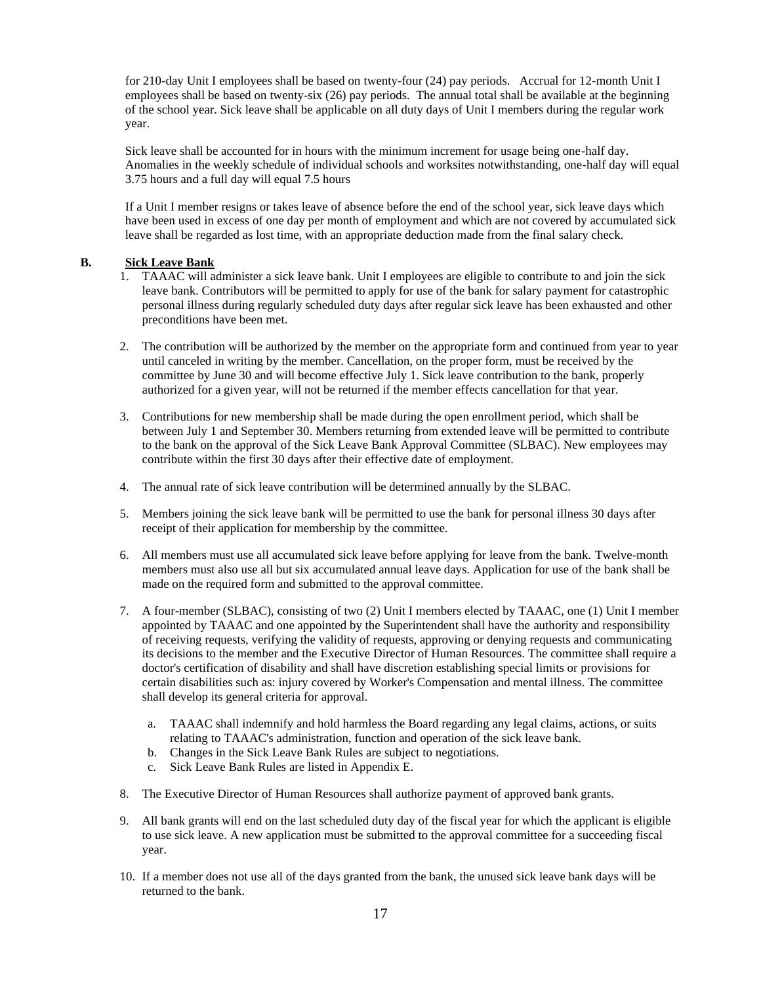for 210-day Unit I employees shall be based on twenty-four (24) pay periods. Accrual for 12-month Unit I employees shall be based on twenty-six (26) pay periods. The annual total shall be available at the beginning of the school year. Sick leave shall be applicable on all duty days of Unit I members during the regular work year.

Sick leave shall be accounted for in hours with the minimum increment for usage being one-half day. Anomalies in the weekly schedule of individual schools and worksites notwithstanding, one-half day will equal 3.75 hours and a full day will equal 7.5 hours

If a Unit I member resigns or takes leave of absence before the end of the school year, sick leave days which have been used in excess of one day per month of employment and which are not covered by accumulated sick leave shall be regarded as lost time, with an appropriate deduction made from the final salary check.

#### **B. Sick Leave Bank**

- 1. TAAAC will administer a sick leave bank. Unit I employees are eligible to contribute to and join the sick leave bank. Contributors will be permitted to apply for use of the bank for salary payment for catastrophic personal illness during regularly scheduled duty days after regular sick leave has been exhausted and other preconditions have been met.
- 2. The contribution will be authorized by the member on the appropriate form and continued from year to year until canceled in writing by the member. Cancellation, on the proper form, must be received by the committee by June 30 and will become effective July 1. Sick leave contribution to the bank, properly authorized for a given year, will not be returned if the member effects cancellation for that year.
- 3. Contributions for new membership shall be made during the open enrollment period, which shall be between July 1 and September 30. Members returning from extended leave will be permitted to contribute to the bank on the approval of the Sick Leave Bank Approval Committee (SLBAC). New employees may contribute within the first 30 days after their effective date of employment.
- 4. The annual rate of sick leave contribution will be determined annually by the SLBAC.
- 5. Members joining the sick leave bank will be permitted to use the bank for personal illness 30 days after receipt of their application for membership by the committee.
- 6. All members must use all accumulated sick leave before applying for leave from the bank. Twelve-month members must also use all but six accumulated annual leave days. Application for use of the bank shall be made on the required form and submitted to the approval committee.
- 7. A four-member (SLBAC), consisting of two (2) Unit I members elected by TAAAC, one (1) Unit I member appointed by TAAAC and one appointed by the Superintendent shall have the authority and responsibility of receiving requests, verifying the validity of requests, approving or denying requests and communicating its decisions to the member and the Executive Director of Human Resources. The committee shall require a doctor's certification of disability and shall have discretion establishing special limits or provisions for certain disabilities such as: injury covered by Worker's Compensation and mental illness. The committee shall develop its general criteria for approval.
	- a. TAAAC shall indemnify and hold harmless the Board regarding any legal claims, actions, or suits relating to TAAAC's administration, function and operation of the sick leave bank.
	- b. Changes in the Sick Leave Bank Rules are subject to negotiations.
	- c. Sick Leave Bank Rules are listed in Appendix E.
- 8. The Executive Director of Human Resources shall authorize payment of approved bank grants.
- 9. All bank grants will end on the last scheduled duty day of the fiscal year for which the applicant is eligible to use sick leave. A new application must be submitted to the approval committee for a succeeding fiscal year.
- 10. If a member does not use all of the days granted from the bank, the unused sick leave bank days will be returned to the bank.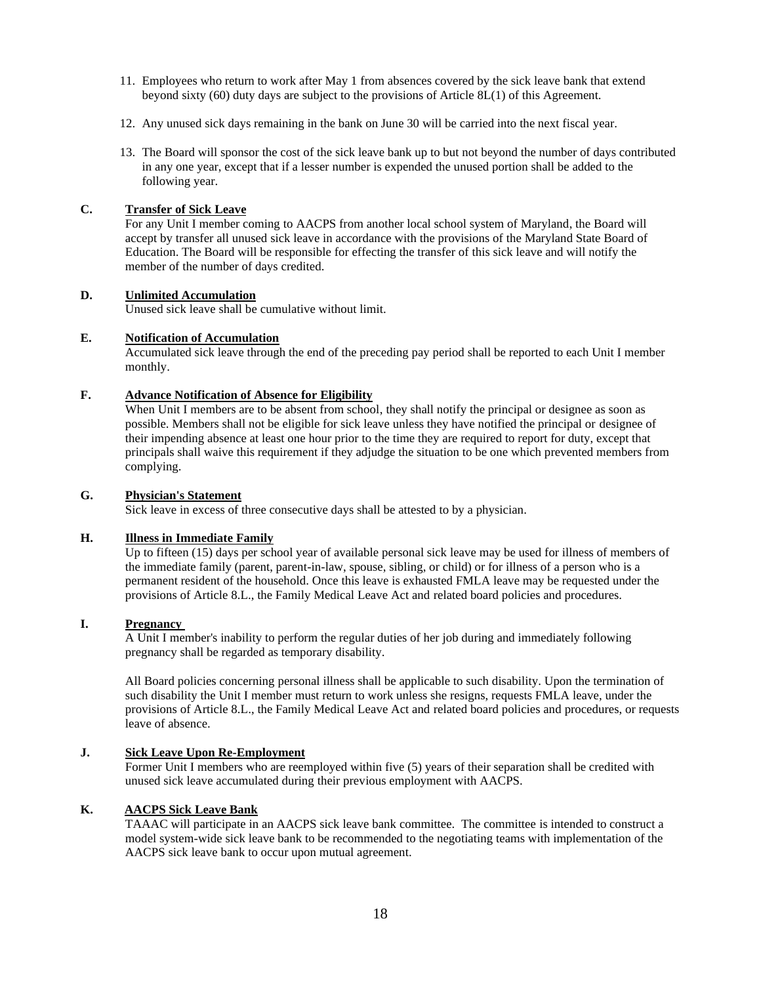- 11. Employees who return to work after May 1 from absences covered by the sick leave bank that extend beyond sixty (60) duty days are subject to the provisions of Article 8L(1) of this Agreement.
- 12. Any unused sick days remaining in the bank on June 30 will be carried into the next fiscal year.
- 13. The Board will sponsor the cost of the sick leave bank up to but not beyond the number of days contributed in any one year, except that if a lesser number is expended the unused portion shall be added to the following year.

## **C. Transfer of Sick Leave**

For any Unit I member coming to AACPS from another local school system of Maryland, the Board will accept by transfer all unused sick leave in accordance with the provisions of the Maryland State Board of Education. The Board will be responsible for effecting the transfer of this sick leave and will notify the member of the number of days credited.

## **D. Unlimited Accumulation**

Unused sick leave shall be cumulative without limit.

## **E. Notification of Accumulation**

Accumulated sick leave through the end of the preceding pay period shall be reported to each Unit I member monthly.

## **F. Advance Notification of Absence for Eligibility**

When Unit I members are to be absent from school, they shall notify the principal or designee as soon as possible. Members shall not be eligible for sick leave unless they have notified the principal or designee of their impending absence at least one hour prior to the time they are required to report for duty, except that principals shall waive this requirement if they adjudge the situation to be one which prevented members from complying.

## **G. Physician's Statement**

Sick leave in excess of three consecutive days shall be attested to by a physician.

## **H. Illness in Immediate Family**

Up to fifteen (15) days per school year of available personal sick leave may be used for illness of members of the immediate family (parent, parent-in-law, spouse, sibling, or child) or for illness of a person who is a permanent resident of the household. Once this leave is exhausted FMLA leave may be requested under the provisions of Article 8.L., the Family Medical Leave Act and related board policies and procedures.

## **I. Pregnancy**

A Unit I member's inability to perform the regular duties of her job during and immediately following pregnancy shall be regarded as temporary disability.

All Board policies concerning personal illness shall be applicable to such disability. Upon the termination of such disability the Unit I member must return to work unless she resigns, requests FMLA leave, under the provisions of Article 8.L., the Family Medical Leave Act and related board policies and procedures, or requests leave of absence.

## **J. Sick Leave Upon Re-Employment**

Former Unit I members who are reemployed within five (5) years of their separation shall be credited with unused sick leave accumulated during their previous employment with AACPS.

## **K. AACPS Sick Leave Bank**

TAAAC will participate in an AACPS sick leave bank committee. The committee is intended to construct a model system-wide sick leave bank to be recommended to the negotiating teams with implementation of the AACPS sick leave bank to occur upon mutual agreement.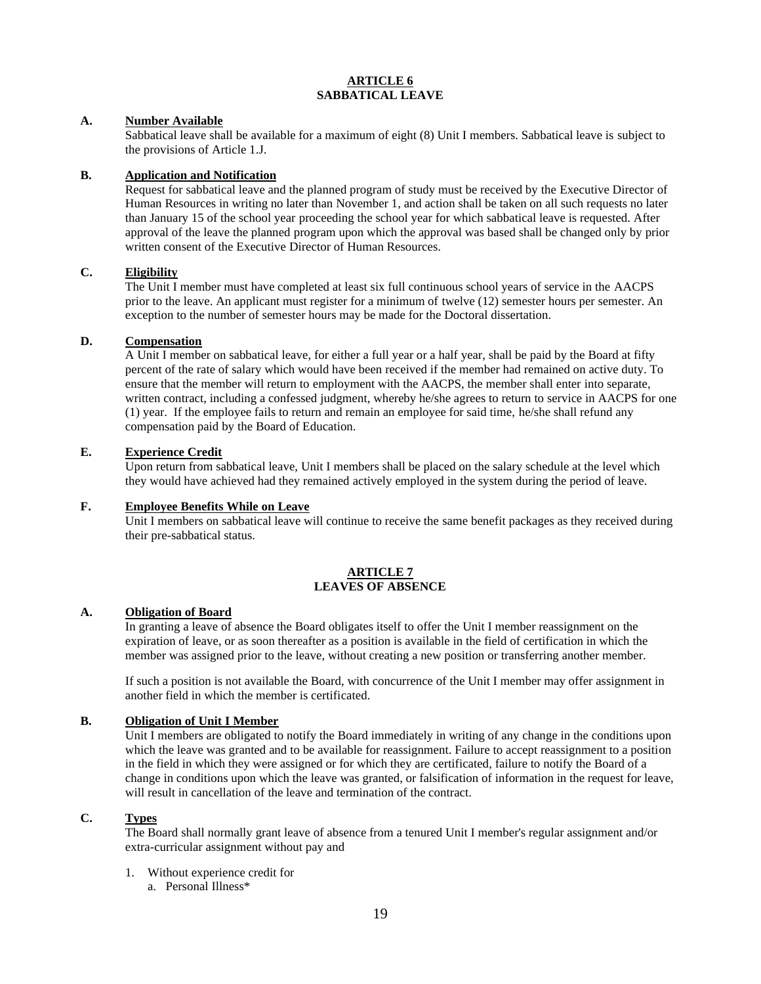## **ARTICLE 6 SABBATICAL LEAVE**

#### **A. Number Available**

Sabbatical leave shall be available for a maximum of eight (8) Unit I members. Sabbatical leave is subject to the provisions of Article 1.J.

#### **B. Application and Notification**

Request for sabbatical leave and the planned program of study must be received by the Executive Director of Human Resources in writing no later than November 1, and action shall be taken on all such requests no later than January 15 of the school year proceeding the school year for which sabbatical leave is requested. After approval of the leave the planned program upon which the approval was based shall be changed only by prior written consent of the Executive Director of Human Resources.

#### **C. Eligibility**

The Unit I member must have completed at least six full continuous school years of service in the AACPS prior to the leave. An applicant must register for a minimum of twelve (12) semester hours per semester. An exception to the number of semester hours may be made for the Doctoral dissertation.

## **D. Compensation**

A Unit I member on sabbatical leave, for either a full year or a half year, shall be paid by the Board at fifty percent of the rate of salary which would have been received if the member had remained on active duty. To ensure that the member will return to employment with the AACPS, the member shall enter into separate, written contract, including a confessed judgment, whereby he/she agrees to return to service in AACPS for one (1) year. If the employee fails to return and remain an employee for said time, he/she shall refund any compensation paid by the Board of Education.

#### **E. Experience Credit**

Upon return from sabbatical leave, Unit I members shall be placed on the salary schedule at the level which they would have achieved had they remained actively employed in the system during the period of leave.

#### **F. Employee Benefits While on Leave**

Unit I members on sabbatical leave will continue to receive the same benefit packages as they received during their pre-sabbatical status.

#### **ARTICLE 7 LEAVES OF ABSENCE**

#### **A. Obligation of Board**

In granting a leave of absence the Board obligates itself to offer the Unit I member reassignment on the expiration of leave, or as soon thereafter as a position is available in the field of certification in which the member was assigned prior to the leave, without creating a new position or transferring another member.

If such a position is not available the Board, with concurrence of the Unit I member may offer assignment in another field in which the member is certificated.

## **B. Obligation of Unit I Member**

Unit I members are obligated to notify the Board immediately in writing of any change in the conditions upon which the leave was granted and to be available for reassignment. Failure to accept reassignment to a position in the field in which they were assigned or for which they are certificated, failure to notify the Board of a change in conditions upon which the leave was granted, or falsification of information in the request for leave, will result in cancellation of the leave and termination of the contract.

#### **C. Types**

The Board shall normally grant leave of absence from a tenured Unit I member's regular assignment and/or extra-curricular assignment without pay and

- 1. Without experience credit for
	- a. Personal Illness\*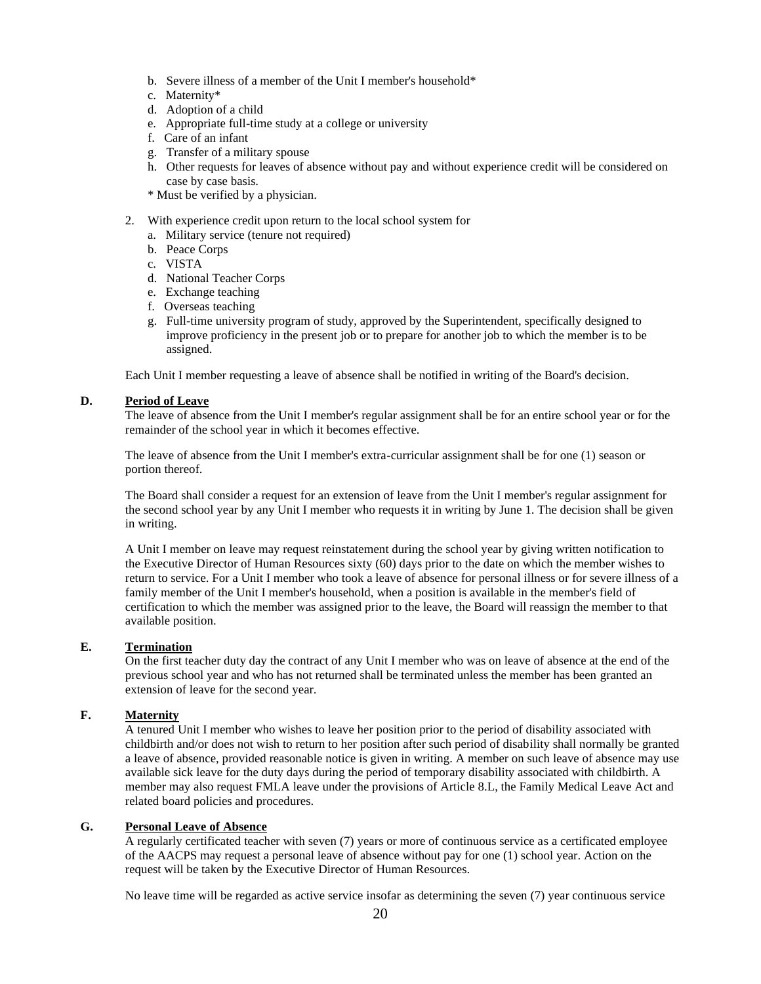- b. Severe illness of a member of the Unit I member's household\*
- c. Maternity\*
- d. Adoption of a child
- e. Appropriate full-time study at a college or university
- f. Care of an infant
- g. Transfer of a military spouse
- h. Other requests for leaves of absence without pay and without experience credit will be considered on case by case basis.
- \* Must be verified by a physician.
- 2. With experience credit upon return to the local school system for
	- a. Military service (tenure not required)
	- b. Peace Corps
	- c. VISTA
	- d. National Teacher Corps
	- e. Exchange teaching
	- f. Overseas teaching
	- g. Full-time university program of study, approved by the Superintendent, specifically designed to improve proficiency in the present job or to prepare for another job to which the member is to be assigned.

Each Unit I member requesting a leave of absence shall be notified in writing of the Board's decision.

#### **D. Period of Leave**

The leave of absence from the Unit I member's regular assignment shall be for an entire school year or for the remainder of the school year in which it becomes effective.

The leave of absence from the Unit I member's extra-curricular assignment shall be for one (1) season or portion thereof.

The Board shall consider a request for an extension of leave from the Unit I member's regular assignment for the second school year by any Unit I member who requests it in writing by June 1. The decision shall be given in writing.

A Unit I member on leave may request reinstatement during the school year by giving written notification to the Executive Director of Human Resources sixty (60) days prior to the date on which the member wishes to return to service. For a Unit I member who took a leave of absence for personal illness or for severe illness of a family member of the Unit I member's household, when a position is available in the member's field of certification to which the member was assigned prior to the leave, the Board will reassign the member to that available position.

## **E. Termination**

On the first teacher duty day the contract of any Unit I member who was on leave of absence at the end of the previous school year and who has not returned shall be terminated unless the member has been granted an extension of leave for the second year.

## **F. Maternity**

A tenured Unit I member who wishes to leave her position prior to the period of disability associated with childbirth and/or does not wish to return to her position after such period of disability shall normally be granted a leave of absence, provided reasonable notice is given in writing. A member on such leave of absence may use available sick leave for the duty days during the period of temporary disability associated with childbirth. A member may also request FMLA leave under the provisions of Article 8.L, the Family Medical Leave Act and related board policies and procedures.

## **G. Personal Leave of Absence**

A regularly certificated teacher with seven (7) years or more of continuous service as a certificated employee of the AACPS may request a personal leave of absence without pay for one (1) school year. Action on the request will be taken by the Executive Director of Human Resources.

No leave time will be regarded as active service insofar as determining the seven (7) year continuous service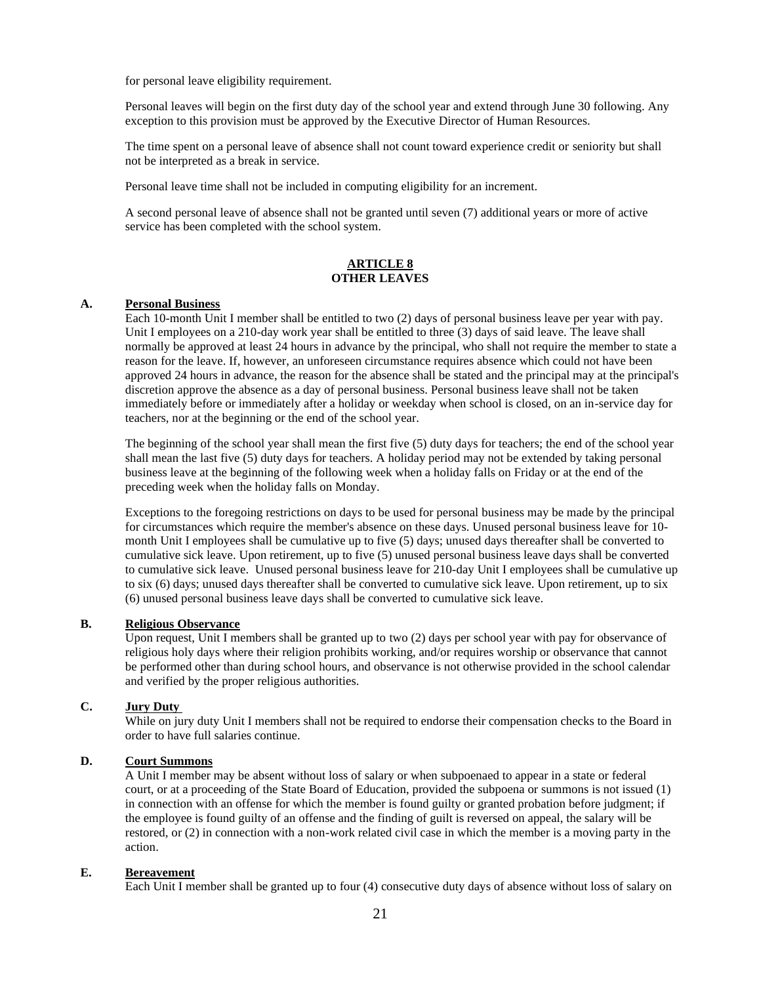for personal leave eligibility requirement.

Personal leaves will begin on the first duty day of the school year and extend through June 30 following. Any exception to this provision must be approved by the Executive Director of Human Resources.

The time spent on a personal leave of absence shall not count toward experience credit or seniority but shall not be interpreted as a break in service.

Personal leave time shall not be included in computing eligibility for an increment.

A second personal leave of absence shall not be granted until seven (7) additional years or more of active service has been completed with the school system.

#### **ARTICLE 8 OTHER LEAVES**

#### **A. Personal Business**

Each 10-month Unit I member shall be entitled to two (2) days of personal business leave per year with pay. Unit I employees on a 210-day work year shall be entitled to three (3) days of said leave. The leave shall normally be approved at least 24 hours in advance by the principal, who shall not require the member to state a reason for the leave. If, however, an unforeseen circumstance requires absence which could not have been approved 24 hours in advance, the reason for the absence shall be stated and the principal may at the principal's discretion approve the absence as a day of personal business. Personal business leave shall not be taken immediately before or immediately after a holiday or weekday when school is closed, on an in-service day for teachers, nor at the beginning or the end of the school year.

The beginning of the school year shall mean the first five (5) duty days for teachers; the end of the school year shall mean the last five (5) duty days for teachers. A holiday period may not be extended by taking personal business leave at the beginning of the following week when a holiday falls on Friday or at the end of the preceding week when the holiday falls on Monday.

Exceptions to the foregoing restrictions on days to be used for personal business may be made by the principal for circumstances which require the member's absence on these days. Unused personal business leave for 10 month Unit I employees shall be cumulative up to five (5) days; unused days thereafter shall be converted to cumulative sick leave. Upon retirement, up to five (5) unused personal business leave days shall be converted to cumulative sick leave. Unused personal business leave for 210-day Unit I employees shall be cumulative up to six (6) days; unused days thereafter shall be converted to cumulative sick leave. Upon retirement, up to six (6) unused personal business leave days shall be converted to cumulative sick leave.

## **B. Religious Observance**

Upon request, Unit I members shall be granted up to two (2) days per school year with pay for observance of religious holy days where their religion prohibits working, and/or requires worship or observance that cannot be performed other than during school hours, and observance is not otherwise provided in the school calendar and verified by the proper religious authorities.

#### **C. Jury Duty**

While on jury duty Unit I members shall not be required to endorse their compensation checks to the Board in order to have full salaries continue.

#### **D. Court Summons**

A Unit I member may be absent without loss of salary or when subpoenaed to appear in a state or federal court, or at a proceeding of the State Board of Education, provided the subpoena or summons is not issued (1) in connection with an offense for which the member is found guilty or granted probation before judgment; if the employee is found guilty of an offense and the finding of guilt is reversed on appeal, the salary will be restored, or (2) in connection with a non-work related civil case in which the member is a moving party in the action.

#### **E. Bereavement**

Each Unit I member shall be granted up to four (4) consecutive duty days of absence without loss of salary on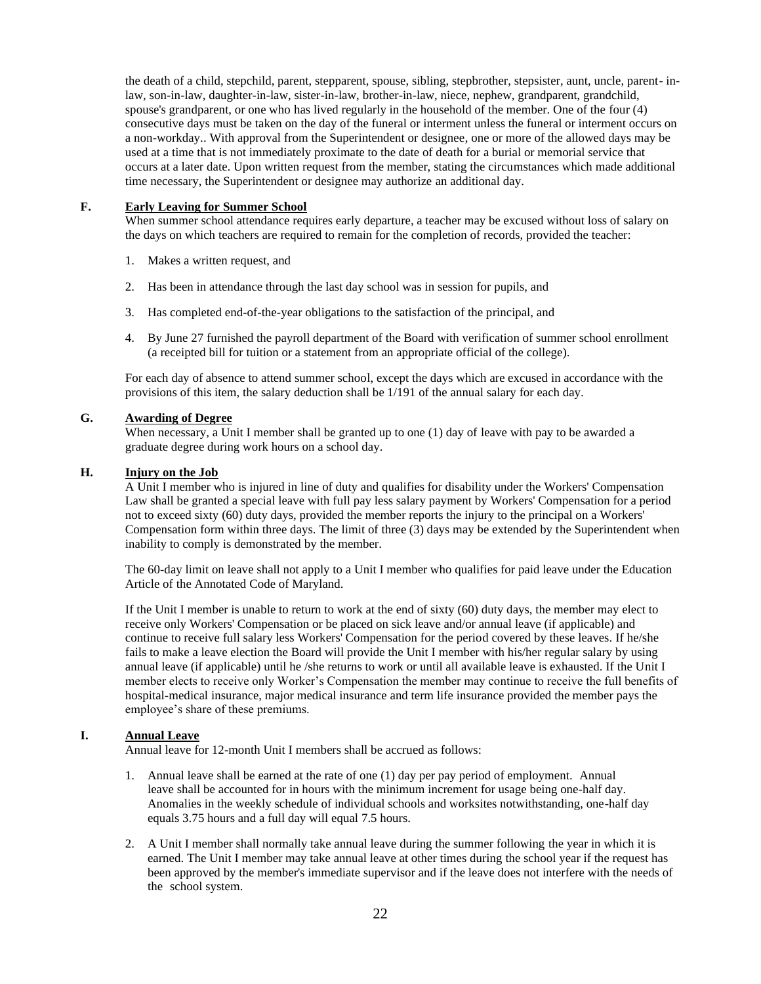the death of a child, stepchild, parent, stepparent, spouse, sibling, stepbrother, stepsister, aunt, uncle, parent- inlaw, son-in-law, daughter-in-law, sister-in-law, brother-in-law, niece, nephew, grandparent, grandchild, spouse's grandparent, or one who has lived regularly in the household of the member. One of the four (4) consecutive days must be taken on the day of the funeral or interment unless the funeral or interment occurs on a non-workday.. With approval from the Superintendent or designee, one or more of the allowed days may be used at a time that is not immediately proximate to the date of death for a burial or memorial service that occurs at a later date. Upon written request from the member, stating the circumstances which made additional time necessary, the Superintendent or designee may authorize an additional day.

#### **F. Early Leaving for Summer School**

When summer school attendance requires early departure, a teacher may be excused without loss of salary on the days on which teachers are required to remain for the completion of records, provided the teacher:

- 1. Makes a written request, and
- 2. Has been in attendance through the last day school was in session for pupils, and
- 3. Has completed end-of-the-year obligations to the satisfaction of the principal, and
- 4. By June 27 furnished the payroll department of the Board with verification of summer school enrollment (a receipted bill for tuition or a statement from an appropriate official of the college).

For each day of absence to attend summer school, except the days which are excused in accordance with the provisions of this item, the salary deduction shall be 1/191 of the annual salary for each day.

#### **G. Awarding of Degree**

When necessary, a Unit I member shall be granted up to one (1) day of leave with pay to be awarded a graduate degree during work hours on a school day.

## **H. Injury on the Job**

A Unit I member who is injured in line of duty and qualifies for disability under the Workers' Compensation Law shall be granted a special leave with full pay less salary payment by Workers' Compensation for a period not to exceed sixty (60) duty days, provided the member reports the injury to the principal on a Workers' Compensation form within three days. The limit of three (3) days may be extended by the Superintendent when inability to comply is demonstrated by the member.

The 60-day limit on leave shall not apply to a Unit I member who qualifies for paid leave under the Education Article of the Annotated Code of Maryland.

If the Unit I member is unable to return to work at the end of sixty (60) duty days, the member may elect to receive only Workers' Compensation or be placed on sick leave and/or annual leave (if applicable) and continue to receive full salary less Workers' Compensation for the period covered by these leaves. If he/she fails to make a leave election the Board will provide the Unit I member with his/her regular salary by using annual leave (if applicable) until he /she returns to work or until all available leave is exhausted. If the Unit I member elects to receive only Worker's Compensation the member may continue to receive the full benefits of hospital-medical insurance, major medical insurance and term life insurance provided the member pays the employee's share of these premiums.

## **I. Annual Leave**

Annual leave for 12-month Unit I members shall be accrued as follows:

- 1. Annual leave shall be earned at the rate of one (1) day per pay period of employment. Annual leave shall be accounted for in hours with the minimum increment for usage being one-half day. Anomalies in the weekly schedule of individual schools and worksites notwithstanding, one-half day equals 3.75 hours and a full day will equal 7.5 hours.
- 2. A Unit I member shall normally take annual leave during the summer following the year in which it is earned. The Unit I member may take annual leave at other times during the school year if the request has been approved by the member's immediate supervisor and if the leave does not interfere with the needs of the school system.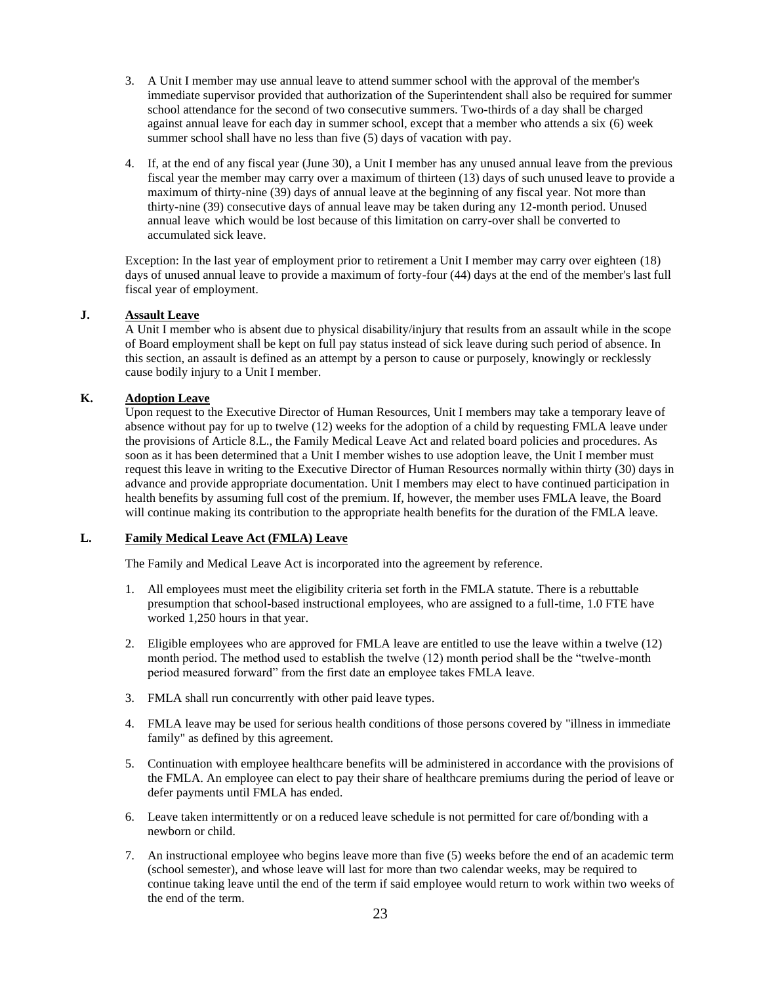- 3. A Unit I member may use annual leave to attend summer school with the approval of the member's immediate supervisor provided that authorization of the Superintendent shall also be required for summer school attendance for the second of two consecutive summers. Two-thirds of a day shall be charged against annual leave for each day in summer school, except that a member who attends a six (6) week summer school shall have no less than five (5) days of vacation with pay.
- 4. If, at the end of any fiscal year (June 30), a Unit I member has any unused annual leave from the previous fiscal year the member may carry over a maximum of thirteen (13) days of such unused leave to provide a maximum of thirty-nine (39) days of annual leave at the beginning of any fiscal year. Not more than thirty-nine (39) consecutive days of annual leave may be taken during any 12-month period. Unused annual leave which would be lost because of this limitation on carry-over shall be converted to accumulated sick leave.

Exception: In the last year of employment prior to retirement a Unit I member may carry over eighteen (18) days of unused annual leave to provide a maximum of forty-four (44) days at the end of the member's last full fiscal year of employment.

#### **J. Assault Leave**

A Unit I member who is absent due to physical disability/injury that results from an assault while in the scope of Board employment shall be kept on full pay status instead of sick leave during such period of absence. In this section, an assault is defined as an attempt by a person to cause or purposely, knowingly or recklessly cause bodily injury to a Unit I member.

#### **K. Adoption Leave**

Upon request to the Executive Director of Human Resources, Unit I members may take a temporary leave of absence without pay for up to twelve (12) weeks for the adoption of a child by requesting FMLA leave under the provisions of Article 8.L., the Family Medical Leave Act and related board policies and procedures. As soon as it has been determined that a Unit I member wishes to use adoption leave, the Unit I member must request this leave in writing to the Executive Director of Human Resources normally within thirty (30) days in advance and provide appropriate documentation. Unit I members may elect to have continued participation in health benefits by assuming full cost of the premium. If, however, the member uses FMLA leave, the Board will continue making its contribution to the appropriate health benefits for the duration of the FMLA leave.

#### **L. Family Medical Leave Act (FMLA) Leave**

The Family and Medical Leave Act is incorporated into the agreement by reference.

- 1. All employees must meet the eligibility criteria set forth in the FMLA statute. There is a rebuttable presumption that school-based instructional employees, who are assigned to a full-time, 1.0 FTE have worked 1,250 hours in that year.
- 2. Eligible employees who are approved for FMLA leave are entitled to use the leave within a twelve (12) month period. The method used to establish the twelve (12) month period shall be the "twelve-month period measured forward" from the first date an employee takes FMLA leave.
- 3. FMLA shall run concurrently with other paid leave types.
- 4. FMLA leave may be used for serious health conditions of those persons covered by "illness in immediate family" as defined by this agreement.
- 5. Continuation with employee healthcare benefits will be administered in accordance with the provisions of the FMLA. An employee can elect to pay their share of healthcare premiums during the period of leave or defer payments until FMLA has ended.
- 6. Leave taken intermittently or on a reduced leave schedule is not permitted for care of/bonding with a newborn or child.
- 7. An instructional employee who begins leave more than five (5) weeks before the end of an academic term (school semester), and whose leave will last for more than two calendar weeks, may be required to continue taking leave until the end of the term if said employee would return to work within two weeks of the end of the term.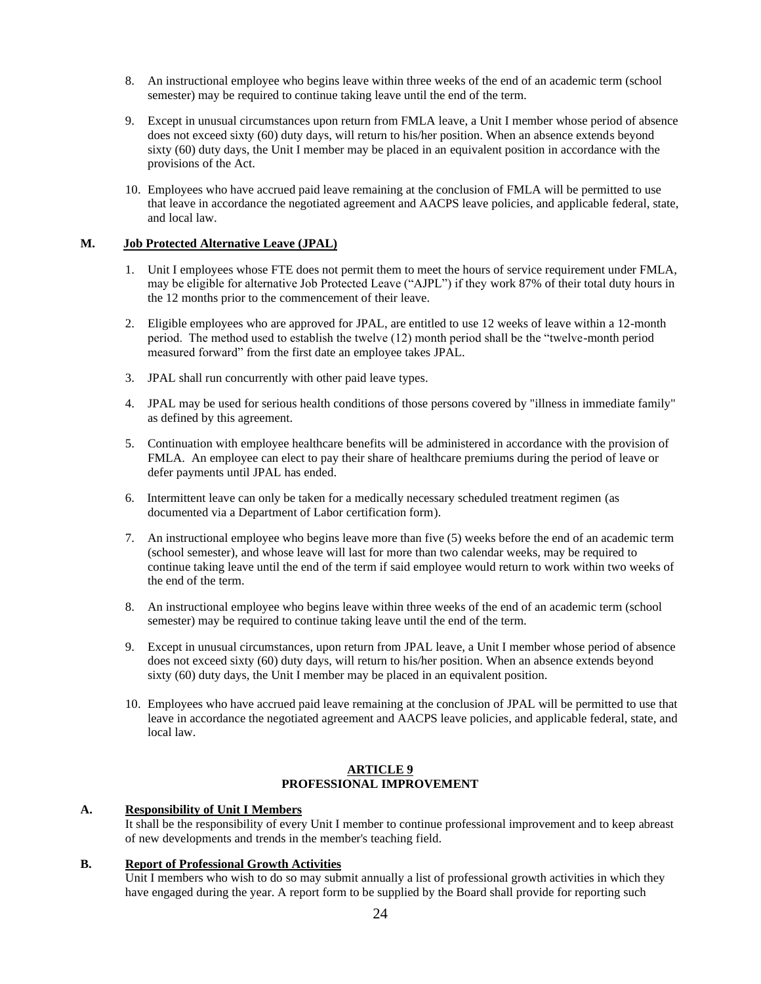- 8. An instructional employee who begins leave within three weeks of the end of an academic term (school semester) may be required to continue taking leave until the end of the term.
- 9. Except in unusual circumstances upon return from FMLA leave, a Unit I member whose period of absence does not exceed sixty (60) duty days, will return to his/her position. When an absence extends beyond sixty (60) duty days, the Unit I member may be placed in an equivalent position in accordance with the provisions of the Act.
- 10. Employees who have accrued paid leave remaining at the conclusion of FMLA will be permitted to use that leave in accordance the negotiated agreement and AACPS leave policies, and applicable federal, state, and local law.

#### **M. Job Protected Alternative Leave (JPAL)**

- 1. Unit I employees whose FTE does not permit them to meet the hours of service requirement under FMLA, may be eligible for alternative Job Protected Leave ("AJPL") if they work 87% of their total duty hours in the 12 months prior to the commencement of their leave.
- 2. Eligible employees who are approved for JPAL, are entitled to use 12 weeks of leave within a 12-month period. The method used to establish the twelve (12) month period shall be the "twelve-month period measured forward" from the first date an employee takes JPAL.
- 3. JPAL shall run concurrently with other paid leave types.
- 4. JPAL may be used for serious health conditions of those persons covered by "illness in immediate family" as defined by this agreement.
- 5. Continuation with employee healthcare benefits will be administered in accordance with the provision of FMLA. An employee can elect to pay their share of healthcare premiums during the period of leave or defer payments until JPAL has ended.
- 6. Intermittent leave can only be taken for a medically necessary scheduled treatment regimen (as documented via a Department of Labor certification form).
- 7. An instructional employee who begins leave more than five (5) weeks before the end of an academic term (school semester), and whose leave will last for more than two calendar weeks, may be required to continue taking leave until the end of the term if said employee would return to work within two weeks of the end of the term.
- 8. An instructional employee who begins leave within three weeks of the end of an academic term (school semester) may be required to continue taking leave until the end of the term.
- 9. Except in unusual circumstances, upon return from JPAL leave, a Unit I member whose period of absence does not exceed sixty (60) duty days, will return to his/her position. When an absence extends beyond sixty (60) duty days, the Unit I member may be placed in an equivalent position.
- 10. Employees who have accrued paid leave remaining at the conclusion of JPAL will be permitted to use that leave in accordance the negotiated agreement and AACPS leave policies, and applicable federal, state, and local law.

#### **ARTICLE 9 PROFESSIONAL IMPROVEMENT**

#### **A. Responsibility of Unit I Members**

It shall be the responsibility of every Unit I member to continue professional improvement and to keep abreast of new developments and trends in the member's teaching field.

#### **B. Report of Professional Growth Activities**

Unit I members who wish to do so may submit annually a list of professional growth activities in which they have engaged during the year. A report form to be supplied by the Board shall provide for reporting such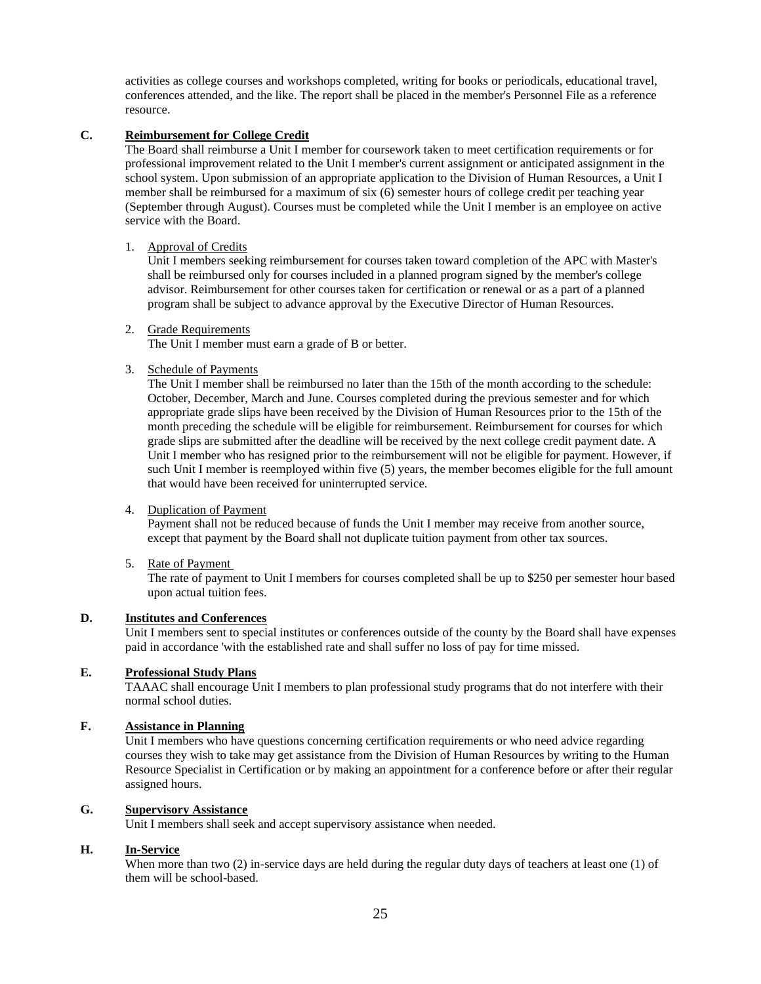activities as college courses and workshops completed, writing for books or periodicals, educational travel, conferences attended, and the like. The report shall be placed in the member's Personnel File as a reference resource.

## **C. Reimbursement for College Credit**

The Board shall reimburse a Unit I member for coursework taken to meet certification requirements or for professional improvement related to the Unit I member's current assignment or anticipated assignment in the school system. Upon submission of an appropriate application to the Division of Human Resources, a Unit I member shall be reimbursed for a maximum of six (6) semester hours of college credit per teaching year (September through August). Courses must be completed while the Unit I member is an employee on active service with the Board.

## 1. Approval of Credits

Unit I members seeking reimbursement for courses taken toward completion of the APC with Master's shall be reimbursed only for courses included in a planned program signed by the member's college advisor. Reimbursement for other courses taken for certification or renewal or as a part of a planned program shall be subject to advance approval by the Executive Director of Human Resources.

2. Grade Requirements

The Unit I member must earn a grade of B or better.

## 3. Schedule of Payments

The Unit I member shall be reimbursed no later than the 15th of the month according to the schedule: October, December, March and June. Courses completed during the previous semester and for which appropriate grade slips have been received by the Division of Human Resources prior to the 15th of the month preceding the schedule will be eligible for reimbursement. Reimbursement for courses for which grade slips are submitted after the deadline will be received by the next college credit payment date. A Unit I member who has resigned prior to the reimbursement will not be eligible for payment. However, if such Unit I member is reemployed within five (5) years, the member becomes eligible for the full amount that would have been received for uninterrupted service.

## 4. Duplication of Payment

Payment shall not be reduced because of funds the Unit I member may receive from another source, except that payment by the Board shall not duplicate tuition payment from other tax sources.

## 5. Rate of Payment

The rate of payment to Unit I members for courses completed shall be up to \$250 per semester hour based upon actual tuition fees.

## **D. Institutes and Conferences**

Unit I members sent to special institutes or conferences outside of the county by the Board shall have expenses paid in accordance 'with the established rate and shall suffer no loss of pay for time missed.

## **E. Professional Study Plans**

TAAAC shall encourage Unit I members to plan professional study programs that do not interfere with their normal school duties.

## **F. Assistance in Planning**

Unit I members who have questions concerning certification requirements or who need advice regarding courses they wish to take may get assistance from the Division of Human Resources by writing to the Human Resource Specialist in Certification or by making an appointment for a conference before or after their regular assigned hours.

## **G. Supervisory Assistance**

Unit I members shall seek and accept supervisory assistance when needed.

## **H. In-Service**

When more than two (2) in-service days are held during the regular duty days of teachers at least one (1) of them will be school-based.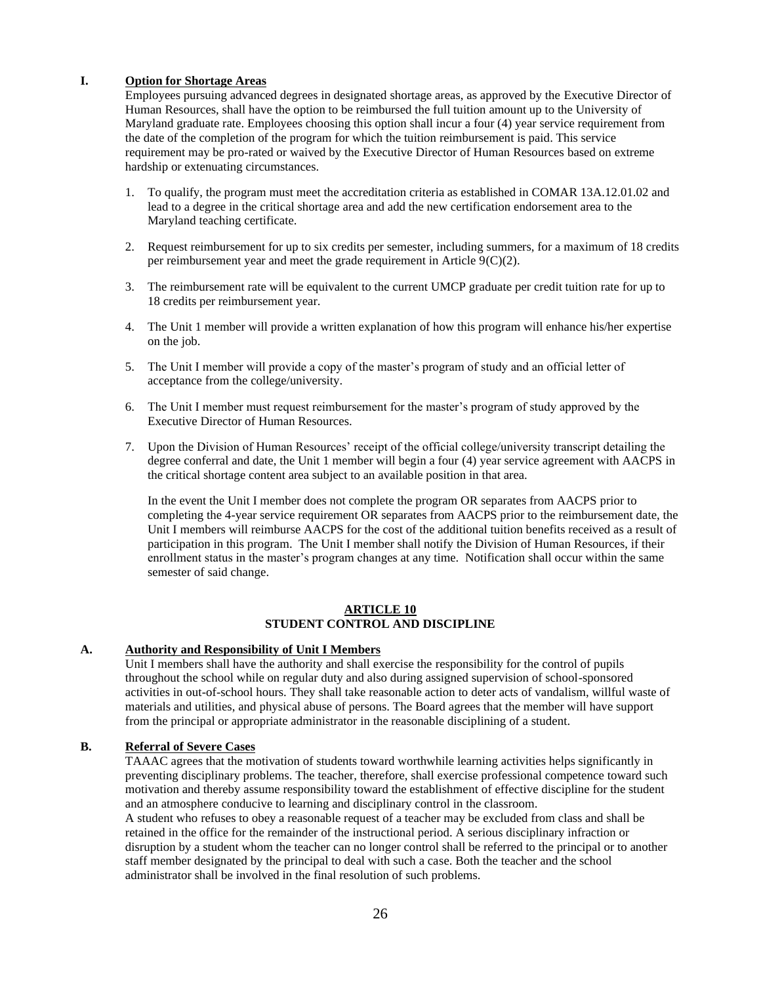## **I. Option for Shortage Areas**

Employees pursuing advanced degrees in designated shortage areas, as approved by the Executive Director of Human Resources, shall have the option to be reimbursed the full tuition amount up to the University of Maryland graduate rate. Employees choosing this option shall incur a four (4) year service requirement from the date of the completion of the program for which the tuition reimbursement is paid. This service requirement may be pro-rated or waived by the Executive Director of Human Resources based on extreme hardship or extenuating circumstances.

- 1. To qualify, the program must meet the accreditation criteria as established in COMAR 13A.12.01.02 and lead to a degree in the critical shortage area and add the new certification endorsement area to the Maryland teaching certificate.
- 2. Request reimbursement for up to six credits per semester, including summers, for a maximum of 18 credits per reimbursement year and meet the grade requirement in Article 9(C)(2).
- 3. The reimbursement rate will be equivalent to the current UMCP graduate per credit tuition rate for up to 18 credits per reimbursement year.
- 4. The Unit 1 member will provide a written explanation of how this program will enhance his/her expertise on the job.
- 5. The Unit I member will provide a copy of the master's program of study and an official letter of acceptance from the college/university.
- 6. The Unit I member must request reimbursement for the master's program of study approved by the Executive Director of Human Resources.
- 7. Upon the Division of Human Resources' receipt of the official college/university transcript detailing the degree conferral and date, the Unit 1 member will begin a four (4) year service agreement with AACPS in the critical shortage content area subject to an available position in that area.

In the event the Unit I member does not complete the program OR separates from AACPS prior to completing the 4-year service requirement OR separates from AACPS prior to the reimbursement date, the Unit I members will reimburse AACPS for the cost of the additional tuition benefits received as a result of participation in this program. The Unit I member shall notify the Division of Human Resources, if their enrollment status in the master's program changes at any time. Notification shall occur within the same semester of said change.

## **ARTICLE 10 STUDENT CONTROL AND DISCIPLINE**

## **A. Authority and Responsibility of Unit I Members**

Unit I members shall have the authority and shall exercise the responsibility for the control of pupils throughout the school while on regular duty and also during assigned supervision of school-sponsored activities in out-of-school hours. They shall take reasonable action to deter acts of vandalism, willful waste of materials and utilities, and physical abuse of persons. The Board agrees that the member will have support from the principal or appropriate administrator in the reasonable disciplining of a student.

## **B. Referral of Severe Cases**

TAAAC agrees that the motivation of students toward worthwhile learning activities helps significantly in preventing disciplinary problems. The teacher, therefore, shall exercise professional competence toward such motivation and thereby assume responsibility toward the establishment of effective discipline for the student and an atmosphere conducive to learning and disciplinary control in the classroom.

A student who refuses to obey a reasonable request of a teacher may be excluded from class and shall be retained in the office for the remainder of the instructional period. A serious disciplinary infraction or disruption by a student whom the teacher can no longer control shall be referred to the principal or to another staff member designated by the principal to deal with such a case. Both the teacher and the school administrator shall be involved in the final resolution of such problems.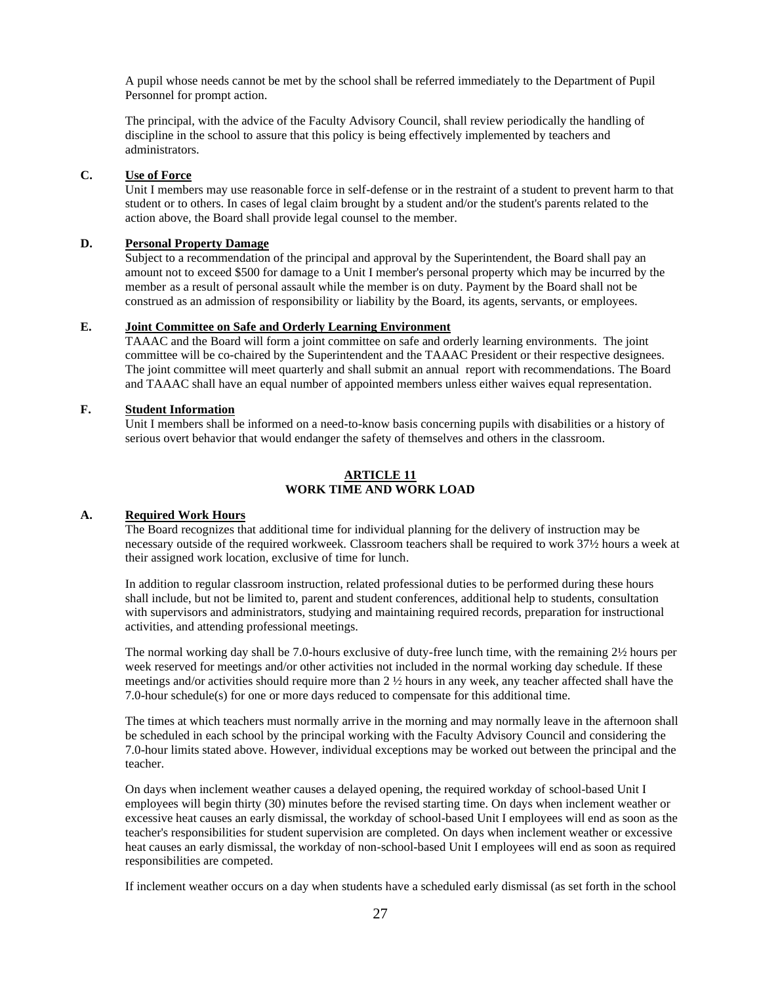A pupil whose needs cannot be met by the school shall be referred immediately to the Department of Pupil Personnel for prompt action.

The principal, with the advice of the Faculty Advisory Council, shall review periodically the handling of discipline in the school to assure that this policy is being effectively implemented by teachers and administrators.

## **C. Use of Force**

Unit I members may use reasonable force in self-defense or in the restraint of a student to prevent harm to that student or to others. In cases of legal claim brought by a student and/or the student's parents related to the action above, the Board shall provide legal counsel to the member.

#### **D. Personal Property Damage**

Subject to a recommendation of the principal and approval by the Superintendent, the Board shall pay an amount not to exceed \$500 for damage to a Unit I member's personal property which may be incurred by the member as a result of personal assault while the member is on duty. Payment by the Board shall not be construed as an admission of responsibility or liability by the Board, its agents, servants, or employees.

#### **E. Joint Committee on Safe and Orderly Learning Environment**

TAAAC and the Board will form a joint committee on safe and orderly learning environments. The joint committee will be co-chaired by the Superintendent and the TAAAC President or their respective designees. The joint committee will meet quarterly and shall submit an annual report with recommendations. The Board and TAAAC shall have an equal number of appointed members unless either waives equal representation.

## **F. Student Information**

Unit I members shall be informed on a need-to-know basis concerning pupils with disabilities or a history of serious overt behavior that would endanger the safety of themselves and others in the classroom.

#### **ARTICLE 11 WORK TIME AND WORK LOAD**

## **A. Required Work Hours**

The Board recognizes that additional time for individual planning for the delivery of instruction may be necessary outside of the required workweek. Classroom teachers shall be required to work 37½ hours a week at their assigned work location, exclusive of time for lunch.

In addition to regular classroom instruction, related professional duties to be performed during these hours shall include, but not be limited to, parent and student conferences, additional help to students, consultation with supervisors and administrators, studying and maintaining required records, preparation for instructional activities, and attending professional meetings.

The normal working day shall be 7.0-hours exclusive of duty-free lunch time, with the remaining 2½ hours per week reserved for meetings and/or other activities not included in the normal working day schedule. If these meetings and/or activities should require more than 2 ½ hours in any week, any teacher affected shall have the 7.0-hour schedule(s) for one or more days reduced to compensate for this additional time.

The times at which teachers must normally arrive in the morning and may normally leave in the afternoon shall be scheduled in each school by the principal working with the Faculty Advisory Council and considering the 7.0-hour limits stated above. However, individual exceptions may be worked out between the principal and the teacher.

On days when inclement weather causes a delayed opening, the required workday of school-based Unit I employees will begin thirty (30) minutes before the revised starting time. On days when inclement weather or excessive heat causes an early dismissal, the workday of school-based Unit I employees will end as soon as the teacher's responsibilities for student supervision are completed. On days when inclement weather or excessive heat causes an early dismissal, the workday of non-school-based Unit I employees will end as soon as required responsibilities are competed.

If inclement weather occurs on a day when students have a scheduled early dismissal (as set forth in the school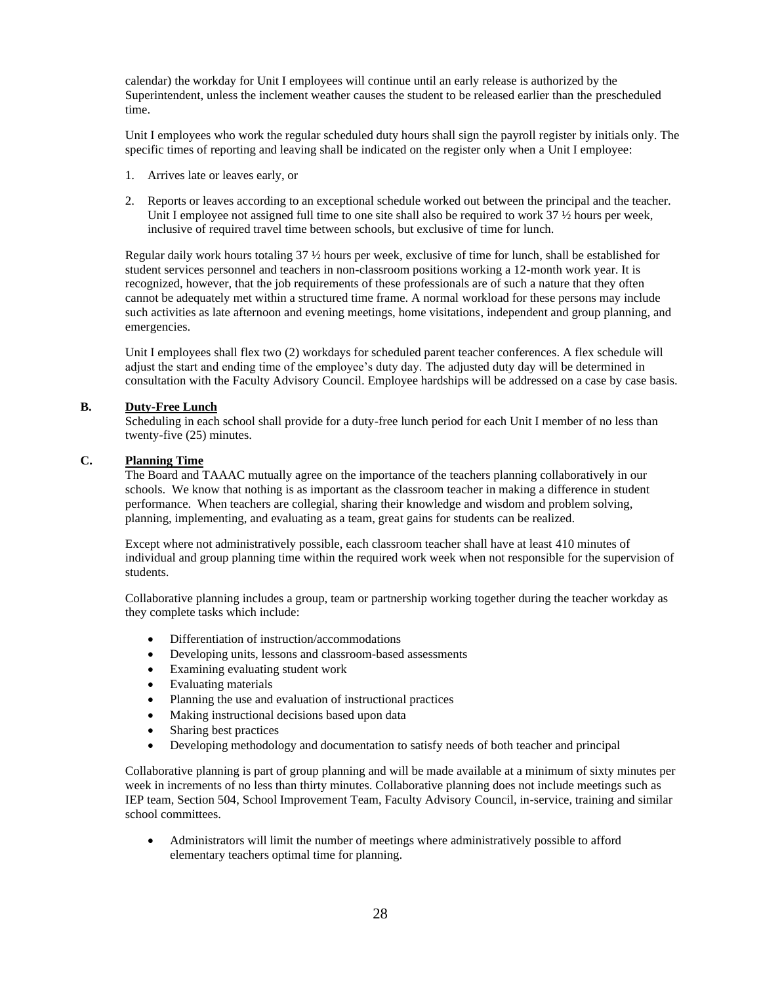calendar) the workday for Unit I employees will continue until an early release is authorized by the Superintendent, unless the inclement weather causes the student to be released earlier than the prescheduled time.

Unit I employees who work the regular scheduled duty hours shall sign the payroll register by initials only. The specific times of reporting and leaving shall be indicated on the register only when a Unit I employee:

- 1. Arrives late or leaves early, or
- 2. Reports or leaves according to an exceptional schedule worked out between the principal and the teacher. Unit I employee not assigned full time to one site shall also be required to work 37  $\frac{1}{2}$  hours per week, inclusive of required travel time between schools, but exclusive of time for lunch.

Regular daily work hours totaling 37 ½ hours per week, exclusive of time for lunch, shall be established for student services personnel and teachers in non-classroom positions working a 12-month work year. It is recognized, however, that the job requirements of these professionals are of such a nature that they often cannot be adequately met within a structured time frame. A normal workload for these persons may include such activities as late afternoon and evening meetings, home visitations, independent and group planning, and emergencies.

Unit I employees shall flex two (2) workdays for scheduled parent teacher conferences. A flex schedule will adjust the start and ending time of the employee's duty day. The adjusted duty day will be determined in consultation with the Faculty Advisory Council. Employee hardships will be addressed on a case by case basis.

## **B. Duty-Free Lunch**

Scheduling in each school shall provide for a duty-free lunch period for each Unit I member of no less than twenty-five (25) minutes.

#### **C. Planning Time**

The Board and TAAAC mutually agree on the importance of the teachers planning collaboratively in our schools. We know that nothing is as important as the classroom teacher in making a difference in student performance. When teachers are collegial, sharing their knowledge and wisdom and problem solving, planning, implementing, and evaluating as a team, great gains for students can be realized.

Except where not administratively possible, each classroom teacher shall have at least 410 minutes of individual and group planning time within the required work week when not responsible for the supervision of students.

Collaborative planning includes a group, team or partnership working together during the teacher workday as they complete tasks which include:

- Differentiation of instruction/accommodations
- Developing units, lessons and classroom-based assessments
- Examining evaluating student work
- Evaluating materials
- Planning the use and evaluation of instructional practices
- Making instructional decisions based upon data
- Sharing best practices
- Developing methodology and documentation to satisfy needs of both teacher and principal

Collaborative planning is part of group planning and will be made available at a minimum of sixty minutes per week in increments of no less than thirty minutes. Collaborative planning does not include meetings such as IEP team, Section 504, School Improvement Team, Faculty Advisory Council, in-service, training and similar school committees.

• Administrators will limit the number of meetings where administratively possible to afford elementary teachers optimal time for planning.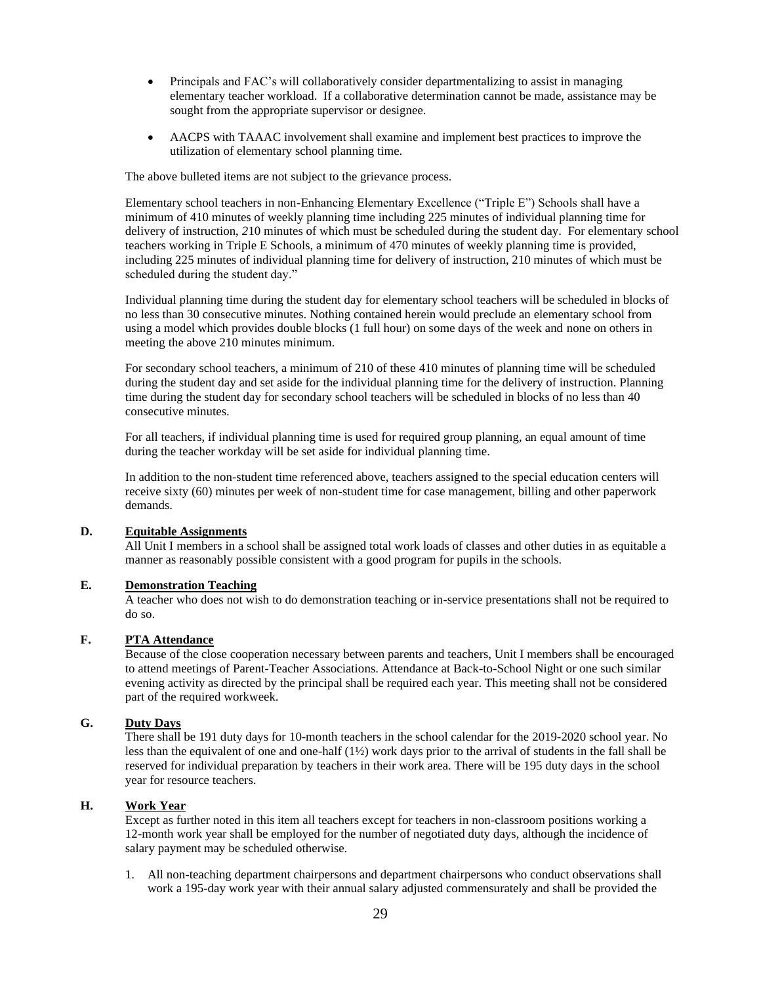- Principals and FAC's will collaboratively consider departmentalizing to assist in managing elementary teacher workload. If a collaborative determination cannot be made, assistance may be sought from the appropriate supervisor or designee.
- AACPS with TAAAC involvement shall examine and implement best practices to improve the utilization of elementary school planning time.

The above bulleted items are not subject to the grievance process.

Elementary school teachers in non-Enhancing Elementary Excellence ("Triple E") Schools shall have a minimum of 410 minutes of weekly planning time including 225 minutes of individual planning time for delivery of instruction, *2*10 minutes of which must be scheduled during the student day. For elementary school teachers working in Triple E Schools, a minimum of 470 minutes of weekly planning time is provided, including 225 minutes of individual planning time for delivery of instruction, 210 minutes of which must be scheduled during the student day."

Individual planning time during the student day for elementary school teachers will be scheduled in blocks of no less than 30 consecutive minutes. Nothing contained herein would preclude an elementary school from using a model which provides double blocks (1 full hour) on some days of the week and none on others in meeting the above 210 minutes minimum.

For secondary school teachers, a minimum of 210 of these 410 minutes of planning time will be scheduled during the student day and set aside for the individual planning time for the delivery of instruction. Planning time during the student day for secondary school teachers will be scheduled in blocks of no less than 40 consecutive minutes.

For all teachers, if individual planning time is used for required group planning, an equal amount of time during the teacher workday will be set aside for individual planning time.

In addition to the non-student time referenced above, teachers assigned to the special education centers will receive sixty (60) minutes per week of non-student time for case management, billing and other paperwork demands.

#### **D. Equitable Assignments**

All Unit I members in a school shall be assigned total work loads of classes and other duties in as equitable a manner as reasonably possible consistent with a good program for pupils in the schools.

#### **E. Demonstration Teaching**

A teacher who does not wish to do demonstration teaching or in-service presentations shall not be required to do so.

#### **F. PTA Attendance**

Because of the close cooperation necessary between parents and teachers, Unit I members shall be encouraged to attend meetings of Parent-Teacher Associations. Attendance at Back-to-School Night or one such similar evening activity as directed by the principal shall be required each year. This meeting shall not be considered part of the required workweek.

#### **G. Duty Days**

There shall be 191 duty days for 10-month teachers in the school calendar for the 2019-2020 school year. No less than the equivalent of one and one-half (1½) work days prior to the arrival of students in the fall shall be reserved for individual preparation by teachers in their work area. There will be 195 duty days in the school year for resource teachers.

#### **H. Work Year**

Except as further noted in this item all teachers except for teachers in non-classroom positions working a 12-month work year shall be employed for the number of negotiated duty days, although the incidence of salary payment may be scheduled otherwise.

1. All non-teaching department chairpersons and department chairpersons who conduct observations shall work a 195-day work year with their annual salary adjusted commensurately and shall be provided the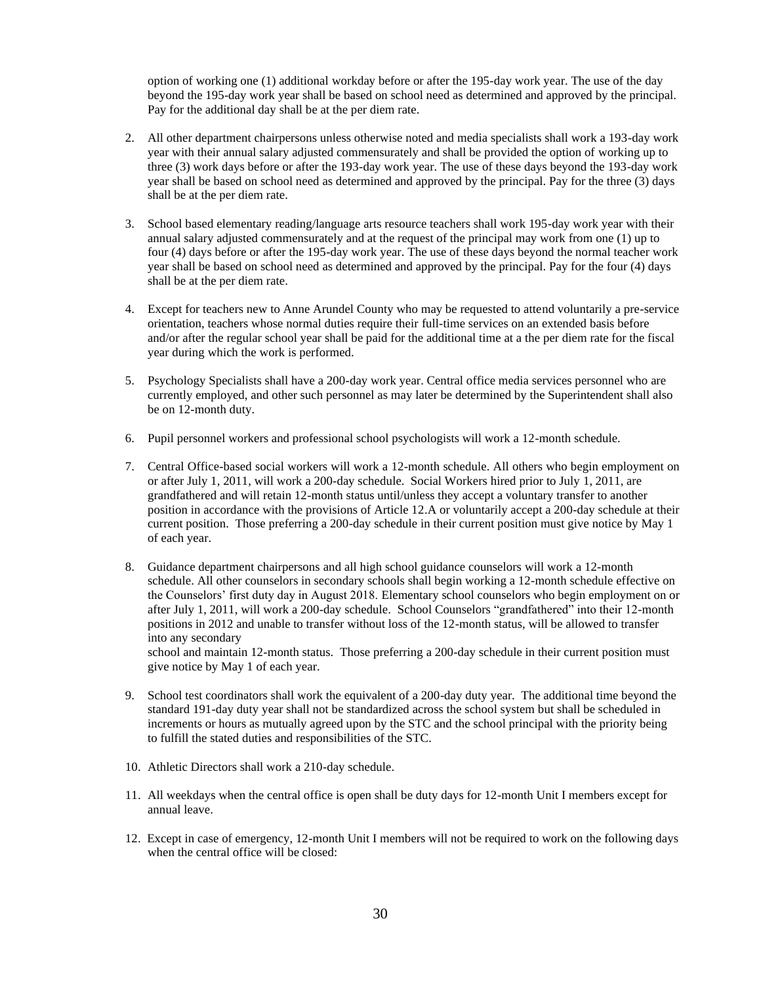option of working one (1) additional workday before or after the 195-day work year. The use of the day beyond the 195-day work year shall be based on school need as determined and approved by the principal. Pay for the additional day shall be at the per diem rate.

- 2. All other department chairpersons unless otherwise noted and media specialists shall work a 193-day work year with their annual salary adjusted commensurately and shall be provided the option of working up to three (3) work days before or after the 193-day work year. The use of these days beyond the 193-day work year shall be based on school need as determined and approved by the principal. Pay for the three (3) days shall be at the per diem rate.
- 3. School based elementary reading/language arts resource teachers shall work 195-day work year with their annual salary adjusted commensurately and at the request of the principal may work from one (1) up to four (4) days before or after the 195-day work year. The use of these days beyond the normal teacher work year shall be based on school need as determined and approved by the principal. Pay for the four (4) days shall be at the per diem rate.
- 4. Except for teachers new to Anne Arundel County who may be requested to attend voluntarily a pre-service orientation, teachers whose normal duties require their full-time services on an extended basis before and/or after the regular school year shall be paid for the additional time at a the per diem rate for the fiscal year during which the work is performed.
- 5. Psychology Specialists shall have a 200-day work year. Central office media services personnel who are currently employed, and other such personnel as may later be determined by the Superintendent shall also be on 12-month duty.
- 6. Pupil personnel workers and professional school psychologists will work a 12-month schedule.
- 7. Central Office-based social workers will work a 12-month schedule. All others who begin employment on or after July 1, 2011, will work a 200-day schedule. Social Workers hired prior to July 1, 2011, are grandfathered and will retain 12-month status until/unless they accept a voluntary transfer to another position in accordance with the provisions of Article 12.A or voluntarily accept a 200-day schedule at their current position. Those preferring a 200-day schedule in their current position must give notice by May 1 of each year.
- 8. Guidance department chairpersons and all high school guidance counselors will work a 12-month schedule. All other counselors in secondary schools shall begin working a 12-month schedule effective on the Counselors' first duty day in August 2018. Elementary school counselors who begin employment on or after July 1, 2011, will work a 200-day schedule. School Counselors "grandfathered" into their 12-month positions in 2012 and unable to transfer without loss of the 12-month status, will be allowed to transfer into any secondary school and maintain 12-month status. Those preferring a 200-day schedule in their current position must

give notice by May 1 of each year.

- 9. School test coordinators shall work the equivalent of a 200-day duty year. The additional time beyond the standard 191-day duty year shall not be standardized across the school system but shall be scheduled in increments or hours as mutually agreed upon by the STC and the school principal with the priority being to fulfill the stated duties and responsibilities of the STC.
- 10. Athletic Directors shall work a 210-day schedule.
- 11. All weekdays when the central office is open shall be duty days for 12-month Unit I members except for annual leave.
- 12. Except in case of emergency, 12-month Unit I members will not be required to work on the following days when the central office will be closed: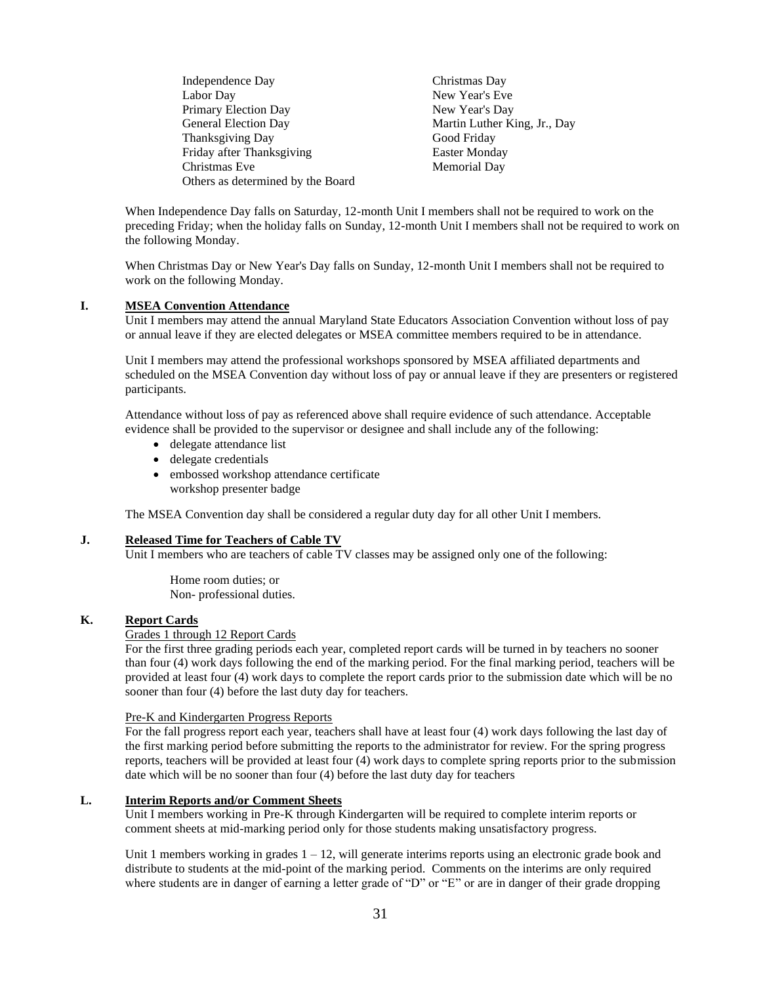Independence Day Labor Day Primary Election Day General Election Day Thanksgiving Day Friday after Thanksgiving Christmas Eve Others as determined by the Board Christmas Day New Year's Eve New Year's Day Martin Luther King, Jr., Day Good Friday Easter Monday Memorial Day

When Independence Day falls on Saturday, 12-month Unit I members shall not be required to work on the preceding Friday; when the holiday falls on Sunday, 12-month Unit I members shall not be required to work on the following Monday.

When Christmas Day or New Year's Day falls on Sunday, 12-month Unit I members shall not be required to work on the following Monday.

#### **I. MSEA Convention Attendance**

Unit I members may attend the annual Maryland State Educators Association Convention without loss of pay or annual leave if they are elected delegates or MSEA committee members required to be in attendance.

Unit I members may attend the professional workshops sponsored by MSEA affiliated departments and scheduled on the MSEA Convention day without loss of pay or annual leave if they are presenters or registered participants.

Attendance without loss of pay as referenced above shall require evidence of such attendance. Acceptable evidence shall be provided to the supervisor or designee and shall include any of the following:

- delegate attendance list
- delegate credentials
- embossed workshop attendance certificate workshop presenter badge

The MSEA Convention day shall be considered a regular duty day for all other Unit I members.

## **J. Released Time for Teachers of Cable TV**

Unit I members who are teachers of cable TV classes may be assigned only one of the following:

Home room duties; or Non- professional duties.

#### **K. Report Cards**

## Grades 1 through 12 Report Cards

For the first three grading periods each year, completed report cards will be turned in by teachers no sooner than four (4) work days following the end of the marking period. For the final marking period, teachers will be provided at least four (4) work days to complete the report cards prior to the submission date which will be no sooner than four (4) before the last duty day for teachers.

#### Pre-K and Kindergarten Progress Reports

For the fall progress report each year, teachers shall have at least four (4) work days following the last day of the first marking period before submitting the reports to the administrator for review. For the spring progress reports, teachers will be provided at least four (4) work days to complete spring reports prior to the submission date which will be no sooner than four (4) before the last duty day for teachers

#### **L. Interim Reports and/or Comment Sheets**

Unit I members working in Pre-K through Kindergarten will be required to complete interim reports or comment sheets at mid-marking period only for those students making unsatisfactory progress.

Unit 1 members working in grades  $1 - 12$ , will generate interims reports using an electronic grade book and distribute to students at the mid-point of the marking period. Comments on the interims are only required where students are in danger of earning a letter grade of "D" or "E" or are in danger of their grade dropping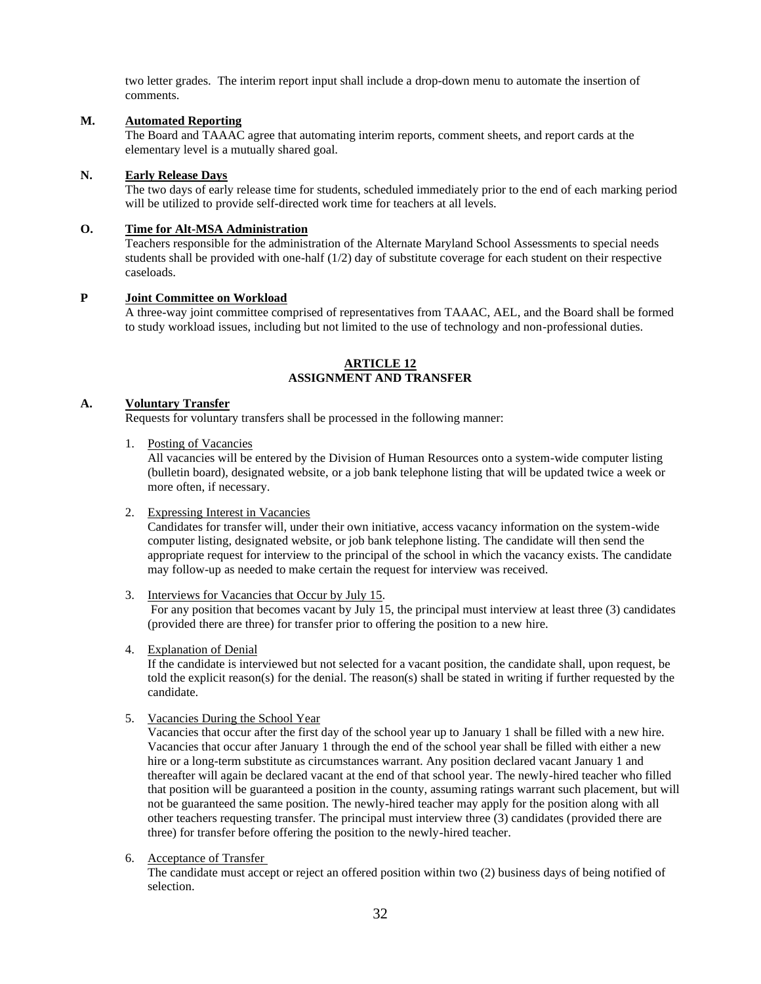two letter grades. The interim report input shall include a drop-down menu to automate the insertion of comments.

## **M. Automated Reporting**

The Board and TAAAC agree that automating interim reports, comment sheets, and report cards at the elementary level is a mutually shared goal.

## **N. Early Release Days**

The two days of early release time for students, scheduled immediately prior to the end of each marking period will be utilized to provide self-directed work time for teachers at all levels.

## **O. Time for Alt-MSA Administration**

Teachers responsible for the administration of the Alternate Maryland School Assessments to special needs students shall be provided with one-half (1/2) day of substitute coverage for each student on their respective caseloads.

## **P Joint Committee on Workload**

A three-way joint committee comprised of representatives from TAAAC, AEL, and the Board shall be formed to study workload issues, including but not limited to the use of technology and non-professional duties.

## **ARTICLE 12 ASSIGNMENT AND TRANSFER**

## **A. Voluntary Transfer**

Requests for voluntary transfers shall be processed in the following manner:

1. Posting of Vacancies

All vacancies will be entered by the Division of Human Resources onto a system-wide computer listing (bulletin board), designated website, or a job bank telephone listing that will be updated twice a week or more often, if necessary.

## 2. Expressing Interest in Vacancies

Candidates for transfer will, under their own initiative, access vacancy information on the system-wide computer listing, designated website, or job bank telephone listing. The candidate will then send the appropriate request for interview to the principal of the school in which the vacancy exists. The candidate may follow-up as needed to make certain the request for interview was received.

## 3. Interviews for Vacancies that Occur by July 15.

For any position that becomes vacant by July 15, the principal must interview at least three (3) candidates (provided there are three) for transfer prior to offering the position to a new hire.

4. Explanation of Denial

If the candidate is interviewed but not selected for a vacant position, the candidate shall, upon request, be told the explicit reason(s) for the denial. The reason(s) shall be stated in writing if further requested by the candidate.

## 5. Vacancies During the School Year

Vacancies that occur after the first day of the school year up to January 1 shall be filled with a new hire. Vacancies that occur after January 1 through the end of the school year shall be filled with either a new hire or a long-term substitute as circumstances warrant. Any position declared vacant January 1 and thereafter will again be declared vacant at the end of that school year. The newly-hired teacher who filled that position will be guaranteed a position in the county, assuming ratings warrant such placement, but will not be guaranteed the same position. The newly-hired teacher may apply for the position along with all other teachers requesting transfer. The principal must interview three (3) candidates (provided there are three) for transfer before offering the position to the newly-hired teacher.

6. Acceptance of Transfer

The candidate must accept or reject an offered position within two (2) business days of being notified of selection.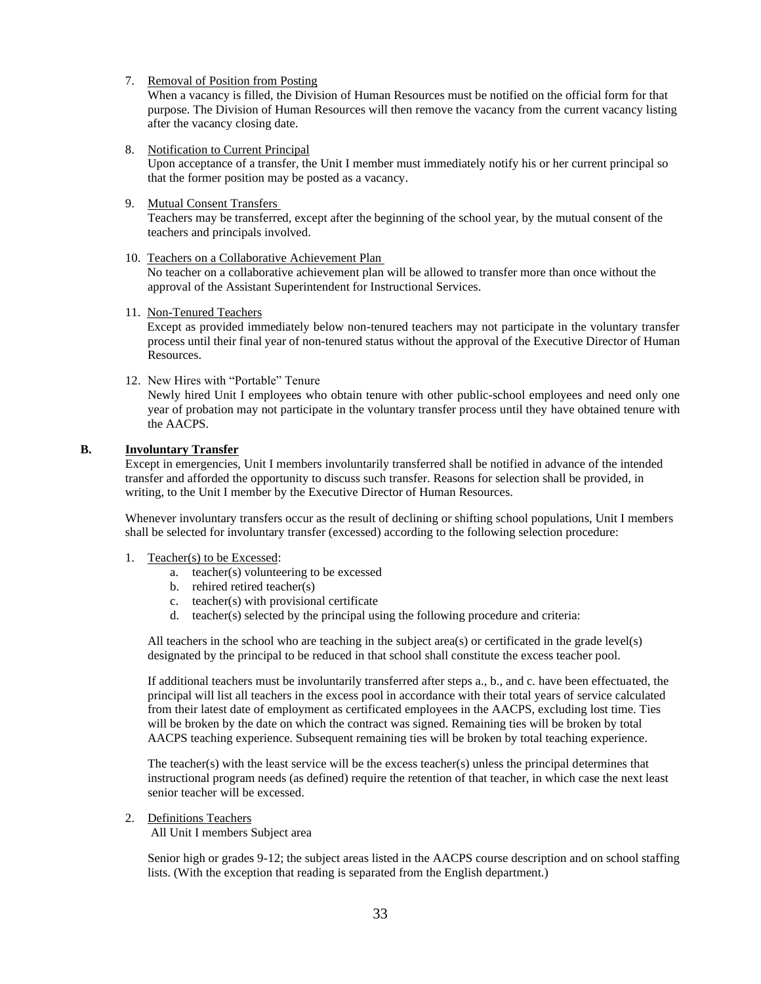7. Removal of Position from Posting

When a vacancy is filled, the Division of Human Resources must be notified on the official form for that purpose. The Division of Human Resources will then remove the vacancy from the current vacancy listing after the vacancy closing date.

8. Notification to Current Principal

Upon acceptance of a transfer, the Unit I member must immediately notify his or her current principal so that the former position may be posted as a vacancy.

9. Mutual Consent Transfers

Teachers may be transferred, except after the beginning of the school year, by the mutual consent of the teachers and principals involved.

#### 10. Teachers on a Collaborative Achievement Plan

 No teacher on a collaborative achievement plan will be allowed to transfer more than once without the approval of the Assistant Superintendent for Instructional Services.

11. Non-Tenured Teachers

 Except as provided immediately below non-tenured teachers may not participate in the voluntary transfer process until their final year of non-tenured status without the approval of the Executive Director of Human Resources.

12. New Hires with "Portable" Tenure

Newly hired Unit I employees who obtain tenure with other public-school employees and need only one year of probation may not participate in the voluntary transfer process until they have obtained tenure with the AACPS.

## **B. Involuntary Transfer**

Except in emergencies, Unit I members involuntarily transferred shall be notified in advance of the intended transfer and afforded the opportunity to discuss such transfer. Reasons for selection shall be provided, in writing, to the Unit I member by the Executive Director of Human Resources.

Whenever involuntary transfers occur as the result of declining or shifting school populations, Unit I members shall be selected for involuntary transfer (excessed) according to the following selection procedure:

- 1. Teacher(s) to be Excessed:
	- a. teacher(s) volunteering to be excessed
	- b. rehired retired teacher(s)
	- c. teacher(s) with provisional certificate
	- d. teacher(s) selected by the principal using the following procedure and criteria:

All teachers in the school who are teaching in the subject area(s) or certificated in the grade level(s) designated by the principal to be reduced in that school shall constitute the excess teacher pool.

If additional teachers must be involuntarily transferred after steps a., b., and c. have been effectuated, the principal will list all teachers in the excess pool in accordance with their total years of service calculated from their latest date of employment as certificated employees in the AACPS, excluding lost time. Ties will be broken by the date on which the contract was signed. Remaining ties will be broken by total AACPS teaching experience. Subsequent remaining ties will be broken by total teaching experience.

The teacher(s) with the least service will be the excess teacher(s) unless the principal determines that instructional program needs (as defined) require the retention of that teacher, in which case the next least senior teacher will be excessed.

#### 2. Definitions Teachers

All Unit I members Subject area

Senior high or grades 9-12; the subject areas listed in the AACPS course description and on school staffing lists. (With the exception that reading is separated from the English department.)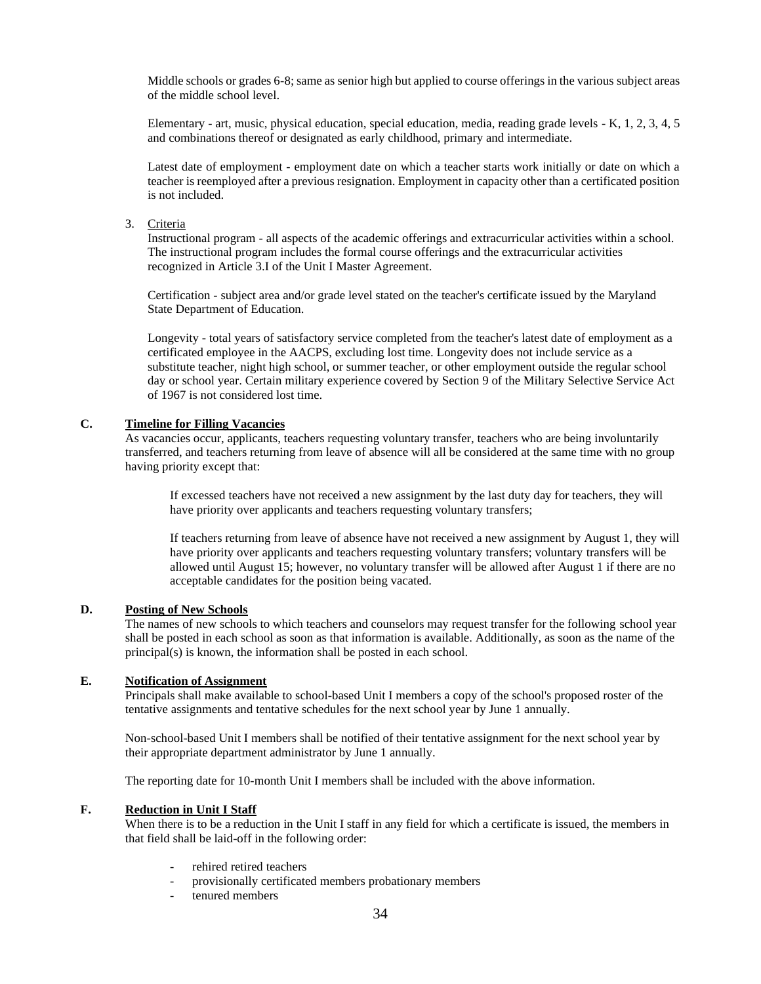Middle schools or grades 6-8; same as senior high but applied to course offerings in the various subject areas of the middle school level.

Elementary - art, music, physical education, special education, media, reading grade levels - K, 1, 2, 3, 4, 5 and combinations thereof or designated as early childhood, primary and intermediate.

Latest date of employment - employment date on which a teacher starts work initially or date on which a teacher is reemployed after a previous resignation. Employment in capacity other than a certificated position is not included.

3. Criteria

Instructional program - all aspects of the academic offerings and extracurricular activities within a school. The instructional program includes the formal course offerings and the extracurricular activities recognized in Article 3.I of the Unit I Master Agreement.

Certification - subject area and/or grade level stated on the teacher's certificate issued by the Maryland State Department of Education.

Longevity - total years of satisfactory service completed from the teacher's latest date of employment as a certificated employee in the AACPS, excluding lost time. Longevity does not include service as a substitute teacher, night high school, or summer teacher, or other employment outside the regular school day or school year. Certain military experience covered by Section 9 of the Military Selective Service Act of 1967 is not considered lost time.

## **C. Timeline for Filling Vacancies**

As vacancies occur, applicants, teachers requesting voluntary transfer, teachers who are being involuntarily transferred, and teachers returning from leave of absence will all be considered at the same time with no group having priority except that:

If excessed teachers have not received a new assignment by the last duty day for teachers, they will have priority over applicants and teachers requesting voluntary transfers;

If teachers returning from leave of absence have not received a new assignment by August 1, they will have priority over applicants and teachers requesting voluntary transfers; voluntary transfers will be allowed until August 15; however, no voluntary transfer will be allowed after August 1 if there are no acceptable candidates for the position being vacated.

#### **D. Posting of New Schools**

The names of new schools to which teachers and counselors may request transfer for the following school year shall be posted in each school as soon as that information is available. Additionally, as soon as the name of the principal(s) is known, the information shall be posted in each school.

#### **E. Notification of Assignment**

Principals shall make available to school-based Unit I members a copy of the school's proposed roster of the tentative assignments and tentative schedules for the next school year by June 1 annually.

Non-school-based Unit I members shall be notified of their tentative assignment for the next school year by their appropriate department administrator by June 1 annually.

The reporting date for 10-month Unit I members shall be included with the above information.

#### **F. Reduction in Unit I Staff**

When there is to be a reduction in the Unit I staff in any field for which a certificate is issued, the members in that field shall be laid-off in the following order:

- rehired retired teachers
- provisionally certificated members probationary members
- tenured members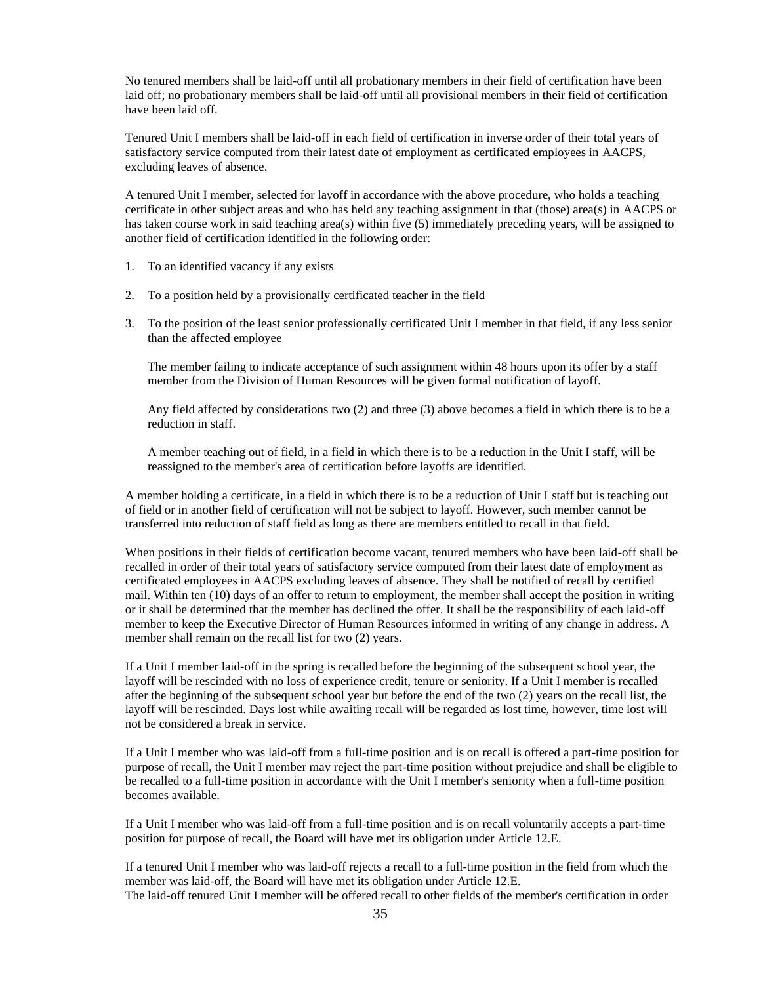No tenured members shall be laid-off until all probationary members in their field of certification have been laid off; no probationary members shall be laid-off until all provisional members in their field of certification have been laid off.

Tenured Unit I members shall be laid-off in each field of certification in inverse order of their total years of satisfactory service computed from their latest date of employment as certificated employees in AACPS, excluding leaves of absence.

A tenured Unit I member, selected for layoff in accordance with the above procedure, who holds a teaching certificate in other subject areas and who has held any teaching assignment in that (those) area(s) in AACPS or has taken course work in said teaching area(s) within five (5) immediately preceding years, will be assigned to another field of certification identified in the following order:

- 1. To an identified vacancy if any exists
- 2. To a position held by a provisionally certificated teacher in the field
- 3. To the position of the least senior professionally certificated Unit I member in that field, if any less senior than the affected employee

The member failing to indicate acceptance of such assignment within 48 hours upon its offer by a staff member from the Division of Human Resources will be given formal notification of layoff.

Any field affected by considerations two (2) and three (3) above becomes a field in which there is to be a reduction in staff.

A member teaching out of field, in a field in which there is to be a reduction in the Unit I staff, will be reassigned to the member's area of certification before layoffs are identified.

A member holding a certificate, in a field in which there is to be a reduction of Unit I staff but is teaching out of field or in another field of certification will not be subject to layoff. However, such member cannot be transferred into reduction of staff field as long as there are members entitled to recall in that field.

When positions in their fields of certification become vacant, tenured members who have been laid-off shall be recalled in order of their total years of satisfactory service computed from their latest date of employment as certificated employees in AACPS excluding leaves of absence. They shall be notified of recall by certified mail. Within ten (10) days of an offer to return to employment, the member shall accept the position in writing or it shall be determined that the member has declined the offer. It shall be the responsibility of each laid-off member to keep the Executive Director of Human Resources informed in writing of any change in address. A member shall remain on the recall list for two (2) years.

If a Unit I member laid-off in the spring is recalled before the beginning of the subsequent school year, the layoff will be rescinded with no loss of experience credit, tenure or seniority. If a Unit I member is recalled after the beginning of the subsequent school year but before the end of the two (2) years on the recall list, the layoff will be rescinded. Days lost while awaiting recall will be regarded as lost time, however, time lost will not be considered a break in service.

If a Unit I member who was laid-off from a full-time position and is on recall is offered a part-time position for purpose of recall, the Unit I member may reject the part-time position without prejudice and shall be eligible to be recalled to a full-time position in accordance with the Unit I member's seniority when a full-time position becomes available.

If a Unit I member who was laid-off from a full-time position and is on recall voluntarily accepts a part-time position for purpose of recall, the Board will have met its obligation under Article 12.E.

If a tenured Unit I member who was laid-off rejects a recall to a full-time position in the field from which the member was laid-off, the Board will have met its obligation under Article 12.E. The laid-off tenured Unit I member will be offered recall to other fields of the member's certification in order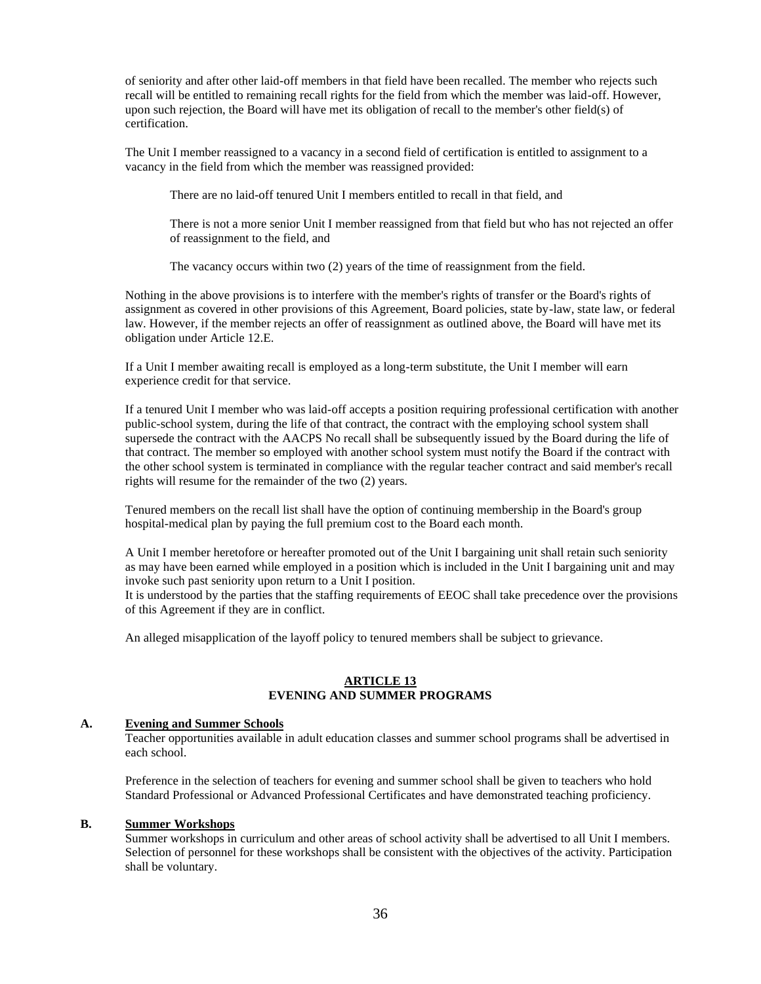of seniority and after other laid-off members in that field have been recalled. The member who rejects such recall will be entitled to remaining recall rights for the field from which the member was laid-off. However, upon such rejection, the Board will have met its obligation of recall to the member's other field(s) of certification.

The Unit I member reassigned to a vacancy in a second field of certification is entitled to assignment to a vacancy in the field from which the member was reassigned provided:

There are no laid-off tenured Unit I members entitled to recall in that field, and

There is not a more senior Unit I member reassigned from that field but who has not rejected an offer of reassignment to the field, and

The vacancy occurs within two (2) years of the time of reassignment from the field.

Nothing in the above provisions is to interfere with the member's rights of transfer or the Board's rights of assignment as covered in other provisions of this Agreement, Board policies, state by-law, state law, or federal law. However, if the member rejects an offer of reassignment as outlined above, the Board will have met its obligation under Article 12.E.

If a Unit I member awaiting recall is employed as a long-term substitute, the Unit I member will earn experience credit for that service.

If a tenured Unit I member who was laid-off accepts a position requiring professional certification with another public-school system, during the life of that contract, the contract with the employing school system shall supersede the contract with the AACPS No recall shall be subsequently issued by the Board during the life of that contract. The member so employed with another school system must notify the Board if the contract with the other school system is terminated in compliance with the regular teacher contract and said member's recall rights will resume for the remainder of the two (2) years.

Tenured members on the recall list shall have the option of continuing membership in the Board's group hospital-medical plan by paying the full premium cost to the Board each month.

A Unit I member heretofore or hereafter promoted out of the Unit I bargaining unit shall retain such seniority as may have been earned while employed in a position which is included in the Unit I bargaining unit and may invoke such past seniority upon return to a Unit I position.

It is understood by the parties that the staffing requirements of EEOC shall take precedence over the provisions of this Agreement if they are in conflict.

An alleged misapplication of the layoff policy to tenured members shall be subject to grievance.

#### **ARTICLE 13 EVENING AND SUMMER PROGRAMS**

## **A. Evening and Summer Schools**

Teacher opportunities available in adult education classes and summer school programs shall be advertised in each school.

Preference in the selection of teachers for evening and summer school shall be given to teachers who hold Standard Professional or Advanced Professional Certificates and have demonstrated teaching proficiency.

## **B. Summer Workshops**

Summer workshops in curriculum and other areas of school activity shall be advertised to all Unit I members. Selection of personnel for these workshops shall be consistent with the objectives of the activity. Participation shall be voluntary.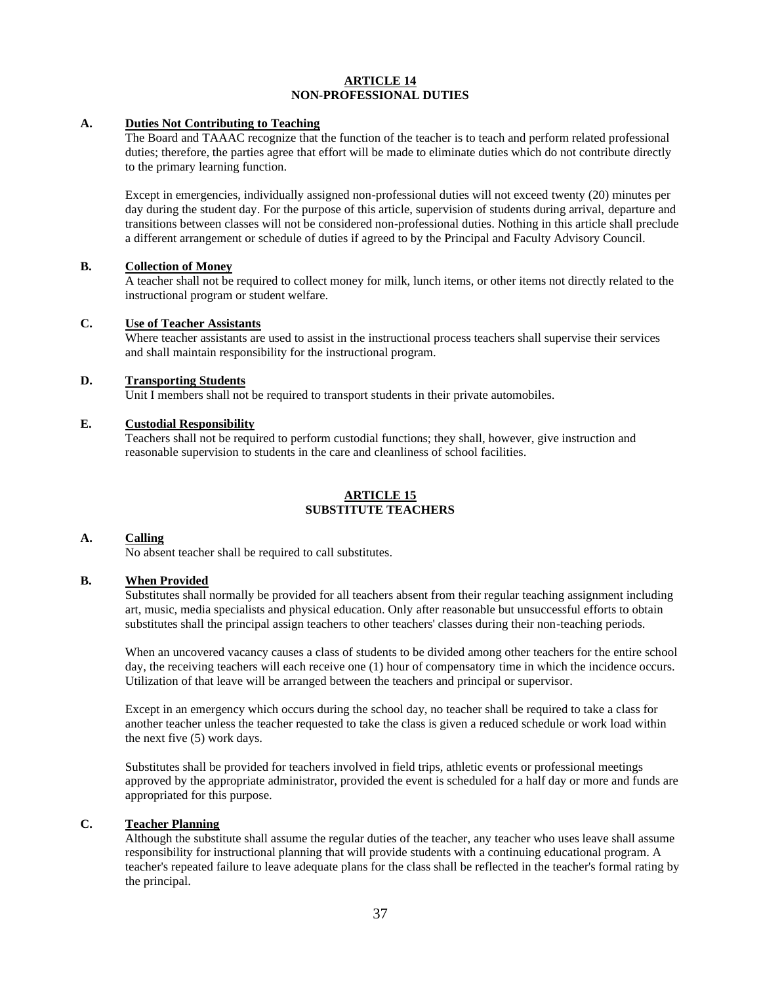#### **ARTICLE 14 NON-PROFESSIONAL DUTIES**

#### **A. Duties Not Contributing to Teaching**

The Board and TAAAC recognize that the function of the teacher is to teach and perform related professional duties; therefore, the parties agree that effort will be made to eliminate duties which do not contribute directly to the primary learning function.

Except in emergencies, individually assigned non-professional duties will not exceed twenty (20) minutes per day during the student day. For the purpose of this article, supervision of students during arrival, departure and transitions between classes will not be considered non-professional duties. Nothing in this article shall preclude a different arrangement or schedule of duties if agreed to by the Principal and Faculty Advisory Council.

#### **B. Collection of Money**

A teacher shall not be required to collect money for milk, lunch items, or other items not directly related to the instructional program or student welfare.

#### **C. Use of Teacher Assistants**

Where teacher assistants are used to assist in the instructional process teachers shall supervise their services and shall maintain responsibility for the instructional program.

#### **D. Transporting Students**

Unit I members shall not be required to transport students in their private automobiles.

#### **E. Custodial Responsibility**

Teachers shall not be required to perform custodial functions; they shall, however, give instruction and reasonable supervision to students in the care and cleanliness of school facilities.

## **ARTICLE 15 SUBSTITUTE TEACHERS**

#### **A. Calling**

No absent teacher shall be required to call substitutes.

## **B. When Provided**

Substitutes shall normally be provided for all teachers absent from their regular teaching assignment including art, music, media specialists and physical education. Only after reasonable but unsuccessful efforts to obtain substitutes shall the principal assign teachers to other teachers' classes during their non-teaching periods.

When an uncovered vacancy causes a class of students to be divided among other teachers for the entire school day, the receiving teachers will each receive one (1) hour of compensatory time in which the incidence occurs. Utilization of that leave will be arranged between the teachers and principal or supervisor.

Except in an emergency which occurs during the school day, no teacher shall be required to take a class for another teacher unless the teacher requested to take the class is given a reduced schedule or work load within the next five (5) work days.

Substitutes shall be provided for teachers involved in field trips, athletic events or professional meetings approved by the appropriate administrator, provided the event is scheduled for a half day or more and funds are appropriated for this purpose.

## **C. Teacher Planning**

Although the substitute shall assume the regular duties of the teacher, any teacher who uses leave shall assume responsibility for instructional planning that will provide students with a continuing educational program. A teacher's repeated failure to leave adequate plans for the class shall be reflected in the teacher's formal rating by the principal.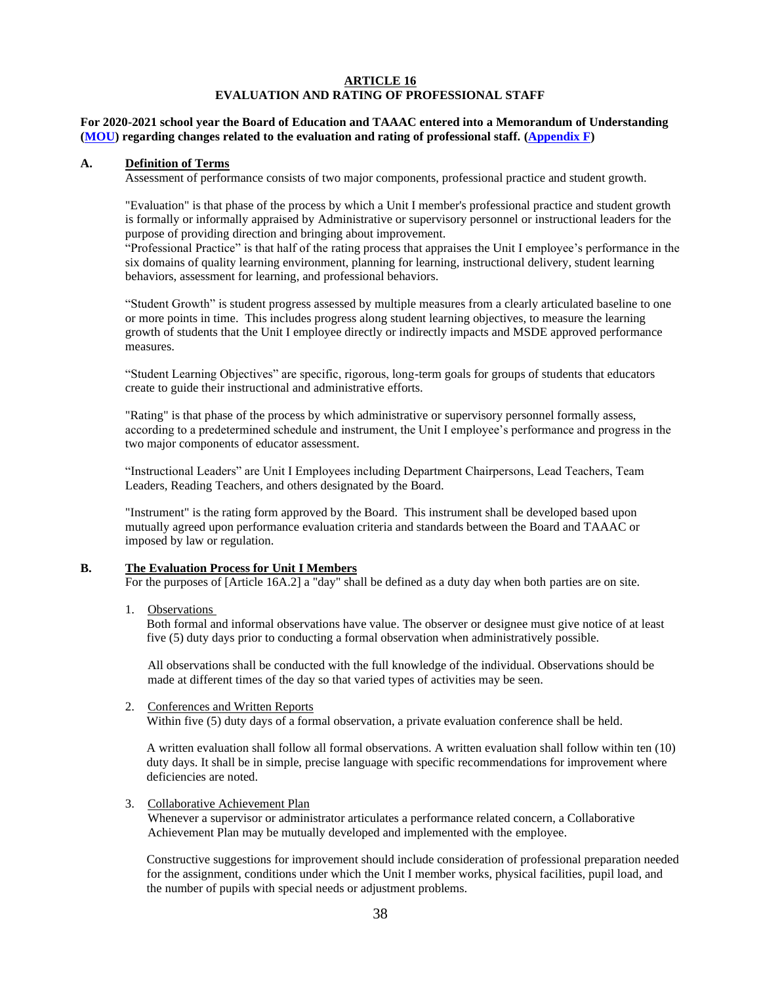## **ARTICLE 16 EVALUATION AND RATING OF PROFESSIONAL STAFF**

#### **For 2020-2021 school year the Board of Education and TAAAC entered into a Memorandum of Understanding [\(MOU\)](file:///C:/Users/mkennedy-auth/AppData/Local/Microsoft/Windows/INetCache/Content.Outlook/WL5MVDJE/MOUs%20Art.16-Evals%20and%20Rating.pdf) regarding changes related to the evaluation and rating of professional staff. [\(Appendix F\)](file:///C:/Users/mkennedy-auth/AppData/Local/Microsoft/Windows/INetCache/Content.Outlook/WL5MVDJE/MOUs%20Art.16-Evals%20and%20Rating.pdf)**

#### **A. Definition of Terms**

Assessment of performance consists of two major components, professional practice and student growth.

"Evaluation" is that phase of the process by which a Unit I member's professional practice and student growth is formally or informally appraised by Administrative or supervisory personnel or instructional leaders for the purpose of providing direction and bringing about improvement.

"Professional Practice" is that half of the rating process that appraises the Unit I employee's performance in the six domains of quality learning environment, planning for learning, instructional delivery, student learning behaviors, assessment for learning, and professional behaviors.

"Student Growth" is student progress assessed by multiple measures from a clearly articulated baseline to one or more points in time. This includes progress along student learning objectives, to measure the learning growth of students that the Unit I employee directly or indirectly impacts and MSDE approved performance measures.

"Student Learning Objectives" are specific, rigorous, long-term goals for groups of students that educators create to guide their instructional and administrative efforts.

"Rating" is that phase of the process by which administrative or supervisory personnel formally assess, according to a predetermined schedule and instrument, the Unit I employee's performance and progress in the two major components of educator assessment.

"Instructional Leaders" are Unit I Employees including Department Chairpersons, Lead Teachers, Team Leaders, Reading Teachers, and others designated by the Board.

"Instrument" is the rating form approved by the Board. This instrument shall be developed based upon mutually agreed upon performance evaluation criteria and standards between the Board and TAAAC or imposed by law or regulation.

#### **B. The Evaluation Process for Unit I Members**

For the purposes of [Article 16A.2] a "day" shall be defined as a duty day when both parties are on site.

1. Observations

Both formal and informal observations have value. The observer or designee must give notice of at least five (5) duty days prior to conducting a formal observation when administratively possible.

All observations shall be conducted with the full knowledge of the individual. Observations should be made at different times of the day so that varied types of activities may be seen.

#### 2. Conferences and Written Reports

Within five (5) duty days of a formal observation, a private evaluation conference shall be held.

A written evaluation shall follow all formal observations. A written evaluation shall follow within ten (10) duty days. It shall be in simple, precise language with specific recommendations for improvement where deficiencies are noted.

#### 3. Collaborative Achievement Plan

Whenever a supervisor or administrator articulates a performance related concern, a Collaborative Achievement Plan may be mutually developed and implemented with the employee.

Constructive suggestions for improvement should include consideration of professional preparation needed for the assignment, conditions under which the Unit I member works, physical facilities, pupil load, and the number of pupils with special needs or adjustment problems.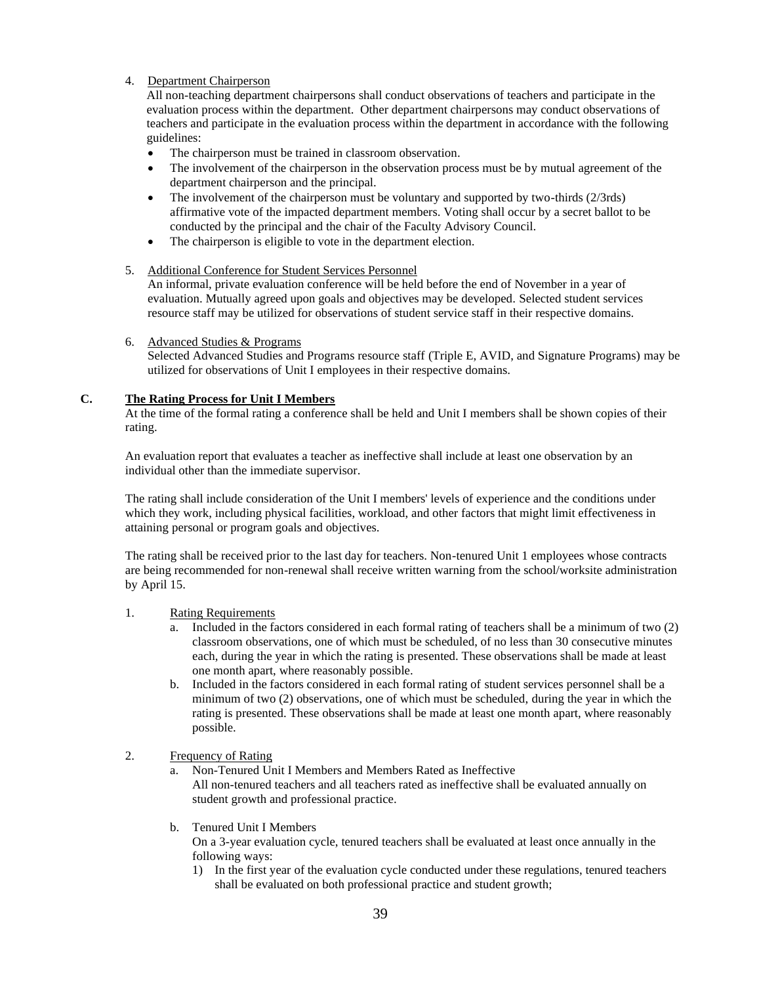## 4. Department Chairperson

All non-teaching department chairpersons shall conduct observations of teachers and participate in the evaluation process within the department. Other department chairpersons may conduct observations of teachers and participate in the evaluation process within the department in accordance with the following guidelines:

- The chairperson must be trained in classroom observation.
- The involvement of the chairperson in the observation process must be by mutual agreement of the department chairperson and the principal.
- The involvement of the chairperson must be voluntary and supported by two-thirds (2/3rds) affirmative vote of the impacted department members. Voting shall occur by a secret ballot to be conducted by the principal and the chair of the Faculty Advisory Council.
- The chairperson is eligible to vote in the department election.
- 5. Additional Conference for Student Services Personnel

An informal, private evaluation conference will be held before the end of November in a year of evaluation. Mutually agreed upon goals and objectives may be developed. Selected student services resource staff may be utilized for observations of student service staff in their respective domains.

## 6. Advanced Studies & Programs

Selected Advanced Studies and Programs resource staff (Triple E, AVID, and Signature Programs) may be utilized for observations of Unit I employees in their respective domains.

## **C. The Rating Process for Unit I Members**

At the time of the formal rating a conference shall be held and Unit I members shall be shown copies of their rating.

An evaluation report that evaluates a teacher as ineffective shall include at least one observation by an individual other than the immediate supervisor.

The rating shall include consideration of the Unit I members' levels of experience and the conditions under which they work, including physical facilities, workload, and other factors that might limit effectiveness in attaining personal or program goals and objectives.

The rating shall be received prior to the last day for teachers. Non-tenured Unit 1 employees whose contracts are being recommended for non-renewal shall receive written warning from the school/worksite administration by April 15.

## 1. Rating Requirements

- a. Included in the factors considered in each formal rating of teachers shall be a minimum of two (2) classroom observations, one of which must be scheduled, of no less than 30 consecutive minutes each, during the year in which the rating is presented. These observations shall be made at least one month apart, where reasonably possible.
- b. Included in the factors considered in each formal rating of student services personnel shall be a minimum of two (2) observations, one of which must be scheduled, during the year in which the rating is presented. These observations shall be made at least one month apart, where reasonably possible.
- 2. Frequency of Rating
	- a. Non-Tenured Unit I Members and Members Rated as Ineffective All non-tenured teachers and all teachers rated as ineffective shall be evaluated annually on student growth and professional practice.
	- b. Tenured Unit I Members

On a 3-year evaluation cycle, tenured teachers shall be evaluated at least once annually in the following ways:

1) In the first year of the evaluation cycle conducted under these regulations, tenured teachers shall be evaluated on both professional practice and student growth;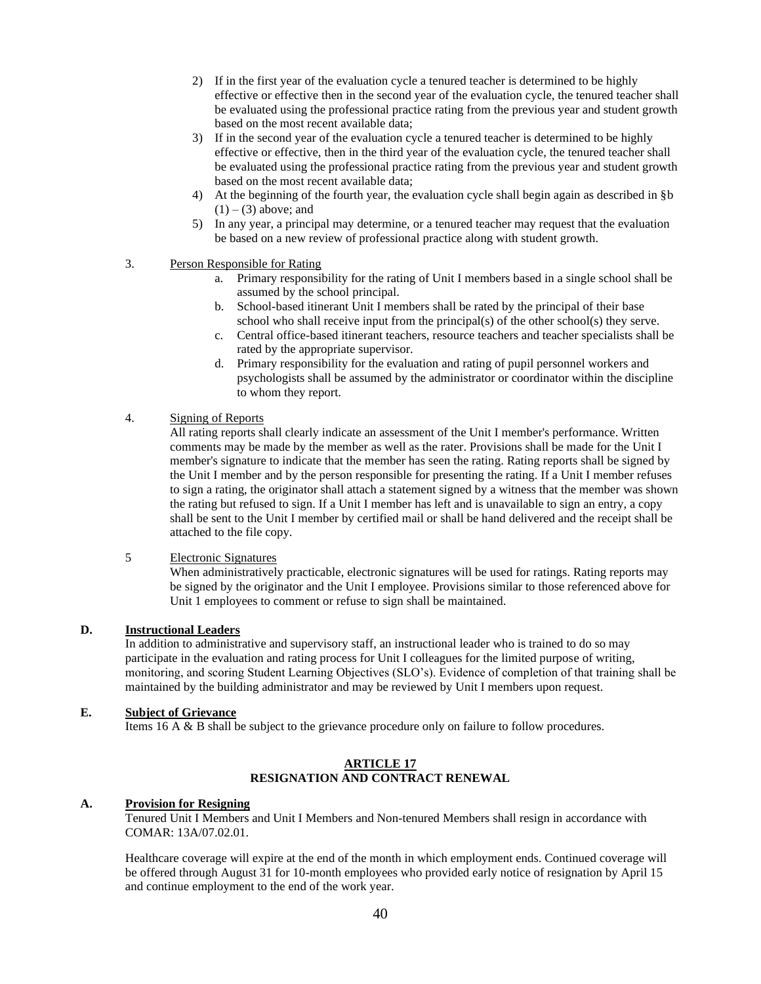- 2) If in the first year of the evaluation cycle a tenured teacher is determined to be highly effective or effective then in the second year of the evaluation cycle, the tenured teacher shall be evaluated using the professional practice rating from the previous year and student growth based on the most recent available data;
- 3) If in the second year of the evaluation cycle a tenured teacher is determined to be highly effective or effective, then in the third year of the evaluation cycle, the tenured teacher shall be evaluated using the professional practice rating from the previous year and student growth based on the most recent available data;
- 4) At the beginning of the fourth year, the evaluation cycle shall begin again as described in §b  $(1) - (3)$  above; and
- 5) In any year, a principal may determine, or a tenured teacher may request that the evaluation be based on a new review of professional practice along with student growth.
- 3. Person Responsible for Rating
	- a. Primary responsibility for the rating of Unit I members based in a single school shall be assumed by the school principal.
	- b. School-based itinerant Unit I members shall be rated by the principal of their base school who shall receive input from the principal(s) of the other school(s) they serve.
	- c. Central office-based itinerant teachers, resource teachers and teacher specialists shall be rated by the appropriate supervisor.
	- d. Primary responsibility for the evaluation and rating of pupil personnel workers and psychologists shall be assumed by the administrator or coordinator within the discipline to whom they report.
- 4. Signing of Reports

All rating reports shall clearly indicate an assessment of the Unit I member's performance. Written comments may be made by the member as well as the rater. Provisions shall be made for the Unit I member's signature to indicate that the member has seen the rating. Rating reports shall be signed by the Unit I member and by the person responsible for presenting the rating. If a Unit I member refuses to sign a rating, the originator shall attach a statement signed by a witness that the member was shown the rating but refused to sign. If a Unit I member has left and is unavailable to sign an entry, a copy shall be sent to the Unit I member by certified mail or shall be hand delivered and the receipt shall be attached to the file copy.

#### 5 Electronic Signatures

When administratively practicable, electronic signatures will be used for ratings. Rating reports may be signed by the originator and the Unit I employee. Provisions similar to those referenced above for Unit 1 employees to comment or refuse to sign shall be maintained.

#### **D. Instructional Leaders**

In addition to administrative and supervisory staff, an instructional leader who is trained to do so may participate in the evaluation and rating process for Unit I colleagues for the limited purpose of writing, monitoring, and scoring Student Learning Objectives (SLO's). Evidence of completion of that training shall be maintained by the building administrator and may be reviewed by Unit I members upon request.

## **E. Subject of Grievance**

Items 16 A & B shall be subject to the grievance procedure only on failure to follow procedures.

#### **ARTICLE 17 RESIGNATION AND CONTRACT RENEWAL**

#### **A. Provision for Resigning**

Tenured Unit I Members and Unit I Members and Non-tenured Members shall resign in accordance with COMAR: 13A/07.02.01.

Healthcare coverage will expire at the end of the month in which employment ends. Continued coverage will be offered through August 31 for 10-month employees who provided early notice of resignation by April 15 and continue employment to the end of the work year.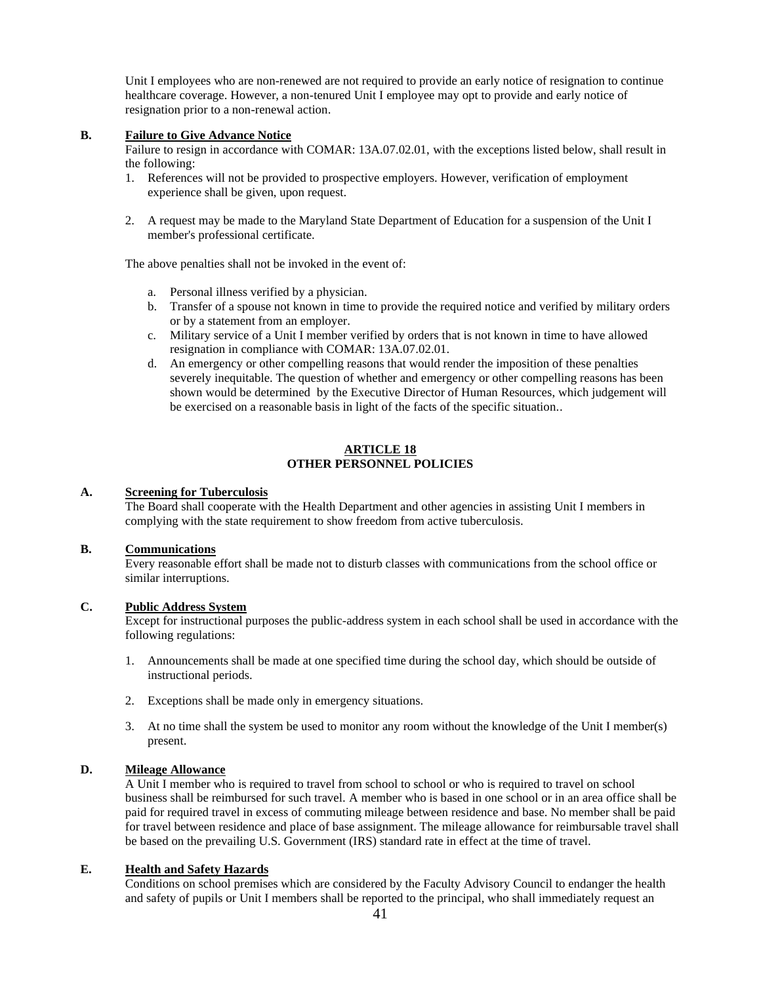Unit I employees who are non-renewed are not required to provide an early notice of resignation to continue healthcare coverage. However, a non-tenured Unit I employee may opt to provide and early notice of resignation prior to a non-renewal action.

#### **B. Failure to Give Advance Notice**

Failure to resign in accordance with COMAR: 13A.07.02.01, with the exceptions listed below, shall result in the following:

- 1. References will not be provided to prospective employers. However, verification of employment experience shall be given, upon request.
- 2. A request may be made to the Maryland State Department of Education for a suspension of the Unit I member's professional certificate.

The above penalties shall not be invoked in the event of:

- a. Personal illness verified by a physician.
- b. Transfer of a spouse not known in time to provide the required notice and verified by military orders or by a statement from an employer.
- c. Military service of a Unit I member verified by orders that is not known in time to have allowed resignation in compliance with COMAR: 13A.07.02.01.
- d. An emergency or other compelling reasons that would render the imposition of these penalties severely inequitable. The question of whether and emergency or other compelling reasons has been shown would be determined by the Executive Director of Human Resources, which judgement will be exercised on a reasonable basis in light of the facts of the specific situation..

#### **ARTICLE 18 OTHER PERSONNEL POLICIES**

## **A. Screening for Tuberculosis**

The Board shall cooperate with the Health Department and other agencies in assisting Unit I members in complying with the state requirement to show freedom from active tuberculosis.

#### **B. Communications**

Every reasonable effort shall be made not to disturb classes with communications from the school office or similar interruptions.

#### **C. Public Address System**

Except for instructional purposes the public-address system in each school shall be used in accordance with the following regulations:

- 1. Announcements shall be made at one specified time during the school day, which should be outside of instructional periods.
- 2. Exceptions shall be made only in emergency situations.
- 3. At no time shall the system be used to monitor any room without the knowledge of the Unit I member(s) present.

## **D. Mileage Allowance**

A Unit I member who is required to travel from school to school or who is required to travel on school business shall be reimbursed for such travel. A member who is based in one school or in an area office shall be paid for required travel in excess of commuting mileage between residence and base. No member shall be paid for travel between residence and place of base assignment. The mileage allowance for reimbursable travel shall be based on the prevailing U.S. Government (IRS) standard rate in effect at the time of travel.

#### **E. Health and Safety Hazards**

Conditions on school premises which are considered by the Faculty Advisory Council to endanger the health and safety of pupils or Unit I members shall be reported to the principal, who shall immediately request an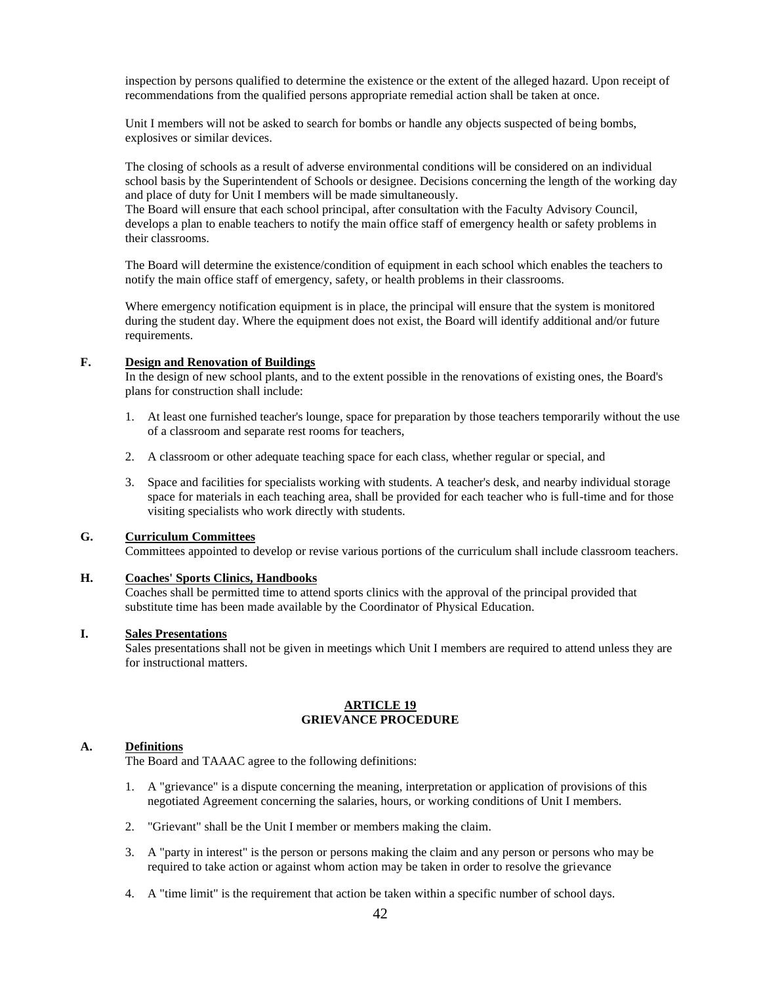inspection by persons qualified to determine the existence or the extent of the alleged hazard. Upon receipt of recommendations from the qualified persons appropriate remedial action shall be taken at once.

Unit I members will not be asked to search for bombs or handle any objects suspected of being bombs, explosives or similar devices.

The closing of schools as a result of adverse environmental conditions will be considered on an individual school basis by the Superintendent of Schools or designee. Decisions concerning the length of the working day and place of duty for Unit I members will be made simultaneously.

The Board will ensure that each school principal, after consultation with the Faculty Advisory Council, develops a plan to enable teachers to notify the main office staff of emergency health or safety problems in their classrooms.

The Board will determine the existence/condition of equipment in each school which enables the teachers to notify the main office staff of emergency, safety, or health problems in their classrooms.

Where emergency notification equipment is in place, the principal will ensure that the system is monitored during the student day. Where the equipment does not exist, the Board will identify additional and/or future requirements.

### **F. Design and Renovation of Buildings**

In the design of new school plants, and to the extent possible in the renovations of existing ones, the Board's plans for construction shall include:

- 1. At least one furnished teacher's lounge, space for preparation by those teachers temporarily without the use of a classroom and separate rest rooms for teachers,
- 2. A classroom or other adequate teaching space for each class, whether regular or special, and
- 3. Space and facilities for specialists working with students. A teacher's desk, and nearby individual storage space for materials in each teaching area, shall be provided for each teacher who is full-time and for those visiting specialists who work directly with students.

## **G. Curriculum Committees**

Committees appointed to develop or revise various portions of the curriculum shall include classroom teachers.

#### **H. Coaches' Sports Clinics, Handbooks**

Coaches shall be permitted time to attend sports clinics with the approval of the principal provided that substitute time has been made available by the Coordinator of Physical Education.

#### **I. Sales Presentations**

Sales presentations shall not be given in meetings which Unit I members are required to attend unless they are for instructional matters.

#### **ARTICLE 19 GRIEVANCE PROCEDURE**

## **A. Definitions**

The Board and TAAAC agree to the following definitions:

- 1. A "grievance" is a dispute concerning the meaning, interpretation or application of provisions of this negotiated Agreement concerning the salaries, hours, or working conditions of Unit I members.
- 2. "Grievant" shall be the Unit I member or members making the claim.
- 3. A "party in interest" is the person or persons making the claim and any person or persons who may be required to take action or against whom action may be taken in order to resolve the grievance
- 4. A "time limit" is the requirement that action be taken within a specific number of school days.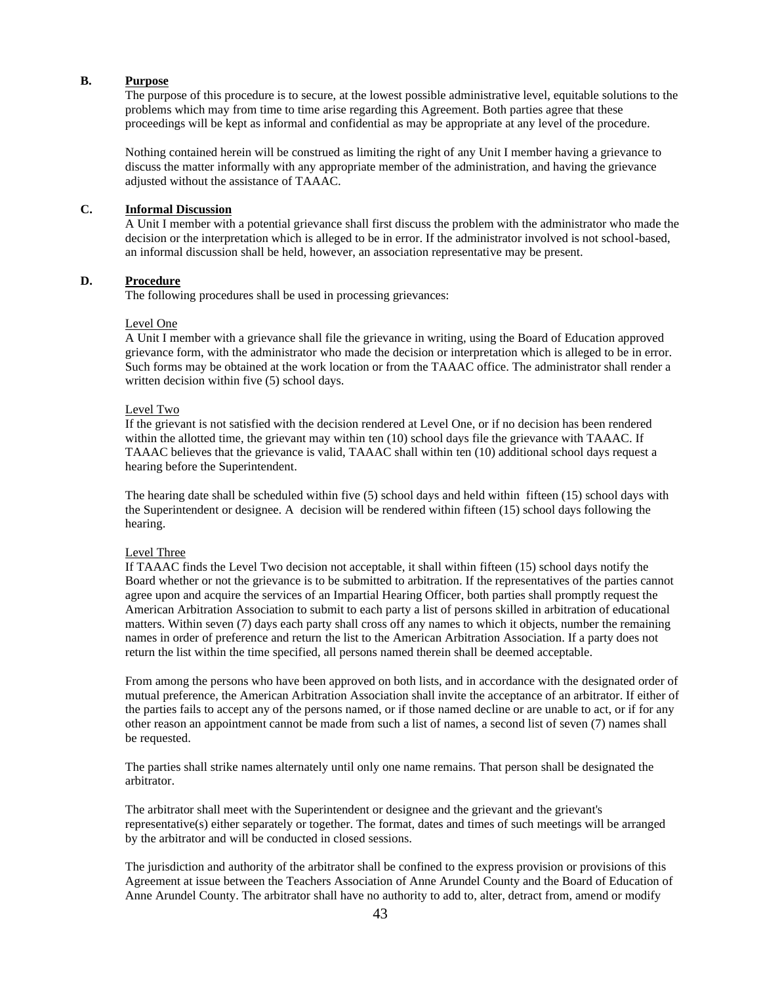## **B. Purpose**

The purpose of this procedure is to secure, at the lowest possible administrative level, equitable solutions to the problems which may from time to time arise regarding this Agreement. Both parties agree that these proceedings will be kept as informal and confidential as may be appropriate at any level of the procedure.

Nothing contained herein will be construed as limiting the right of any Unit I member having a grievance to discuss the matter informally with any appropriate member of the administration, and having the grievance adjusted without the assistance of TAAAC.

## **C. Informal Discussion**

A Unit I member with a potential grievance shall first discuss the problem with the administrator who made the decision or the interpretation which is alleged to be in error. If the administrator involved is not school-based, an informal discussion shall be held, however, an association representative may be present.

## **D. Procedure**

The following procedures shall be used in processing grievances:

#### Level One

A Unit I member with a grievance shall file the grievance in writing, using the Board of Education approved grievance form, with the administrator who made the decision or interpretation which is alleged to be in error. Such forms may be obtained at the work location or from the TAAAC office. The administrator shall render a written decision within five (5) school days.

#### Level Two

If the grievant is not satisfied with the decision rendered at Level One, or if no decision has been rendered within the allotted time, the grievant may within ten (10) school days file the grievance with TAAAC. If TAAAC believes that the grievance is valid, TAAAC shall within ten (10) additional school days request a hearing before the Superintendent.

The hearing date shall be scheduled within five (5) school days and held within fifteen (15) school days with the Superintendent or designee. A decision will be rendered within fifteen (15) school days following the hearing.

## Level Three

If TAAAC finds the Level Two decision not acceptable, it shall within fifteen (15) school days notify the Board whether or not the grievance is to be submitted to arbitration. If the representatives of the parties cannot agree upon and acquire the services of an Impartial Hearing Officer, both parties shall promptly request the American Arbitration Association to submit to each party a list of persons skilled in arbitration of educational matters. Within seven (7) days each party shall cross off any names to which it objects, number the remaining names in order of preference and return the list to the American Arbitration Association. If a party does not return the list within the time specified, all persons named therein shall be deemed acceptable.

From among the persons who have been approved on both lists, and in accordance with the designated order of mutual preference, the American Arbitration Association shall invite the acceptance of an arbitrator. If either of the parties fails to accept any of the persons named, or if those named decline or are unable to act, or if for any other reason an appointment cannot be made from such a list of names, a second list of seven (7) names shall be requested.

The parties shall strike names alternately until only one name remains. That person shall be designated the arbitrator.

The arbitrator shall meet with the Superintendent or designee and the grievant and the grievant's representative(s) either separately or together. The format, dates and times of such meetings will be arranged by the arbitrator and will be conducted in closed sessions.

The jurisdiction and authority of the arbitrator shall be confined to the express provision or provisions of this Agreement at issue between the Teachers Association of Anne Arundel County and the Board of Education of Anne Arundel County. The arbitrator shall have no authority to add to, alter, detract from, amend or modify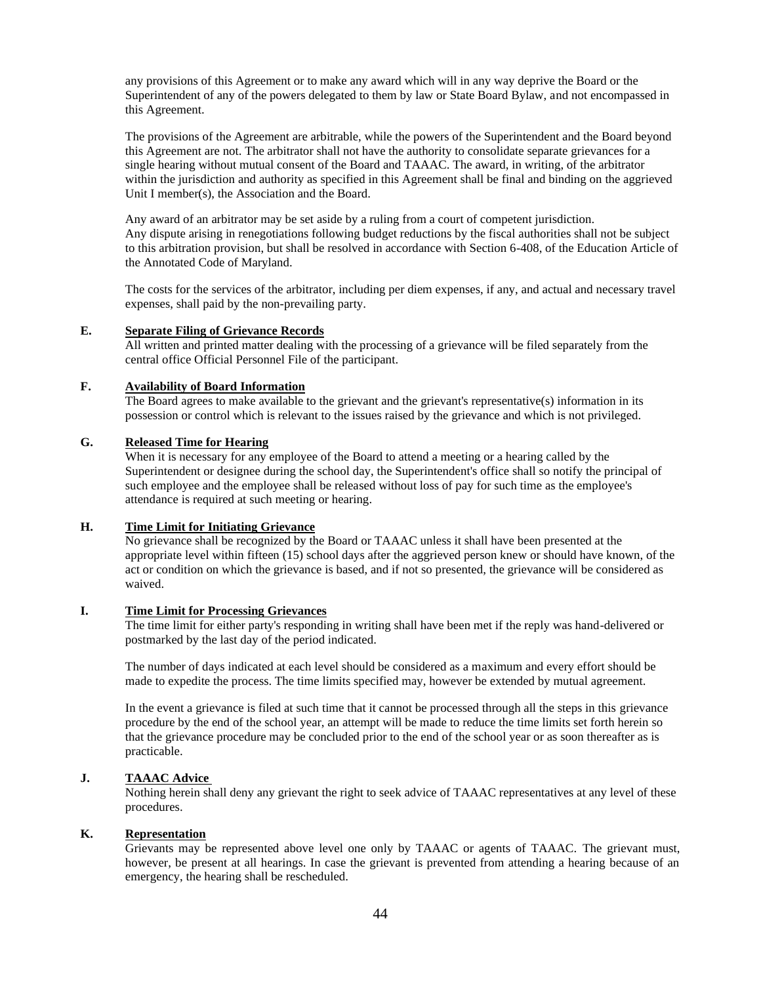any provisions of this Agreement or to make any award which will in any way deprive the Board or the Superintendent of any of the powers delegated to them by law or State Board Bylaw, and not encompassed in this Agreement.

The provisions of the Agreement are arbitrable, while the powers of the Superintendent and the Board beyond this Agreement are not. The arbitrator shall not have the authority to consolidate separate grievances for a single hearing without mutual consent of the Board and TAAAC. The award, in writing, of the arbitrator within the jurisdiction and authority as specified in this Agreement shall be final and binding on the aggrieved Unit I member(s), the Association and the Board.

Any award of an arbitrator may be set aside by a ruling from a court of competent jurisdiction. Any dispute arising in renegotiations following budget reductions by the fiscal authorities shall not be subject to this arbitration provision, but shall be resolved in accordance with Section 6-408, of the Education Article of the Annotated Code of Maryland.

The costs for the services of the arbitrator, including per diem expenses, if any, and actual and necessary travel expenses, shall paid by the non-prevailing party.

#### **E. Separate Filing of Grievance Records**

All written and printed matter dealing with the processing of a grievance will be filed separately from the central office Official Personnel File of the participant.

#### **F. Availability of Board Information**

The Board agrees to make available to the grievant and the grievant's representative(s) information in its possession or control which is relevant to the issues raised by the grievance and which is not privileged.

#### **G. Released Time for Hearing**

When it is necessary for any employee of the Board to attend a meeting or a hearing called by the Superintendent or designee during the school day, the Superintendent's office shall so notify the principal of such employee and the employee shall be released without loss of pay for such time as the employee's attendance is required at such meeting or hearing.

## **H. Time Limit for Initiating Grievance**

No grievance shall be recognized by the Board or TAAAC unless it shall have been presented at the appropriate level within fifteen (15) school days after the aggrieved person knew or should have known, of the act or condition on which the grievance is based, and if not so presented, the grievance will be considered as waived.

#### **I. Time Limit for Processing Grievances**

The time limit for either party's responding in writing shall have been met if the reply was hand-delivered or postmarked by the last day of the period indicated.

The number of days indicated at each level should be considered as a maximum and every effort should be made to expedite the process. The time limits specified may, however be extended by mutual agreement.

In the event a grievance is filed at such time that it cannot be processed through all the steps in this grievance procedure by the end of the school year, an attempt will be made to reduce the time limits set forth herein so that the grievance procedure may be concluded prior to the end of the school year or as soon thereafter as is practicable.

## **J. TAAAC Advice**

Nothing herein shall deny any grievant the right to seek advice of TAAAC representatives at any level of these procedures.

## **K. Representation**

Grievants may be represented above level one only by TAAAC or agents of TAAAC. The grievant must, however, be present at all hearings. In case the grievant is prevented from attending a hearing because of an emergency, the hearing shall be rescheduled.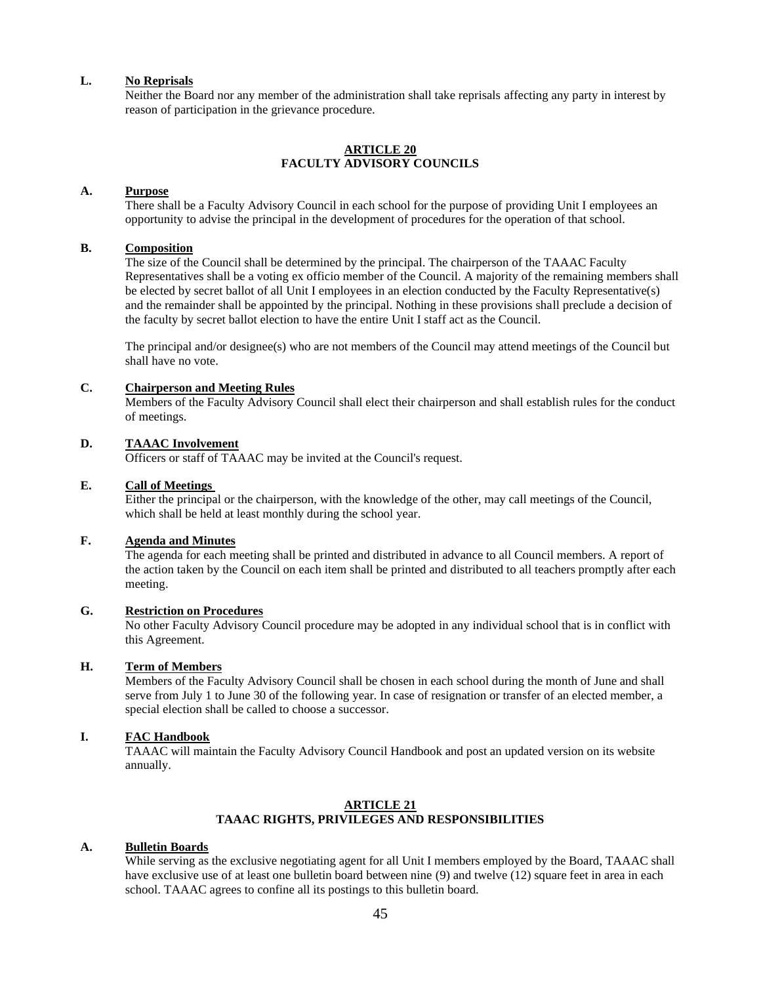## **L. No Reprisals**

Neither the Board nor any member of the administration shall take reprisals affecting any party in interest by reason of participation in the grievance procedure.

#### **ARTICLE 20 FACULTY ADVISORY COUNCILS**

#### **A. Purpose**

There shall be a Faculty Advisory Council in each school for the purpose of providing Unit I employees an opportunity to advise the principal in the development of procedures for the operation of that school.

## **B. Composition**

The size of the Council shall be determined by the principal. The chairperson of the TAAAC Faculty Representatives shall be a voting ex officio member of the Council. A majority of the remaining members shall be elected by secret ballot of all Unit I employees in an election conducted by the Faculty Representative(s) and the remainder shall be appointed by the principal. Nothing in these provisions shall preclude a decision of the faculty by secret ballot election to have the entire Unit I staff act as the Council.

The principal and/or designee(s) who are not members of the Council may attend meetings of the Council but shall have no vote.

#### **C. Chairperson and Meeting Rules**

Members of the Faculty Advisory Council shall elect their chairperson and shall establish rules for the conduct of meetings.

#### **D. TAAAC Involvement**

Officers or staff of TAAAC may be invited at the Council's request.

## **E. Call of Meetings**

Either the principal or the chairperson, with the knowledge of the other, may call meetings of the Council, which shall be held at least monthly during the school year.

#### **F. Agenda and Minutes**

The agenda for each meeting shall be printed and distributed in advance to all Council members. A report of the action taken by the Council on each item shall be printed and distributed to all teachers promptly after each meeting.

#### **G. Restriction on Procedures**

No other Faculty Advisory Council procedure may be adopted in any individual school that is in conflict with this Agreement.

#### **H. Term of Members**

Members of the Faculty Advisory Council shall be chosen in each school during the month of June and shall serve from July 1 to June 30 of the following year. In case of resignation or transfer of an elected member, a special election shall be called to choose a successor.

#### **I. FAC Handbook**

TAAAC will maintain the Faculty Advisory Council Handbook and post an updated version on its website annually.

#### **ARTICLE 21 TAAAC RIGHTS, PRIVILEGES AND RESPONSIBILITIES**

## **A. Bulletin Boards**

While serving as the exclusive negotiating agent for all Unit I members employed by the Board, TAAAC shall have exclusive use of at least one bulletin board between nine (9) and twelve (12) square feet in area in each school. TAAAC agrees to confine all its postings to this bulletin board.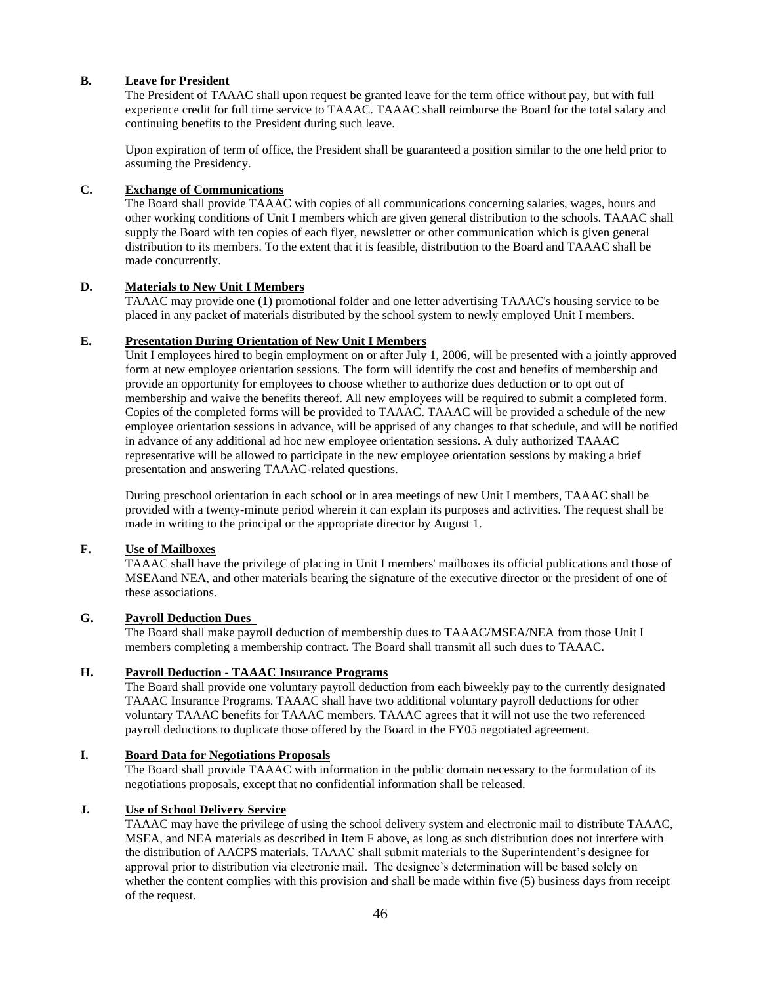## **B. Leave for President**

The President of TAAAC shall upon request be granted leave for the term office without pay, but with full experience credit for full time service to TAAAC. TAAAC shall reimburse the Board for the total salary and continuing benefits to the President during such leave.

Upon expiration of term of office, the President shall be guaranteed a position similar to the one held prior to assuming the Presidency.

## **C. Exchange of Communications**

The Board shall provide TAAAC with copies of all communications concerning salaries, wages, hours and other working conditions of Unit I members which are given general distribution to the schools. TAAAC shall supply the Board with ten copies of each flyer, newsletter or other communication which is given general distribution to its members. To the extent that it is feasible, distribution to the Board and TAAAC shall be made concurrently.

## **D. Materials to New Unit I Members**

TAAAC may provide one (1) promotional folder and one letter advertising TAAAC's housing service to be placed in any packet of materials distributed by the school system to newly employed Unit I members.

## **E. Presentation During Orientation of New Unit I Members**

Unit I employees hired to begin employment on or after July 1, 2006, will be presented with a jointly approved form at new employee orientation sessions. The form will identify the cost and benefits of membership and provide an opportunity for employees to choose whether to authorize dues deduction or to opt out of membership and waive the benefits thereof. All new employees will be required to submit a completed form. Copies of the completed forms will be provided to TAAAC. TAAAC will be provided a schedule of the new employee orientation sessions in advance, will be apprised of any changes to that schedule, and will be notified in advance of any additional ad hoc new employee orientation sessions. A duly authorized TAAAC representative will be allowed to participate in the new employee orientation sessions by making a brief presentation and answering TAAAC-related questions.

During preschool orientation in each school or in area meetings of new Unit I members, TAAAC shall be provided with a twenty-minute period wherein it can explain its purposes and activities. The request shall be made in writing to the principal or the appropriate director by August 1.

## **F. Use of Mailboxes**

TAAAC shall have the privilege of placing in Unit I members' mailboxes its official publications and those of MSEAand NEA, and other materials bearing the signature of the executive director or the president of one of these associations.

## **G. Payroll Deduction Dues**

The Board shall make payroll deduction of membership dues to TAAAC/MSEA/NEA from those Unit I members completing a membership contract. The Board shall transmit all such dues to TAAAC.

## **H. Payroll Deduction - TAAAC Insurance Programs**

The Board shall provide one voluntary payroll deduction from each biweekly pay to the currently designated TAAAC Insurance Programs. TAAAC shall have two additional voluntary payroll deductions for other voluntary TAAAC benefits for TAAAC members. TAAAC agrees that it will not use the two referenced payroll deductions to duplicate those offered by the Board in the FY05 negotiated agreement.

## **I. Board Data for Negotiations Proposals**

The Board shall provide TAAAC with information in the public domain necessary to the formulation of its negotiations proposals, except that no confidential information shall be released.

## **J. Use of School Delivery Service**

TAAAC may have the privilege of using the school delivery system and electronic mail to distribute TAAAC, MSEA, and NEA materials as described in Item F above, as long as such distribution does not interfere with the distribution of AACPS materials. TAAAC shall submit materials to the Superintendent's designee for approval prior to distribution via electronic mail. The designee's determination will be based solely on whether the content complies with this provision and shall be made within five (5) business days from receipt of the request.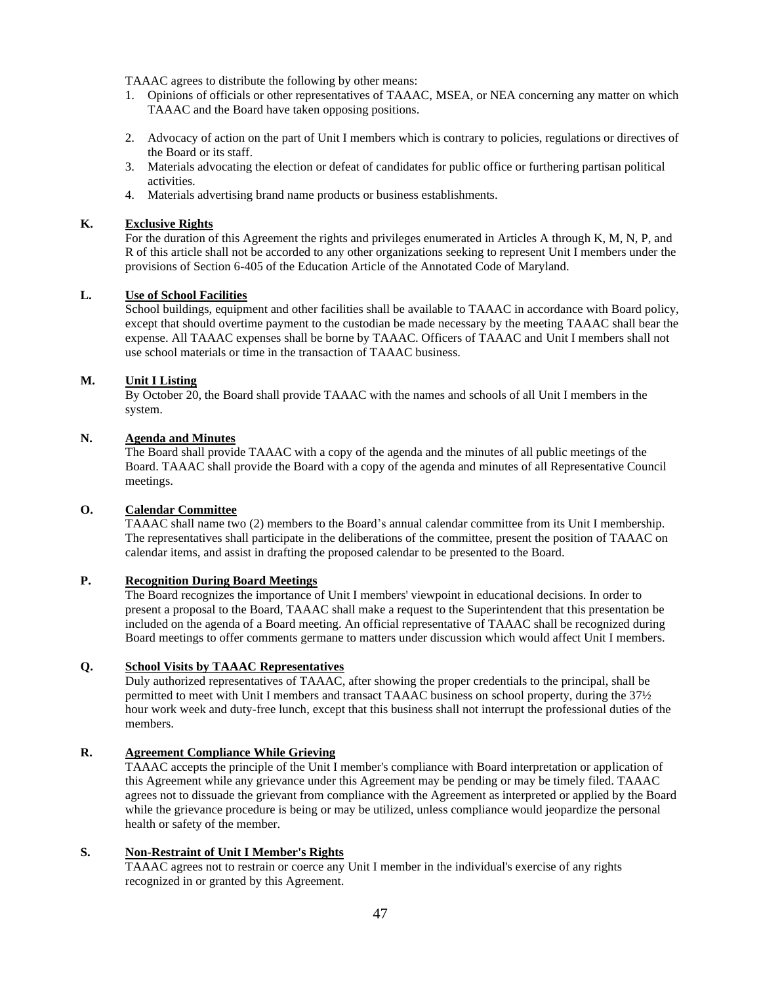TAAAC agrees to distribute the following by other means:

- 1. Opinions of officials or other representatives of TAAAC, MSEA, or NEA concerning any matter on which TAAAC and the Board have taken opposing positions.
- 2. Advocacy of action on the part of Unit I members which is contrary to policies, regulations or directives of the Board or its staff.
- 3. Materials advocating the election or defeat of candidates for public office or furthering partisan political activities.
- 4. Materials advertising brand name products or business establishments.

#### **K. Exclusive Rights**

For the duration of this Agreement the rights and privileges enumerated in Articles A through K, M, N, P, and R of this article shall not be accorded to any other organizations seeking to represent Unit I members under the provisions of Section 6-405 of the Education Article of the Annotated Code of Maryland.

## **L. Use of School Facilities**

School buildings, equipment and other facilities shall be available to TAAAC in accordance with Board policy, except that should overtime payment to the custodian be made necessary by the meeting TAAAC shall bear the expense. All TAAAC expenses shall be borne by TAAAC. Officers of TAAAC and Unit I members shall not use school materials or time in the transaction of TAAAC business.

#### **M. Unit I Listing**

By October 20, the Board shall provide TAAAC with the names and schools of all Unit I members in the system.

## **N. Agenda and Minutes**

The Board shall provide TAAAC with a copy of the agenda and the minutes of all public meetings of the Board. TAAAC shall provide the Board with a copy of the agenda and minutes of all Representative Council meetings.

#### **O. Calendar Committee**

TAAAC shall name two (2) members to the Board's annual calendar committee from its Unit I membership. The representatives shall participate in the deliberations of the committee, present the position of TAAAC on calendar items, and assist in drafting the proposed calendar to be presented to the Board.

## **P. Recognition During Board Meetings**

The Board recognizes the importance of Unit I members' viewpoint in educational decisions. In order to present a proposal to the Board, TAAAC shall make a request to the Superintendent that this presentation be included on the agenda of a Board meeting. An official representative of TAAAC shall be recognized during Board meetings to offer comments germane to matters under discussion which would affect Unit I members.

#### **Q. School Visits by TAAAC Representatives**

Duly authorized representatives of TAAAC, after showing the proper credentials to the principal, shall be permitted to meet with Unit I members and transact TAAAC business on school property, during the 37½ hour work week and duty-free lunch, except that this business shall not interrupt the professional duties of the members.

## **R. Agreement Compliance While Grieving**

TAAAC accepts the principle of the Unit I member's compliance with Board interpretation or application of this Agreement while any grievance under this Agreement may be pending or may be timely filed. TAAAC agrees not to dissuade the grievant from compliance with the Agreement as interpreted or applied by the Board while the grievance procedure is being or may be utilized, unless compliance would jeopardize the personal health or safety of the member.

#### **S. Non-Restraint of Unit I Member's Rights**

TAAAC agrees not to restrain or coerce any Unit I member in the individual's exercise of any rights recognized in or granted by this Agreement.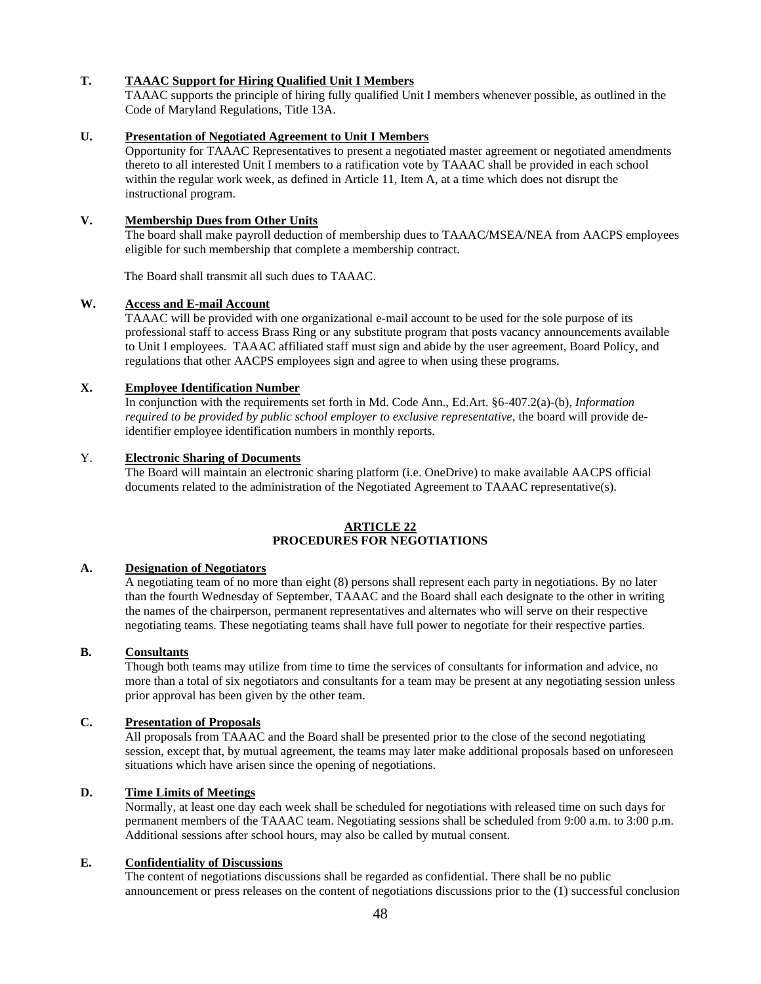## **T. TAAAC Support for Hiring Qualified Unit I Members**

TAAAC supports the principle of hiring fully qualified Unit I members whenever possible, as outlined in the Code of Maryland Regulations, Title 13A.

## **U. Presentation of Negotiated Agreement to Unit I Members**

Opportunity for TAAAC Representatives to present a negotiated master agreement or negotiated amendments thereto to all interested Unit I members to a ratification vote by TAAAC shall be provided in each school within the regular work week, as defined in Article 11, Item A, at a time which does not disrupt the instructional program.

## **V. Membership Dues from Other Units**

The board shall make payroll deduction of membership dues to TAAAC/MSEA/NEA from AACPS employees eligible for such membership that complete a membership contract.

The Board shall transmit all such dues to TAAAC.

## **W. Access and E-mail Account**

TAAAC will be provided with one organizational e-mail account to be used for the sole purpose of its professional staff to access Brass Ring or any substitute program that posts vacancy announcements available to Unit I employees. TAAAC affiliated staff must sign and abide by the user agreement, Board Policy, and regulations that other AACPS employees sign and agree to when using these programs.

## **X. Employee Identification Number**

In conjunction with the requirements set forth in Md. Code Ann., Ed.Art. §6-407.2(a)-(b), *Information required to be provided by public school employer to exclusive representative,* the board will provide deidentifier employee identification numbers in monthly reports.

## Y. **Electronic Sharing of Documents**

The Board will maintain an electronic sharing platform (i.e. OneDrive) to make available AACPS official documents related to the administration of the Negotiated Agreement to TAAAC representative(s).

#### **ARTICLE 22 PROCEDURES FOR NEGOTIATIONS**

## **A. Designation of Negotiators**

A negotiating team of no more than eight (8) persons shall represent each party in negotiations. By no later than the fourth Wednesday of September, TAAAC and the Board shall each designate to the other in writing the names of the chairperson, permanent representatives and alternates who will serve on their respective negotiating teams. These negotiating teams shall have full power to negotiate for their respective parties.

## **B. Consultants**

Though both teams may utilize from time to time the services of consultants for information and advice, no more than a total of six negotiators and consultants for a team may be present at any negotiating session unless prior approval has been given by the other team.

## **C. Presentation of Proposals**

All proposals from TAAAC and the Board shall be presented prior to the close of the second negotiating session, except that, by mutual agreement, the teams may later make additional proposals based on unforeseen situations which have arisen since the opening of negotiations.

## **D. Time Limits of Meetings**

Normally, at least one day each week shall be scheduled for negotiations with released time on such days for permanent members of the TAAAC team. Negotiating sessions shall be scheduled from 9:00 a.m. to 3:00 p.m. Additional sessions after school hours, may also be called by mutual consent.

## **E. Confidentiality of Discussions**

The content of negotiations discussions shall be regarded as confidential. There shall be no public announcement or press releases on the content of negotiations discussions prior to the (1) successful conclusion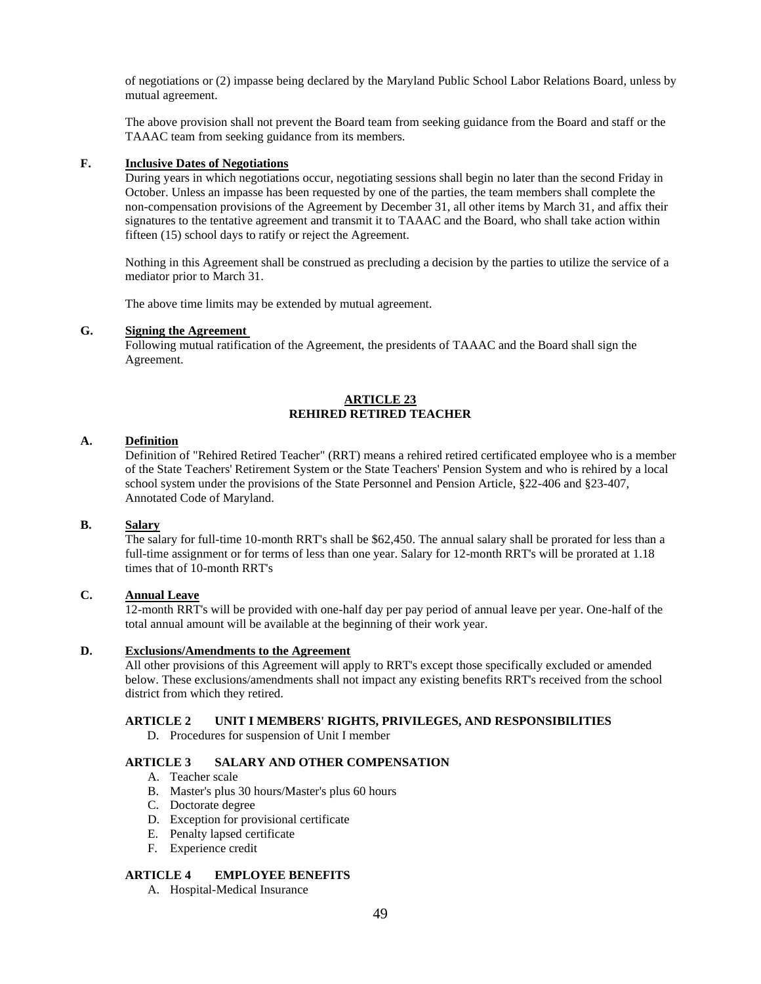of negotiations or (2) impasse being declared by the Maryland Public School Labor Relations Board, unless by mutual agreement.

The above provision shall not prevent the Board team from seeking guidance from the Board and staff or the TAAAC team from seeking guidance from its members.

#### **F. Inclusive Dates of Negotiations**

During years in which negotiations occur, negotiating sessions shall begin no later than the second Friday in October. Unless an impasse has been requested by one of the parties, the team members shall complete the non-compensation provisions of the Agreement by December 31, all other items by March 31, and affix their signatures to the tentative agreement and transmit it to TAAAC and the Board, who shall take action within fifteen (15) school days to ratify or reject the Agreement.

Nothing in this Agreement shall be construed as precluding a decision by the parties to utilize the service of a mediator prior to March 31.

The above time limits may be extended by mutual agreement.

#### **G. Signing the Agreement**

Following mutual ratification of the Agreement, the presidents of TAAAC and the Board shall sign the Agreement.

## **ARTICLE 23 REHIRED RETIRED TEACHER**

#### **A. Definition**

Definition of "Rehired Retired Teacher" (RRT) means a rehired retired certificated employee who is a member of the State Teachers' Retirement System or the State Teachers' Pension System and who is rehired by a local school system under the provisions of the State Personnel and Pension Article, §22-406 and §23-407, Annotated Code of Maryland.

## **B. Salary**

The salary for full-time 10-month RRT's shall be \$62,450. The annual salary shall be prorated for less than a full-time assignment or for terms of less than one year. Salary for 12-month RRT's will be prorated at 1.18 times that of 10-month RRT's

## **C. Annual Leave**

12-month RRT's will be provided with one-half day per pay period of annual leave per year. One-half of the total annual amount will be available at the beginning of their work year.

#### **D. Exclusions/Amendments to the Agreement**

All other provisions of this Agreement will apply to RRT's except those specifically excluded or amended below. These exclusions/amendments shall not impact any existing benefits RRT's received from the school district from which they retired.

#### **ARTICLE 2 UNIT I MEMBERS' RIGHTS, PRIVILEGES, AND RESPONSIBILITIES**

D. Procedures for suspension of Unit I member

#### **ARTICLE 3 SALARY AND OTHER COMPENSATION**

- A. Teacher scale
- B. Master's plus 30 hours/Master's plus 60 hours
- C. Doctorate degree
- D. Exception for provisional certificate
- E. Penalty lapsed certificate
- F. Experience credit

## **ARTICLE 4 EMPLOYEE BENEFITS**

A. Hospital-Medical Insurance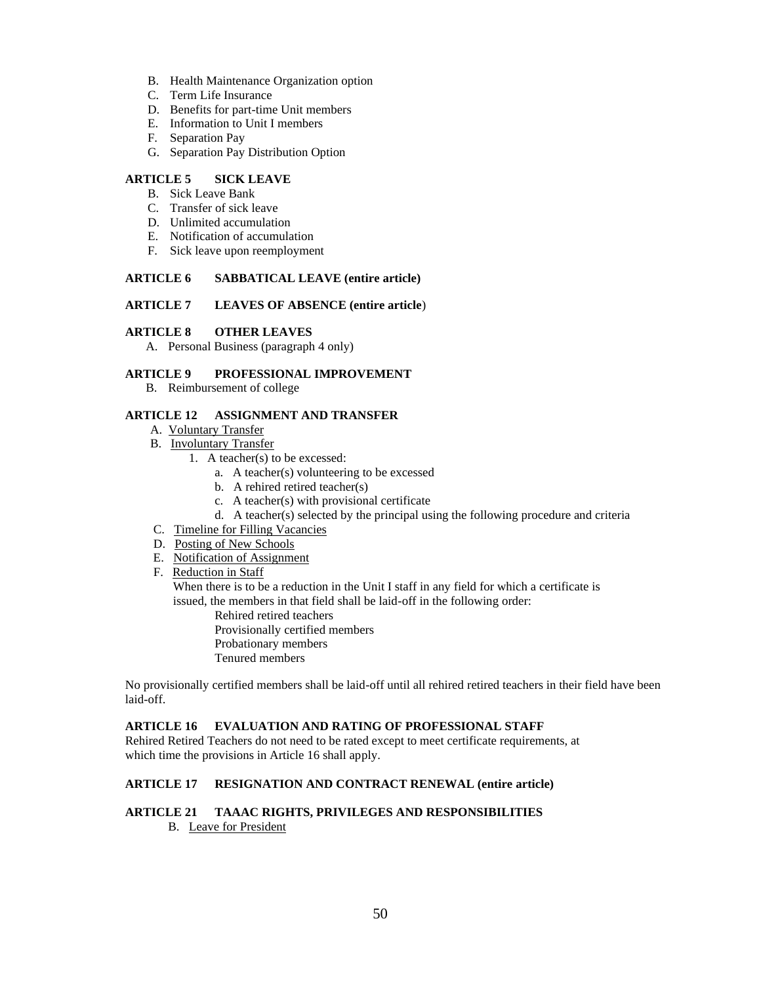- B. Health Maintenance Organization option
- C. Term Life Insurance
- D. Benefits for part-time Unit members
- E. Information to Unit I members
- F. Separation Pay
- G. Separation Pay Distribution Option

## **ARTICLE 5 SICK LEAVE**

- B. Sick Leave Bank
- C. Transfer of sick leave
- D. Unlimited accumulation
- E. Notification of accumulation
- F. Sick leave upon reemployment

#### **ARTICLE 6 SABBATICAL LEAVE (entire article)**

#### **ARTICLE 7 LEAVES OF ABSENCE (entire article**)

## **ARTICLE 8 OTHER LEAVES**

A. Personal Business (paragraph 4 only)

#### **ARTICLE 9 PROFESSIONAL IMPROVEMENT**

B. Reimbursement of college

#### **ARTICLE 12 ASSIGNMENT AND TRANSFER**

- A. Voluntary Transfer
- B. Involuntary Transfer
	- 1. A teacher(s) to be excessed:
		- a. A teacher(s) volunteering to be excessed
		- b. A rehired retired teacher(s)
		- c. A teacher(s) with provisional certificate
		- d. A teacher(s) selected by the principal using the following procedure and criteria
- C. Timeline for Filling Vacancies
- D. Posting of New Schools
- E. Notification of Assignment
- F. Reduction in Staff

When there is to be a reduction in the Unit I staff in any field for which a certificate is issued, the members in that field shall be laid-off in the following order:

Rehired retired teachers Provisionally certified members Probationary members Tenured members

No provisionally certified members shall be laid-off until all rehired retired teachers in their field have been laid-off.

#### **ARTICLE 16 EVALUATION AND RATING OF PROFESSIONAL STAFF**

Rehired Retired Teachers do not need to be rated except to meet certificate requirements, at which time the provisions in Article 16 shall apply.

#### **ARTICLE 17 RESIGNATION AND CONTRACT RENEWAL (entire article)**

## **ARTICLE 21 TAAAC RIGHTS, PRIVILEGES AND RESPONSIBILITIES**

B. Leave for President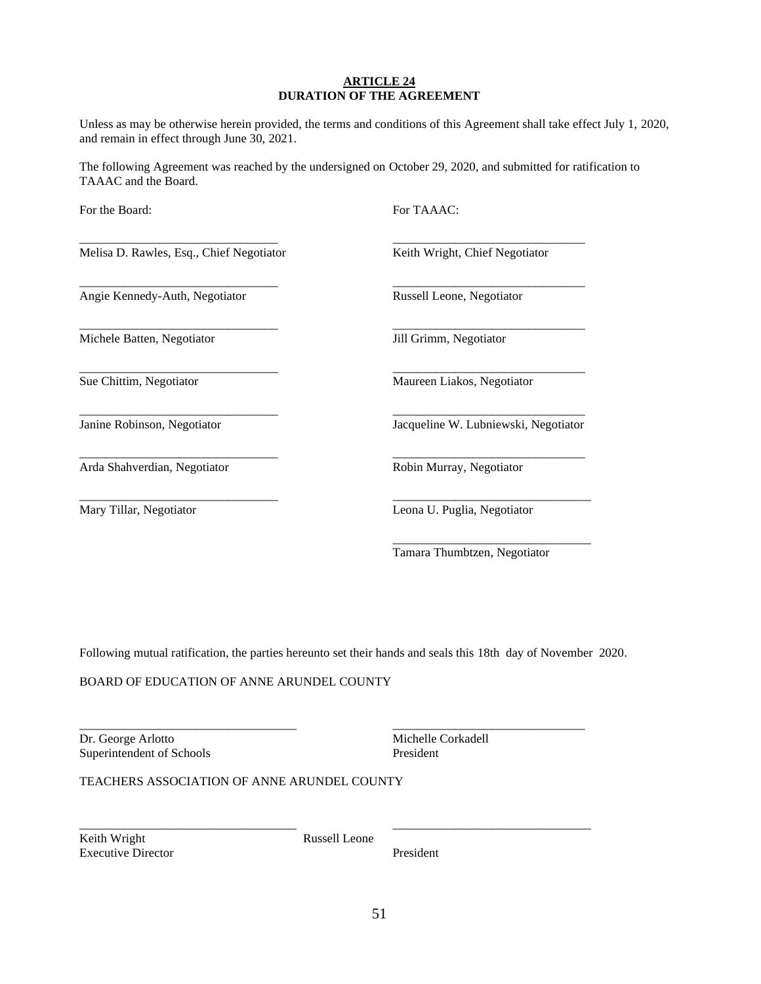#### **ARTICLE 24 DURATION OF THE AGREEMENT**

Unless as may be otherwise herein provided, the terms and conditions of this Agreement shall take effect July 1, 2020, and remain in effect through June 30, 2021.

The following Agreement was reached by the undersigned on October 29, 2020, and submitted for ratification to TAAAC and the Board.

\_\_\_\_\_\_\_\_\_\_\_\_\_\_\_\_\_\_\_\_\_\_\_\_\_\_\_\_\_\_\_\_ \_\_\_\_\_\_\_\_\_\_\_\_\_\_\_\_\_\_\_\_\_\_\_\_\_\_\_\_\_\_\_

\_\_\_\_\_\_\_\_\_\_\_\_\_\_\_\_\_\_\_\_\_\_\_\_\_\_\_\_\_\_\_\_ \_\_\_\_\_\_\_\_\_\_\_\_\_\_\_\_\_\_\_\_\_\_\_\_\_\_\_\_\_\_\_

\_\_\_\_\_\_\_\_\_\_\_\_\_\_\_\_\_\_\_\_\_\_\_\_\_\_\_\_\_\_\_\_ \_\_\_\_\_\_\_\_\_\_\_\_\_\_\_\_\_\_\_\_\_\_\_\_\_\_\_\_\_\_\_

\_\_\_\_\_\_\_\_\_\_\_\_\_\_\_\_\_\_\_\_\_\_\_\_\_\_\_\_\_\_\_\_ \_\_\_\_\_\_\_\_\_\_\_\_\_\_\_\_\_\_\_\_\_\_\_\_\_\_\_\_\_\_\_

\_\_\_\_\_\_\_\_\_\_\_\_\_\_\_\_\_\_\_\_\_\_\_\_\_\_\_\_\_\_\_\_ \_\_\_\_\_\_\_\_\_\_\_\_\_\_\_\_\_\_\_\_\_\_\_\_\_\_\_\_\_\_\_

\_\_\_\_\_\_\_\_\_\_\_\_\_\_\_\_\_\_\_\_\_\_\_\_\_\_\_\_\_\_\_\_ \_\_\_\_\_\_\_\_\_\_\_\_\_\_\_\_\_\_\_\_\_\_\_\_\_\_\_\_\_\_\_

\_\_\_\_\_\_\_\_\_\_\_\_\_\_\_\_\_\_\_\_\_\_\_\_\_\_\_\_\_\_\_\_ \_\_\_\_\_\_\_\_\_\_\_\_\_\_\_\_\_\_\_\_\_\_\_\_\_\_\_\_\_\_\_\_

For the Board: Formula and the Board: Formula and the Formula and Formula and Formula and Formula and Formula and Formula and Formula and Formula and Formula and Formula and Formula and Formula and Formula and Formula and

Melisa D. Rawles, Esq., Chief Negotiator Keith Wright, Chief Negotiator

Angie Kennedy-Auth, Negotiator Russell Leone, Negotiator

Michele Batten, Negotiator Jill Grimm, Negotiator

Arda Shahverdian, Negotiator Robin Murray, Negotiator

Sue Chittim, Negotiator Maureen Liakos, Negotiator

Janine Robinson, Negotiator Jacqueline W. Lubniewski, Negotiator

Mary Tillar, Negotiator Leona U. Puglia, Negotiator

Tamara Thumbtzen, Negotiator

\_\_\_\_\_\_\_\_\_\_\_\_\_\_\_\_\_\_\_\_\_\_\_\_\_\_\_\_\_\_\_\_

Following mutual ratification, the parties hereunto set their hands and seals this 18th day of November 2020.

BOARD OF EDUCATION OF ANNE ARUNDEL COUNTY

Dr. George Arlotto Michelle Corkadell Superintendent of Schools President

TEACHERS ASSOCIATION OF ANNE ARUNDEL COUNTY

Keith Wright Russell Leone Executive Director **President** 

\_\_\_\_\_\_\_\_\_\_\_\_\_\_\_\_\_\_\_\_\_\_\_\_\_\_\_\_\_\_\_\_\_\_\_ \_\_\_\_\_\_\_\_\_\_\_\_\_\_\_\_\_\_\_\_\_\_\_\_\_\_\_\_\_\_\_\_

\_\_\_\_\_\_\_\_\_\_\_\_\_\_\_\_\_\_\_\_\_\_\_\_\_\_\_\_\_\_\_\_\_\_\_ \_\_\_\_\_\_\_\_\_\_\_\_\_\_\_\_\_\_\_\_\_\_\_\_\_\_\_\_\_\_\_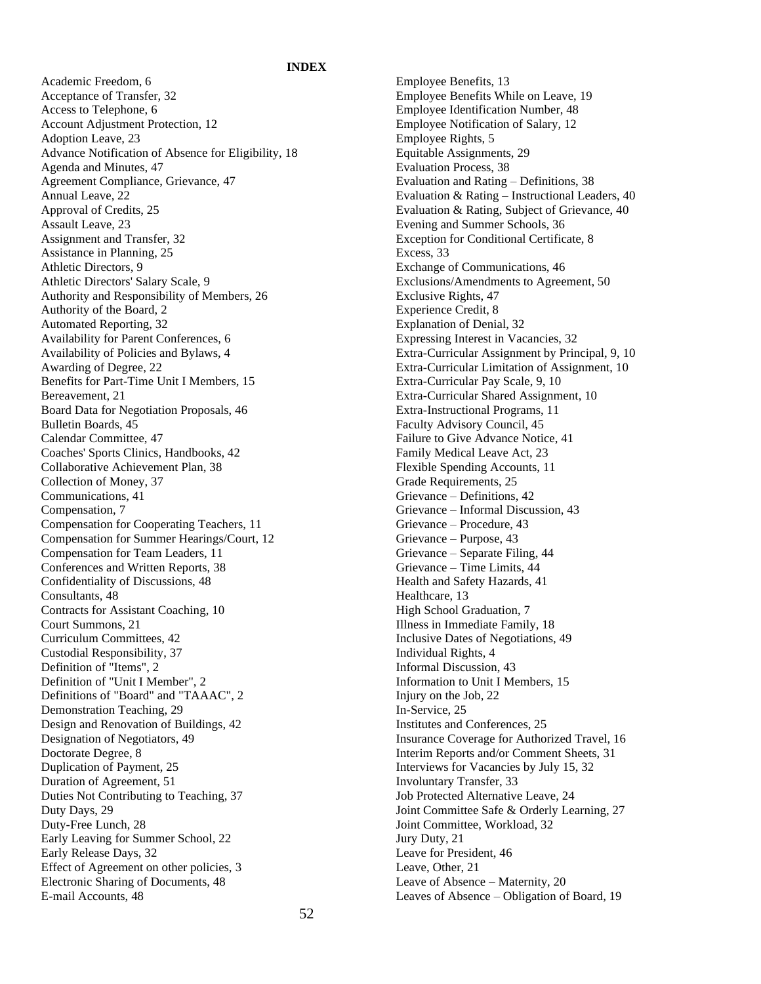#### **INDEX**

Academic Freedom, 6 Acceptance of Transfer, 32 Access to Telephone, 6 Account Adjustment Protection, 12 Adoption Leave, 23 Advance Notification of Absence for Eligibility, 18 Agenda and Minutes, 47 Agreement Compliance, Grievance, 47 Annual Leave, 22 Approval of Credits, 25 Assault Leave, 23 Assignment and Transfer, 32 Assistance in Planning, 25 Athletic Directors, 9 Athletic Directors' Salary Scale, 9 Authority and Responsibility of Members, 26 Authority of the Board, 2 Automated Reporting, 32 Availability for Parent Conferences, 6 Availability of Policies and Bylaws, 4 Awarding of Degree, 22 Benefits for Part-Time Unit I Members, 15 Bereavement, 21 Board Data for Negotiation Proposals, 46 Bulletin Boards, 45 Calendar Committee, 47 Coaches' Sports Clinics, Handbooks, 42 Collaborative Achievement Plan, 38 Collection of Money, 37 Communications, 41 Compensation, 7 Compensation for Cooperating Teachers, 11 Compensation for Summer Hearings/Court, 12 Compensation for Team Leaders, 11 Conferences and Written Reports, 38 Confidentiality of Discussions, 48 Consultants, 48 Contracts for Assistant Coaching, 10 Court Summons, 21 Curriculum Committees, 42 Custodial Responsibility, 37 Definition of "Items", 2 Definition of "Unit I Member", 2 Definitions of "Board" and "TAAAC", 2 Demonstration Teaching, 29 Design and Renovation of Buildings, 42 Designation of Negotiators, 49 Doctorate Degree, 8 Duplication of Payment, 25 Duration of Agreement, 51 Duties Not Contributing to Teaching, 37 Duty Days, 29 Duty-Free Lunch, 28 Early Leaving for Summer School, 22 Early Release Days, 32 Effect of Agreement on other policies, 3 Electronic Sharing of Documents, 48 E-mail Accounts, 48

Employee Benefits, 13 Employee Benefits While on Leave, 19 Employee Identification Number, 48 Employee Notification of Salary, 12 Employee Rights, 5 Equitable Assignments, 29 Evaluation Process, 38 Evaluation and Rating – Definitions, 38 Evaluation & Rating – Instructional Leaders, 40 Evaluation & Rating, Subject of Grievance, 40 Evening and Summer Schools, 36 Exception for Conditional Certificate, 8 Excess, 33 Exchange of Communications, 46 Exclusions/Amendments to Agreement, 50 Exclusive Rights, 47 Experience Credit, 8 Explanation of Denial, 32 Expressing Interest in Vacancies, 32 Extra-Curricular Assignment by Principal, 9, 10 Extra-Curricular Limitation of Assignment, 10 Extra-Curricular Pay Scale, 9, 10 Extra-Curricular Shared Assignment, 10 Extra-Instructional Programs, 11 Faculty Advisory Council, 45 Failure to Give Advance Notice, 41 Family Medical Leave Act, 23 Flexible Spending Accounts, 11 Grade Requirements, 25 Grievance – Definitions, 42 Grievance – Informal Discussion, 43 Grievance – Procedure, 43 Grievance – Purpose, 43 Grievance – Separate Filing, 44 Grievance – Time Limits, 44 Health and Safety Hazards, 41 Healthcare, 13 High School Graduation, 7 Illness in Immediate Family, 18 Inclusive Dates of Negotiations, 49 Individual Rights, 4 Informal Discussion, 43 Information to Unit I Members, 15 Injury on the Job, 22 In-Service, 25 Institutes and Conferences, 25 Insurance Coverage for Authorized Travel, 16 Interim Reports and/or Comment Sheets, 31 Interviews for Vacancies by July 15, 32 Involuntary Transfer, 33 Job Protected Alternative Leave, 24 Joint Committee Safe & Orderly Learning, 27 Joint Committee, Workload, 32 Jury Duty, 21 Leave for President, 46 Leave, Other, 21 Leave of Absence – Maternity, 20 Leaves of Absence – Obligation of Board, 19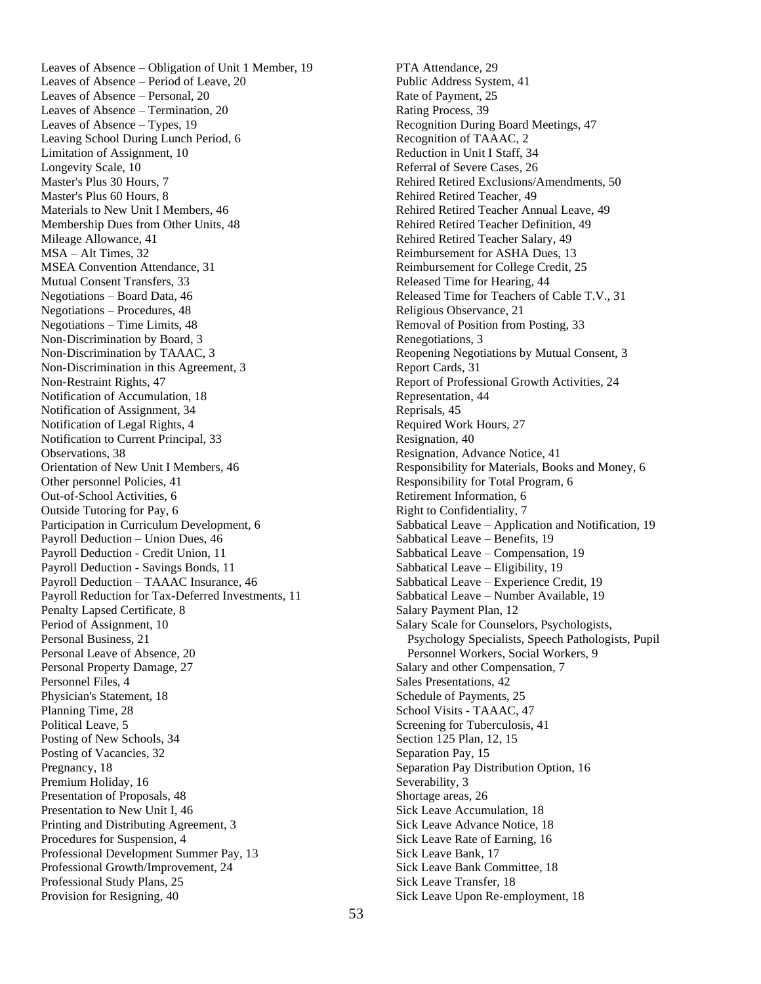Leaves of Absence – Obligation of Unit 1 Member, 19 Leaves of Absence – Period of Leave, 20 Leaves of Absence – Personal, 20 Leaves of Absence – Termination, 20 Leaves of Absence – Types, 19 Leaving School During Lunch Period, 6 Limitation of Assignment, 10 Longevity Scale, 10 Master's Plus 30 Hours, 7 Master's Plus 60 Hours, 8 Materials to New Unit I Members, 46 Membership Dues from Other Units, 48 Mileage Allowance, 41 MSA – Alt Times, 32 MSEA Convention Attendance, 31 Mutual Consent Transfers, 33 Negotiations – Board Data, 46 Negotiations – Procedures, 48 Negotiations – Time Limits, 48 Non-Discrimination by Board, 3 Non-Discrimination by TAAAC, 3 Non-Discrimination in this Agreement, 3 Non-Restraint Rights, 47 Notification of Accumulation, 18 Notification of Assignment, 34 Notification of Legal Rights, 4 Notification to Current Principal, 33 Observations, 38 Orientation of New Unit I Members, 46 Other personnel Policies, 41 Out-of-School Activities, 6 Outside Tutoring for Pay, 6 Participation in Curriculum Development, 6 Payroll Deduction – Union Dues, 46 Payroll Deduction - Credit Union, 11 Payroll Deduction - Savings Bonds, 11 Payroll Deduction – TAAAC Insurance, 46 Payroll Reduction for Tax-Deferred Investments, 11 Penalty Lapsed Certificate, 8 Period of Assignment, 10 Personal Business, 21 Personal Leave of Absence, 20 Personal Property Damage, 27 Personnel Files, 4 Physician's Statement, 18 Planning Time, 28 Political Leave, 5 Posting of New Schools, 34 Posting of Vacancies, 32 Pregnancy, 18 Premium Holiday, 16 Presentation of Proposals, 48 Presentation to New Unit I, 46 Printing and Distributing Agreement, 3 Procedures for Suspension, 4 Professional Development Summer Pay, 13 Professional Growth/Improvement, 24 Professional Study Plans, 25 Provision for Resigning, 40

PTA Attendance, 29 Public Address System, 41 Rate of Payment, 25 Rating Process, 39 Recognition During Board Meetings, 47 Recognition of TAAAC, 2 Reduction in Unit I Staff, 34 Referral of Severe Cases, 26 Rehired Retired Exclusions/Amendments, 50 Rehired Retired Teacher, 49 Rehired Retired Teacher Annual Leave, 49 Rehired Retired Teacher Definition, 49 Rehired Retired Teacher Salary, 49 Reimbursement for ASHA Dues, 13 Reimbursement for College Credit, 25 Released Time for Hearing, 44 Released Time for Teachers of Cable T.V., 31 Religious Observance, 21 Removal of Position from Posting, 33 Renegotiations, 3 Reopening Negotiations by Mutual Consent, 3 Report Cards, 31 Report of Professional Growth Activities, 24 Representation, 44 Reprisals, 45 Required Work Hours, 27 Resignation, 40 Resignation, Advance Notice, 41 Responsibility for Materials, Books and Money, 6 Responsibility for Total Program, 6 Retirement Information, 6 Right to Confidentiality, 7 Sabbatical Leave – Application and Notification, 19 Sabbatical Leave – Benefits, 19 Sabbatical Leave – Compensation, 19 Sabbatical Leave – Eligibility, 19 Sabbatical Leave – Experience Credit, 19 Sabbatical Leave – Number Available, 19 Salary Payment Plan, 12 Salary Scale for Counselors, Psychologists, Psychology Specialists, Speech Pathologists, Pupil Personnel Workers, Social Workers, 9 Salary and other Compensation, 7 Sales Presentations, 42 Schedule of Payments, 25 School Visits - TAAAC, 47 Screening for Tuberculosis, 41 Section 125 Plan, 12, 15 Separation Pay, 15 Separation Pay Distribution Option, 16 Severability, 3 Shortage areas, 26 Sick Leave Accumulation, 18 Sick Leave Advance Notice, 18 Sick Leave Rate of Earning, 16 Sick Leave Bank, 17 Sick Leave Bank Committee, 18 Sick Leave Transfer, 18 Sick Leave Upon Re-employment, 18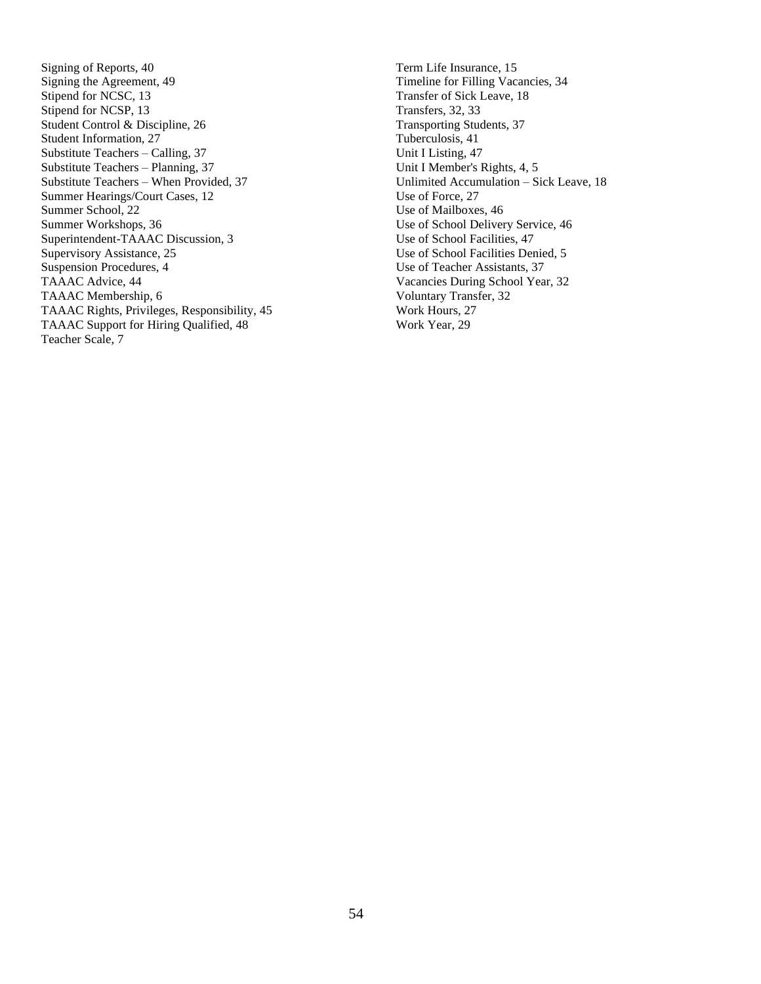Signing of Reports, 40 Signing the Agreement, 49 Stipend for NCSC, 13 Stipend for NCSP, 13 Student Control & Discipline, 26 Student Information, 27 Substitute Teachers – Calling, 37 Substitute Teachers – Planning, 37 Substitute Teachers – When Provided, 37 Summer Hearings/Court Cases, 12 Summer School, 22 Summer Workshops, 36 Superintendent-TAAAC Discussion, 3 Supervisory Assistance, 25 Suspension Procedures, 4 TAAAC Advice, 44 TAAAC Membership, 6 TAAAC Rights, Privileges, Responsibility, 45 TAAAC Support for Hiring Qualified, 48 Teacher Scale, 7

Term Life Insurance, 15 Timeline for Filling Vacancies, 34 Transfer of Sick Leave, 18 Transfers, 32, 33 Transporting Students, 37 Tuberculosis, 41 Unit I Listing, 47 Unit I Member's Rights, 4, 5 Unlimited Accumulation – Sick Leave, 18 Use of Force, 27 Use of Mailboxes, 46 Use of School Delivery Service, 46 Use of School Facilities, 47 Use of School Facilities Denied, 5 Use of Teacher Assistants, 37 Vacancies During School Year, 32 Voluntary Transfer, 32 Work Hours, 27 Work Year, 29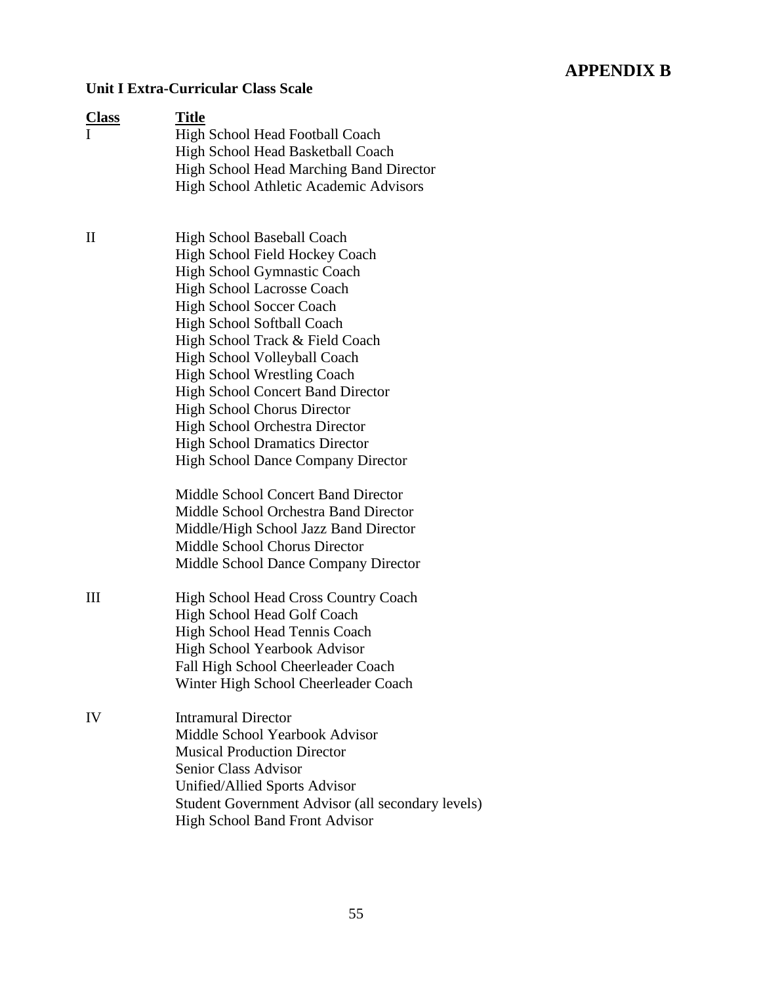# **APPENDIX B**

## **Unit I Extra-Curricular Class Scale**

| <b>Class</b> | <b>Title</b>                                      |
|--------------|---------------------------------------------------|
|              | High School Head Football Coach                   |
|              | High School Head Basketball Coach                 |
|              | <b>High School Head Marching Band Director</b>    |
|              | High School Athletic Academic Advisors            |
|              |                                                   |
| $\mathbf H$  | High School Baseball Coach                        |
|              | High School Field Hockey Coach                    |
|              | <b>High School Gymnastic Coach</b>                |
|              | <b>High School Lacrosse Coach</b>                 |
|              | <b>High School Soccer Coach</b>                   |
|              | High School Softball Coach                        |
|              | High School Track & Field Coach                   |
|              | High School Volleyball Coach                      |
|              | <b>High School Wrestling Coach</b>                |
|              | <b>High School Concert Band Director</b>          |
|              | <b>High School Chorus Director</b>                |
|              | <b>High School Orchestra Director</b>             |
|              | <b>High School Dramatics Director</b>             |
|              | <b>High School Dance Company Director</b>         |
|              | <b>Middle School Concert Band Director</b>        |
|              | Middle School Orchestra Band Director             |
|              | Middle/High School Jazz Band Director             |
|              | Middle School Chorus Director                     |
|              | Middle School Dance Company Director              |
| Ш            | <b>High School Head Cross Country Coach</b>       |
|              | High School Head Golf Coach                       |
|              | High School Head Tennis Coach                     |
|              | <b>High School Yearbook Advisor</b>               |
|              | Fall High School Cheerleader Coach                |
|              | Winter High School Cheerleader Coach              |
|              |                                                   |
| IV           | <b>Intramural Director</b>                        |
|              | Middle School Yearbook Advisor                    |
|              | <b>Musical Production Director</b>                |
|              | <b>Senior Class Advisor</b>                       |
|              | Unified/Allied Sports Advisor                     |
|              | Student Government Advisor (all secondary levels) |
|              | <b>High School Band Front Advisor</b>             |